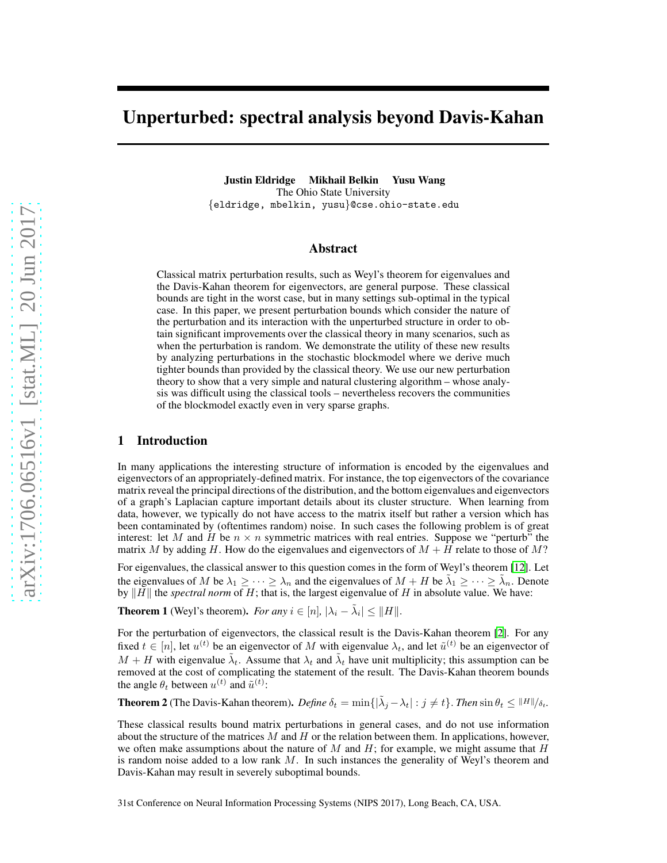# Unperturbed: spectral analysis beyond Davis-Kahan

Justin Eldridge Mikhail Belkin Yusu Wang The Ohio State University {eldridge, mbelkin, yusu}@cse.ohio-state.edu

## Abstract

Classical matrix perturbation results, such as Weyl's theorem for eigenvalues and the Davis-Kahan theorem for eigenvectors, are general purpose. These classical bounds are tight in the worst case, but in many settings sub-optimal in the typical case. In this paper, we present perturbation bounds which consider the nature of the perturbation and its interaction with the unperturbed structure in order to obtain significant improvements over the classical theory in many scenarios, such as when the perturbation is random. We demonstrate the utility of these new results by analyzing perturbations in the stochastic blockmodel where we derive much tighter bounds than provided by the classical theory. We use our new perturbation theory to show that a very simple and natural clustering algorithm – whose analysis was difficult using the classical tools – nevertheless recovers the communities of the blockmodel exactly even in very sparse graphs.

## 1 Introduction

In many applications the interesting structure of information is encoded by the eigenvalues and eigenvectors of an appropriately-defined matrix. For instance, the top eigenvectors of the covariance matrix reveal the principal directions of the distribution, and the bottom eigenvalues and eigenvectors of a graph's Laplacian capture important details about its cluster structure. When learning from data, however, we typically do not have access to the matrix itself but rather a version which has been contaminated by (oftentimes random) noise. In such cases the following problem is of great interest: let M and H be  $n \times n$  symmetric matrices with real entries. Suppose we "perturb" the matrix M by adding H. How do the eigenvalues and eigenvectors of  $M + H$  relate to those of M?

For eigenvalues, the classical answer to this question comes in the form of Weyl's theorem [\[12\]](#page-9-0). Let the eigenvalues of M be  $\lambda_1 \geq \cdots \geq \lambda_n$  and the eigenvalues of  $M + H$  be  $\tilde{\lambda}_1 \geq \cdots \geq \tilde{\lambda}_n$ . Denote by  $\|\bar{H}\|$  the *spectral norm* of H; that is, the largest eigenvalue of H in absolute value. We have:

**Theorem 1** (Weyl's theorem). *For any*  $i \in [n]$ ,  $|\lambda_i - \tilde{\lambda}_i| \le ||H||$ .

For the perturbation of eigenvectors, the classical result is the Davis-Kahan theorem [\[2\]](#page-9-1). For any fixed  $t \in [n]$ , let  $u^{(t)}$  be an eigenvector of M with eigenvalue  $\lambda_t$ , and let  $\tilde{u}^{(t)}$  be an eigenvector of  $M + H$  with eigenvalue  $\tilde{\lambda}_t$ . Assume that  $\lambda_t$  and  $\tilde{\lambda}_t$  have unit multiplicity; this assumption can be removed at the cost of complicating the statement of the result. The Davis-Kahan theorem bounds the angle  $\theta_t$  between  $u^{(t)}$  and  $\tilde{u}^{(t)}$ :

**Theorem 2** (The Davis-Kahan theorem). *Define*  $\delta_t = \min\{|\tilde{\lambda}_j - \lambda_t| : j \neq t\}$ . *Then*  $\sin \theta_t \leq ||H|| / \delta_t$ .

These classical results bound matrix perturbations in general cases, and do not use information about the structure of the matrices  $M$  and  $H$  or the relation between them. In applications, however, we often make assumptions about the nature of  $M$  and  $H$ ; for example, we might assume that  $H$ is random noise added to a low rank  $M$ . In such instances the generality of Weyl's theorem and Davis-Kahan may result in severely suboptimal bounds.

31st Conference on Neural Information Processing Systems (NIPS 2017), Long Beach, CA, USA.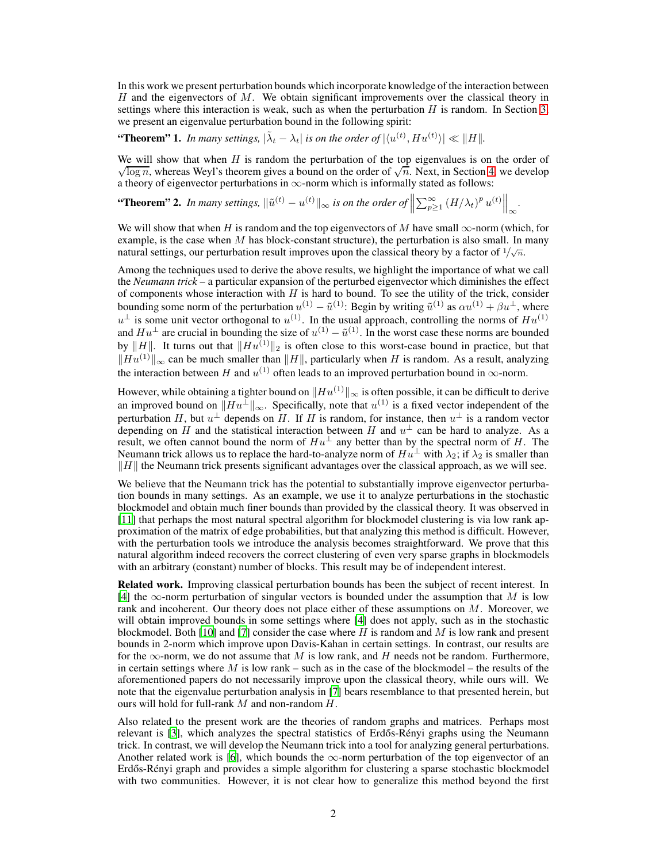In this work we present perturbation bounds which incorporate knowledge of the interaction between H and the eigenvectors of  $M$ . We obtain significant improvements over the classical theory in settings where this interaction is weak, such as when the perturbation  $H$  is random. In Section [3,](#page-4-0) we present an eigenvalue perturbation bound in the following spirit:

"Theorem" 1. In many settings,  $|\tilde{\lambda}_t - \lambda_t|$  is on the order of  $|\langle u^{(t)}, H u^{(t)} \rangle| \ll ||H||$ .

 $\sqrt{\log n}$ , whereas Weyl's theorem gives a bound on the order of  $\sqrt{n}$ . Next, in Section [4,](#page-5-0) we develop We will show that when  $H$  is random the perturbation of the top eigenvalues is on the order of a theory of eigenvector perturbations in  $\infty$ -norm which is informally stated as follows:

**"Theorem" 2.** In many settings,  $\|\tilde{u}^{(t)} - u^{(t)}\|_{\infty}$  is on the order of  $\left\|\sum_{p\geq 1}^{\infty} (H/\lambda_t)^p u^{(t)}\right\|_{\infty}$ . ∞

We will show that when H is random and the top eigenvectors of M have small  $\infty$ -norm (which, for example, is the case when  $M$  has block-constant structure), the perturbation is also small. In many natural settings, our perturbation result improves upon the classical theory by a factor of  $1/\sqrt{n}$ .

Among the techniques used to derive the above results, we highlight the importance of what we call the *Neumann trick* – a particular expansion of the perturbed eigenvector which diminishes the effect of components whose interaction with  $H$  is hard to bound. To see the utility of the trick, consider bounding some norm of the perturbation  $u^{(1)} - \tilde{u}^{(1)}$ : Begin by writing  $\tilde{u}^{(1)}$  as  $\alpha u^{(1)} + \beta u^{\perp}$ , where  $u^{\perp}$  is some unit vector orthogonal to  $u^{(1)}$ . In the usual approach, controlling the norms of  $Hu^{(1)}$ and  $Hu^{\perp}$  are crucial in bounding the size of  $u^{(1)} - \tilde{u}^{(1)}$ . In the worst case these norms are bounded by  $||H||$ . It turns out that  $||Hu^{(1)}||_2$  is often close to this worst-case bound in practice, but that  $\Vert Hu^{(1)} \Vert_{\infty}$  can be much smaller than  $\Vert H \Vert$ , particularly when H is random. As a result, analyzing the interaction between H and  $u^{(1)}$  often leads to an improved perturbation bound in  $\infty$ -norm.

However, while obtaining a tighter bound on  $\Vert Hu^{(1)}\Vert_{\infty}$  is often possible, it can be difficult to derive an improved bound on  $\|Hu^{\perp}\|_{\infty}$ . Specifically, note that  $u^{(1)}$  is a fixed vector independent of the perturbation H, but  $u^{\perp}$  depends on H. If H is random, for instance, then  $u^{\perp}$  is a random vector depending on H and the statistical interaction between H and  $u^{\perp}$  can be hard to analyze. As a result, we often cannot bound the norm of  $Hu^{\perp}$  any better than by the spectral norm of H. The Neumann trick allows us to replace the hard-to-analyze norm of  $Hu^{\perp}$  with  $\lambda_2$ ; if  $\lambda_2$  is smaller than  $\Vert H \Vert$  the Neumann trick presents significant advantages over the classical approach, as we will see.

We believe that the Neumann trick has the potential to substantially improve eigenvector perturbation bounds in many settings. As an example, we use it to analyze perturbations in the stochastic blockmodel and obtain much finer bounds than provided by the classical theory. It was observed in [\[11](#page-9-2)] that perhaps the most natural spectral algorithm for blockmodel clustering is via low rank approximation of the matrix of edge probabilities, but that analyzing this method is difficult. However, with the perturbation tools we introduce the analysis becomes straightforward. We prove that this natural algorithm indeed recovers the correct clustering of even very sparse graphs in blockmodels with an arbitrary (constant) number of blocks. This result may be of independent interest.

Related work. Improving classical perturbation bounds has been the subject of recent interest. In [\[4](#page-9-3)] the  $\infty$ -norm perturbation of singular vectors is bounded under the assumption that M is low rank and incoherent. Our theory does not place either of these assumptions on M. Moreover, we will obtain improved bounds in some settings where [\[4](#page-9-3)] does not apply, such as in the stochastic blockmodel. Both [\[10\]](#page-9-4) and [\[7](#page-9-5)] consider the case where H is random and M is low rank and present bounds in 2-norm which improve upon Davis-Kahan in certain settings. In contrast, our results are for the  $\infty$ -norm, we do not assume that M is low rank, and H needs not be random. Furthermore, in certain settings where  $M$  is low rank – such as in the case of the blockmodel – the results of the aforementioned papers do not necessarily improve upon the classical theory, while ours will. We note that the eigenvalue perturbation analysis in [\[7](#page-9-5)] bears resemblance to that presented herein, but ours will hold for full-rank  $M$  and non-random  $H$ .

Also related to the present work are the theories of random graphs and matrices. Perhaps most relevant is [\[3](#page-9-6)], which analyzes the spectral statistics of Erdős-Rényi graphs using the Neumann trick. In contrast, we will develop the Neumann trick into a tool for analyzing general perturbations. Another related work is [\[6](#page-9-7)], which bounds the  $\infty$ -norm perturbation of the top eigenvector of an Erdős-Rényi graph and provides a simple algorithm for clustering a sparse stochastic blockmodel with two communities. However, it is not clear how to generalize this method beyond the first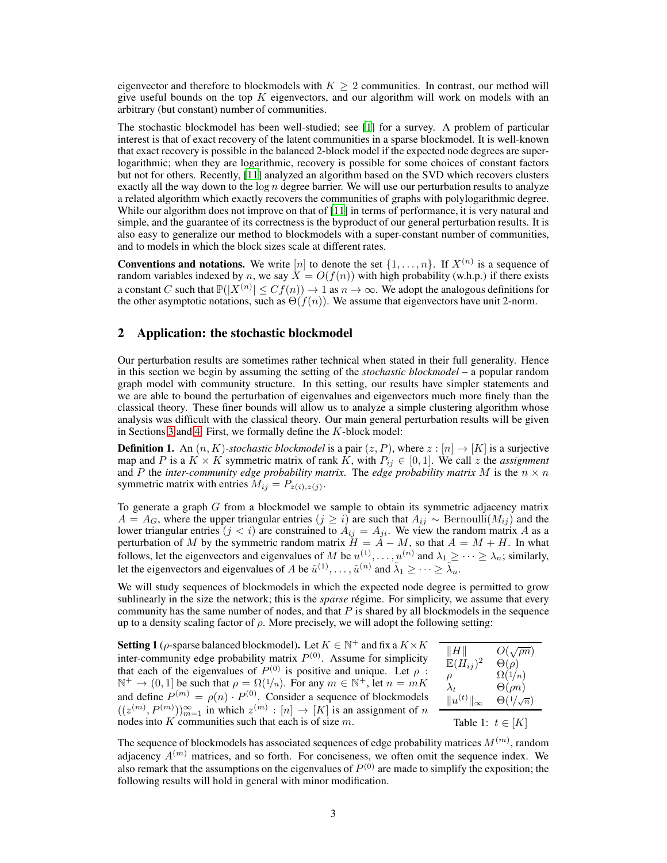eigenvector and therefore to blockmodels with  $K > 2$  communities. In contrast, our method will give useful bounds on the top  $K$  eigenvectors, and our algorithm will work on models with an arbitrary (but constant) number of communities.

The stochastic blockmodel has been well-studied; see [\[1](#page-9-8)] for a survey. A problem of particular interest is that of exact recovery of the latent communities in a sparse blockmodel. It is well-known that exact recovery is possible in the balanced 2-block model if the expected node degrees are superlogarithmic; when they are logarithmic, recovery is possible for some choices of constant factors but not for others. Recently, [\[11\]](#page-9-2) analyzed an algorithm based on the SVD which recovers clusters exactly all the way down to the  $\log n$  degree barrier. We will use our perturbation results to analyze a related algorithm which exactly recovers the communities of graphs with polylogarithmic degree. While our algorithm does not improve on that of [\[11](#page-9-2)] in terms of performance, it is very natural and simple, and the guarantee of its correctness is the byproduct of our general perturbation results. It is also easy to generalize our method to blockmodels with a super-constant number of communities, and to models in which the block sizes scale at different rates.

**Conventions and notations.** We write  $[n]$  to denote the set  $\{1, \ldots, n\}$ . If  $X^{(n)}$  is a sequence of random variables indexed by n, we say  $X = O(f(n))$  with high probability (w.h.p.) if there exists a constant C such that  $\mathbb{P}(|X^{(n)}| \leq Cf(n)) \to 1$  as  $n \to \infty$ . We adopt the analogous definitions for the other asymptotic notations, such as  $\Theta(f(n))$ . We assume that eigenvectors have unit 2-norm.

## <span id="page-2-2"></span>2 Application: the stochastic blockmodel

Our perturbation results are sometimes rather technical when stated in their full generality. Hence in this section we begin by assuming the setting of the *stochastic blockmodel* – a popular random graph model with community structure. In this setting, our results have simpler statements and we are able to bound the perturbation of eigenvalues and eigenvectors much more finely than the classical theory. These finer bounds will allow us to analyze a simple clustering algorithm whose analysis was difficult with the classical theory. Our main general perturbation results will be given in Sections [3](#page-4-0) and [4.](#page-5-0) First, we formally define the  $K$ -block model:

**Definition 1.** An  $(n, K)$ -stochastic blockmodel is a pair  $(z, P)$ , where  $z : [n] \rightarrow [K]$  is a surjective map and P is a  $K \times K$  symmetric matrix of rank K, with  $P_{ij} \in [0,1]$ . We call z the *assignment* and P the *inter-community edge probability matrix*. The *edge probability matrix* M is the  $n \times n$ symmetric matrix with entries  $M_{ij} = P_{z(i),z(j)}$ .

To generate a graph  $G$  from a blockmodel we sample to obtain its symmetric adjacency matrix  $A = A_G$ , where the upper triangular entries  $(j \ge i)$  are such that  $A_{ij} \sim \text{Bernoulli}(M_{ij})$  and the lower triangular entries  $(j < i)$  are constrained to  $A_{ij} = A_{ji}$ . We view the random matrix A as a perturbation of M by the symmetric random matrix  $H = A - M$ , so that  $A = M + H$ . In what follows, let the eigenvectors and eigenvalues of M be  $u^{(1)}_1, \dots, u^{(n)}$  and  $\lambda_1 \geq \dots \geq \lambda_n$ ; similarly, let the eigenvectors and eigenvalues of A be  $\tilde{u}^{(1)}, \ldots, \tilde{u}^{(n)}$  and  $\tilde{\lambda}_1 \geq \cdots \geq \tilde{\lambda}_n$ .

We will study sequences of blockmodels in which the expected node degree is permitted to grow sublinearly in the size the network; this is the *sparse* régime. For simplicity, we assume that every community has the same number of nodes, and that  $P$  is shared by all blockmodels in the sequence up to a density scaling factor of  $\rho$ . More precisely, we will adopt the following setting:

<span id="page-2-0"></span>**Setting 1** ( $\rho$ -sparse balanced blockmodel). Let  $K \in \mathbb{N}^+$  and fix a  $K \times K$ inter-community edge probability matrix  $P^{(0)}$ . Assume for simplicity that each of the eigenvalues of  $P^{(0)}$  is positive and unique. Let  $\rho$ :  $\mathbb{N}^+ \to (0, 1]$  be such that  $\rho = \Omega(1/n)$ . For any  $m \in \mathbb{N}^+$ , let  $n = mK$ and define  $P^{(m)} = \rho(n) \cdot P^{(0)}$ . Consider a sequence of blockmodels  $((z^{(m)}, P^{(m)}))_{m=1}^{\infty}$  in which  $z^{(m)} : [n] \rightarrow [K]$  is an assignment of n nodes into  $K$  communities such that each is of size  $m$ .

<span id="page-2-1"></span> $\Vert H \Vert$   $O(\Vert \nabla \cdot \mathbf{C} \Vert)$  $\sqrt{\rho n}$  $\mathbb{E}(\ddot{H}_{ij})$ <sup>2</sup>  $\Theta(\rho)$  $\rho \qquad \qquad \Omega(1/n)$  $\lambda_t$   $\Theta(\rho n)$  $||u^{(t)}||_{\infty}$   $\Theta(1/$  $\sqrt{n}$ Table 1:  $t \in [K]$ 

The sequence of blockmodels has associated sequences of edge probability matrices  $M^{(m)}$ , random adjacency  $A^{(m)}$  matrices, and so forth. For conciseness, we often omit the sequence index. We also remark that the assumptions on the eigenvalues of  $P^{(0)}$  are made to simplify the exposition; the following results will hold in general with minor modification.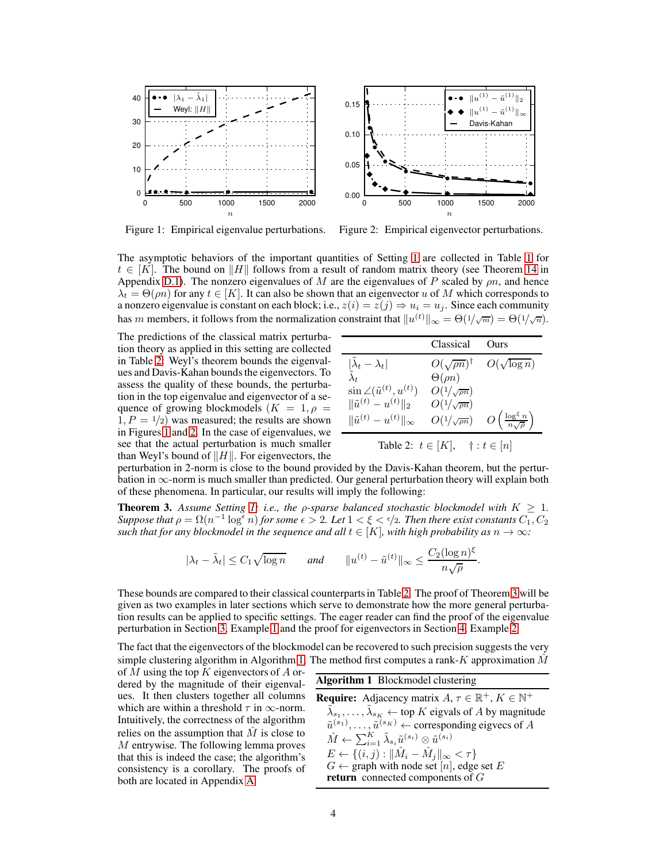<span id="page-3-1"></span>

Figure 1: Empirical eigenvalue perturbations.

Figure 2: Empirical eigenvector perturbations.

The asymptotic behaviors of the important quantities of Setting [1](#page-2-0) are collected in Table [1](#page-2-1) for  $t \in [K]$ . The bound on HH follows from a result of random matrix theory (see Theorem [14](#page-22-0) in Appendix [D.1\)](#page-22-0). The nonzero eigenvalues of M are the eigenvalues of P scaled by  $\rho n$ , and hence  $\lambda_t = \Theta(m)$  for any  $t \in [K]$ . It can also be shown that an eigenvector u of M which corresponds to a nonzero eigenvalue is constant on each block; i.e.,  $z(i) = \overline{z}(j) \Rightarrow u_i = u_j$ . Since each community has m members, it follows from the normalization constraint that  $||u^{(t)}||_{\infty} = \Theta(1/\sqrt{m}) = \Theta(1/\sqrt{n}).$ 

The predictions of the classical matrix perturbation theory as applied in this setting are collected in Table [2:](#page-3-0) Weyl's theorem bounds the eigenvalues and Davis-Kahan bounds the eigenvectors. To assess the quality of these bounds, the perturbation in the top eigenvalue and eigenvector of a sequence of growing blockmodels  $(K = 1, \rho =$  $1, P = 1/2$ ) was measured; the results are shown in Figures [1](#page-3-1) and [2.](#page-3-1) In the case of eigenvalues, we see that the actual perturbation is much smaller than Weyl's bound of  $\Vert H \Vert$ . For eigenvectors, the

<span id="page-3-0"></span>

|                                          | Classical                    | Ours                                              |
|------------------------------------------|------------------------------|---------------------------------------------------|
| $ \lambda_t - \lambda_t $                | $O(\sqrt{\rho n})^{\dagger}$ | $O(\sqrt{\log n})$                                |
|                                          | $\Theta(\rho n)$             |                                                   |
| $\sin \angle(\tilde{u}^{(t)}, u^{(t)})$  | $O(1/\sqrt{\rho n})$         |                                                   |
| $\ \tilde{u}^{(t)} - u^{(t)}\ _2$        | $O(1/\sqrt{\rho n})$         |                                                   |
| $\ \tilde{u}^{(t)} - u^{(t)}\ _{\infty}$ | $O(1/\sqrt{\rho n})$         | $O\left(\frac{\log^{\xi} n}{n\sqrt{\rho}}\right)$ |
| Table 2: $t \in [K]$ ,                   |                              | $\dagger : t \in [n]$                             |

perturbation in 2-norm is close to the bound provided by the Davis-Kahan theorem, but the perturbation in  $\infty$ -norm is much smaller than predicted. Our general perturbation theory will explain both of these phenomena. In particular, our results will imply the following:

<span id="page-3-2"></span>**Theorem 3.** Assume Setting [1;](#page-2-0) i.e., the *ρ*-sparse balanced stochastic blockmodel with  $K \geq 1$ . *Suppose that*  $\rho = \Omega(n^{-1} \log^{\epsilon} n)$  *for some*  $\epsilon > 2$ *. Let*  $1 < \xi < \epsilon/2$ *. Then there exist constants*  $C_1, C_2$ *such that for any blockmodel in the sequence and all*  $t \in [K]$ *, with high probability as*  $n \to \infty$ *:* 

$$
|\lambda_t - \tilde{\lambda}_t| \leq C_1 \sqrt{\log n}
$$
 and  $||u^{(t)} - \tilde{u}^{(t)}||_{\infty} \leq \frac{C_2 (\log n)^{\xi}}{n \sqrt{\rho}}$ .

These bounds are compared to their classical counterparts in Table [2.](#page-3-0) The proof of Theorem [3](#page-3-2) will be given as two examples in later sections which serve to demonstrate how the more general perturbation results can be applied to specific settings. The eager reader can find the proof of the eigenvalue perturbation in Section [3,](#page-4-0) Example [1](#page-5-1) and the proof for eigenvectors in Section [4,](#page-5-0) Example [2.](#page-7-0)

The fact that the eigenvectors of the blockmodel can be recovered to such precision suggests the very simple clustering algorithm in Algorithm [1.](#page-3-3) The method first computes a rank-K approximation  $\hat{M}$ 

<span id="page-3-4"></span>of M using the top K eigenvectors of A ordered by the magnitude of their eigenvalues. It then clusters together all columns which are within a threshold  $\tau$  in  $\infty$ -norm. Intuitively, the correctness of the algorithm relies on the assumption that  $\tilde{M}$  is close to M entrywise. The following lemma proves that this is indeed the case; the algorithm's consistency is a corollary. The proofs of both are located in Appendix [A.](#page-10-0)

<span id="page-3-3"></span>

| <b>Algorithm 1</b> Blockmodel clustering                                                            |
|-----------------------------------------------------------------------------------------------------|
| <b>Require:</b> Adjacency matrix $A, \tau \in \mathbb{R}^+, K \in \mathbb{N}^+$                     |
| $\tilde{\lambda}_{s_1}, \ldots, \tilde{\lambda}_{s_K} \leftarrow$ top K eigvals of A by magnitude   |
| $\tilde{u}^{(s_1)}, \ldots, \tilde{u}^{(s_K)} \leftarrow$ corresponding eigvecs of A                |
| $\hat{M} \leftarrow \sum_{i=1}^K \tilde{\lambda}_{s_i} \tilde{u}^{(s_i)} \otimes \tilde{u}^{(s_i)}$ |
| $E \leftarrow \{(i, j) :   \hat{M}_i - \hat{M}_j  _{\infty} < \tau\}$                               |
| $G \leftarrow$ graph with node set [n], edge set E                                                  |
| return connected components of $G$                                                                  |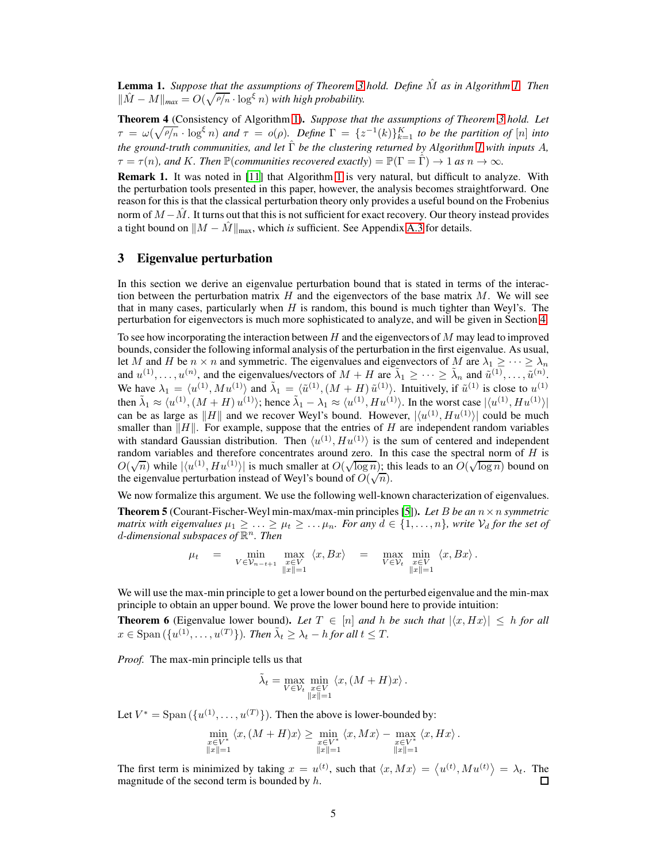**Lemma [1.](#page-3-3)** Suppose that the assumptions of Theorem [3](#page-3-2) hold. Define  $\hat{M}$  as in Algorithm 1. Then  $\|\hat{M} - M\|_{\text{max}} = O(\sqrt{\rho/n} \cdot \log^{\xi} n)$  *with high probability.* 

<span id="page-4-2"></span>Theorem 4 (Consistency of Algorithm [1\)](#page-3-3). *Suppose that the assumptions of Theorem [3](#page-3-2) hold. Let*  $\tau = \omega(\sqrt{\rho/n} \cdot \log^{\xi} n)$  and  $\tau = o(\rho)$ . Define  $\Gamma = \{z^{-1}(k)\}_{k=1}^K$  to be the partition of  $[n]$  into *the ground-truth communities, and let* Γˆ *be the clustering returned by Algorithm [1](#page-3-3) with inputs* A*,*  $\tau = \tau(n)$ , and K. Then  $\mathbb{P}(communities\ received\ exactly) = \mathbb{P}(\Gamma = \hat{\Gamma}) \to 1$  as  $n \to \infty$ .

<span id="page-4-3"></span>Remark 1. It was noted in [\[11\]](#page-9-2) that Algorithm [1](#page-3-3) is very natural, but difficult to analyze. With the perturbation tools presented in this paper, however, the analysis becomes straightforward. One reason for this is that the classical perturbation theory only provides a useful bound on the Frobenius norm of  $M - M$ . It turns out that this is not sufficient for exact recovery. Our theory instead provides a tight bound on  $||M - \hat{M}||_{\text{max}}$ , which *is* sufficient. See Appendix [A.3](#page-11-0) for details.

## <span id="page-4-0"></span>3 Eigenvalue perturbation

In this section we derive an eigenvalue perturbation bound that is stated in terms of the interaction between the perturbation matrix  $H$  and the eigenvectors of the base matrix  $M$ . We will see that in many cases, particularly when  $H$  is random, this bound is much tighter than Weyl's. The perturbation for eigenvectors is much more sophisticated to analyze, and will be given in Section [4.](#page-5-0)

To see how incorporating the interaction between  $H$  and the eigenvectors of  $M$  may lead to improved bounds, consider the following informal analysis of the perturbation in the first eigenvalue. As usual, let M and H be  $n \times n$  and symmetric. The eigenvalues and eigenvectors of M are  $\lambda_1 \geq \cdots \geq \lambda_n$ and  $u^{(1)}, \ldots, u^{(n)}$ , and the eigenvalues/vectors of  $M + H$  are  $\tilde{\lambda}_1 \geq \cdots \geq \tilde{\lambda}_n$  and  $\tilde{u}^{(1)}, \ldots, \tilde{u}^{(n)}$ . We have  $\lambda_1 = \langle u^{(1)}, M u^{(1)} \rangle$  and  $\tilde{\lambda}_1 = \langle \tilde{u}^{(1)}, (M + H) \tilde{u}^{(1)} \rangle$ . Intuitively, if  $\tilde{u}^{(1)}$  is close to  $u^{(1)}$ then  $\tilde{\lambda}_1 \approx \langle u^{(1)}, (M + H) u^{(1)} \rangle$ ; hence  $\tilde{\lambda}_1 - \lambda_1 \approx \langle u^{(1)}, H u^{(1)} \rangle$ . In the worst case  $|\langle u^{(1)}, H u^{(1)} \rangle|$ can be as large as  $||H||$  and we recover Weyl's bound. However,  $|\langle u^{(1)}, H u^{(1)} \rangle|$  could be much smaller than  $||H||$ . For example, suppose that the entries of H are independent random variables with standard Gaussian distribution. Then  $\langle u^{(1)}, H u^{(1)} \rangle$  is the sum of centered and independent random variables and therefore concentrates around zero. In this case the spectral norm of  $H$  is  $O(\sqrt{n})$  while  $|\langle u^{(1)}, Hu^{(1)}\rangle|$  is much smaller at  $O(\sqrt{\log n})$ ; this leads to an  $O(\sqrt{\log n})$  bound on the eigenvalue perturbation instead of Weyl's bound of  $O(\sqrt{n})$ .

We now formalize this argument. We use the following well-known characterization of eigenvalues.

**Theorem 5** (Courant-Fischer-Weyl min-max/max-min principles [\[5\]](#page-9-9)). Let B be an  $n \times n$  *symmetric matrix with eigenvalues*  $\mu_1 \geq \ldots \geq \mu_t \geq \ldots \mu_n$ *. For any*  $d \in \{1, \ldots, n\}$ *, write*  $V_d$  *for the set of* d*-dimensional subspaces of* R <sup>n</sup>*. Then*

$$
\mu_t = \min_{\substack{V \in \mathcal{V}_{n-t+1}}} \max_{\substack{x \in V \\ \|x\|=1}} \langle x, Bx \rangle = \max_{\substack{V \in \mathcal{V}_t \\ \|x\|=1}} \min_{\substack{x \in V \\ \|x\|=1}} \langle x, Bx \rangle.
$$

We will use the max-min principle to get a lower bound on the perturbed eigenvalue and the min-max principle to obtain an upper bound. We prove the lower bound here to provide intuition:

<span id="page-4-1"></span>**Theorem 6** (Eigenvalue lower bound). Let  $T \in [n]$  and h be such that  $|\langle x, Hx \rangle| \leq h$  for all  $x \in \text{Span}(\{u^{(1)}, \ldots, u^{(T)}\})$ *. Then*  $\tilde{\lambda}_t \geq \lambda_t - h$  for all  $t \leq T$ *.* 

*Proof.* The max-min principle tells us that

$$
\tilde{\lambda}_t = \max_{V \in \mathcal{V}_t} \min_{\substack{x \in V \\ \|x\|=1}} \langle x, (M+H)x \rangle.
$$

Let  $V^* = \text{Span}(\{u^{(1)}, \dots, u^{(T)}\})$ . Then the above is lower-bounded by:

$$
\min_{\substack{x \in V^*\\ \|x\|=1}} \langle x, (M+H)x \rangle \ge \min_{\substack{x \in V^*\\ \|x\|=1}} \langle x, Mx \rangle - \max_{\substack{x \in V^*\\ \|x\|=1}} \langle x, Hx \rangle.
$$

The first term is minimized by taking  $x = u^{(t)}$ , such that  $\langle x, Mx \rangle = \langle u^{(t)}, M u^{(t)} \rangle = \lambda_t$ . The magnitude of the second term is bounded by  $h$ . П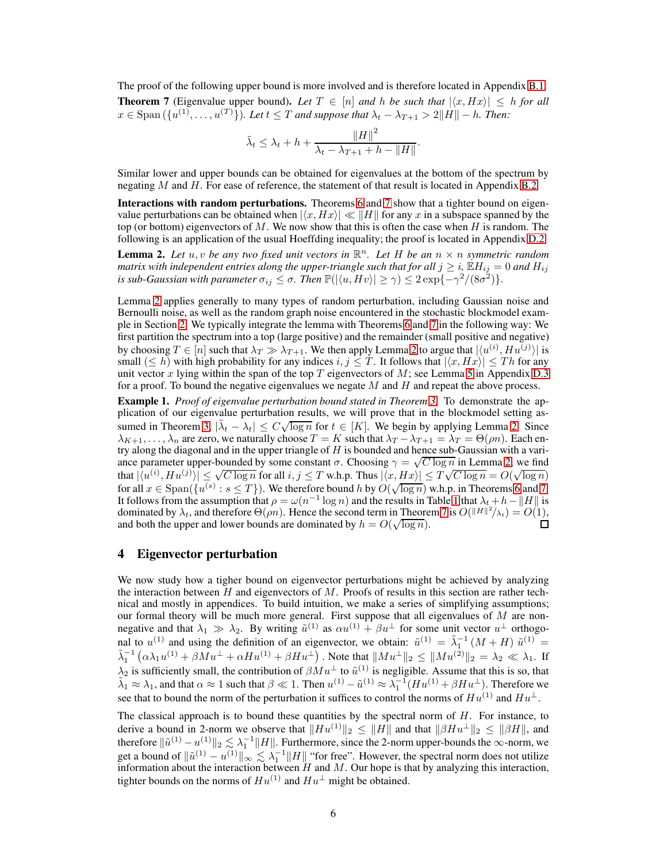<span id="page-5-2"></span>The proof of the following upper bound is more involved and is therefore located in Appendix [B.1.](#page-12-0) **Theorem 7** (Eigenvalue upper bound). Let  $T \in [n]$  and h be such that  $|\langle x, Hx \rangle| \leq h$  for all  $x \in \text{Span}(\{u^{(1)}, \ldots, u^{(T)}\})$ *. Let*  $t \leq T$  *and suppose that*  $\lambda_t - \lambda_{T+1} > 2||H|| - h$ *. Then:* 

$$
\tilde{\lambda}_t \leq \lambda_t + h + \frac{\|H\|^2}{\lambda_t - \lambda_{T+1} + h - \|H\|}.
$$

Similar lower and upper bounds can be obtained for eigenvalues at the bottom of the spectrum by negating  $M$  and  $H$ . For ease of reference, the statement of that result is located in Appendix [B.2.](#page-14-0)

Interactions with random perturbations. Theorems [6](#page-4-1) and [7](#page-5-2) show that a tighter bound on eigenvalue perturbations can be obtained when  $|\langle x, Hx \rangle| \ll ||H||$  for any x in a subspace spanned by the top (or bottom) eigenvectors of M. We now show that this is often the case when H is random. The following is an application of the usual Hoeffding inequality; the proof is located in Appendix [D.2.](#page-22-1)

<span id="page-5-3"></span>**Lemma 2.** Let  $u, v$  be any two fixed unit vectors in  $\mathbb{R}^n$ . Let H be an  $n \times n$  symmetric random *matrix with independent entries along the upper-triangle such that for all*  $j \geq i$ ,  $\mathbb{E}H_{ij} = 0$  *and*  $H_{ij}$ *is sub-Gaussian with parameter*  $\sigma_{ij} \leq \sigma$ . Then  $\mathbb{P}(|\langle u, Hv \rangle| \geq \gamma) \leq 2\exp\{-\gamma^2/(8\sigma^2)\}.$ 

Lemma [2](#page-5-3) applies generally to many types of random perturbation, including Gaussian noise and Bernoulli noise, as well as the random graph noise encountered in the stochastic blockmodel example in Section [2.](#page-2-2) We typically integrate the lemma with Theorems [6](#page-4-1) and [7](#page-5-2) in the following way: We first partition the spectrum into a top (large positive) and the remainder (small positive and negative) by choosing  $T \in [n]$  such that  $\lambda_T \gg \lambda_{T+1}$ . We then apply Lemma [2](#page-5-3) to argue that  $|\langle u^{(i)}, H u^{(j)} \rangle|$  is small  $(\leq h)$  with high probability for any indices  $i, j \leq T$ . It follows that  $|\langle x, Hx \rangle| \leq T h$  for any unit vector x lying within the span of the top  $T$  eigenvectors of  $M$ ; see Lemma [5](#page-23-0) in Appendix [D.3](#page-23-0) for a proof. To bound the negative eigenvalues we negate  $M$  and  $H$  and repeat the above process.

<span id="page-5-1"></span>Example 1. *Proof of eigenvalue perturbation bound stated in Theorem [3.](#page-3-2)* To demonstrate the application of our eigenvalue perturbation results, we will prove that in the blockmodel setting as-sumed in Theorem [3,](#page-3-2)  $|\tilde{\lambda}_t - \lambda_t| \leq C \sqrt{\log n}$  for  $t \in [K]$ . We begin by applying Lemma [2.](#page-5-3) Since  $\lambda_{K+1}, \ldots, \lambda_n$  are zero, we naturally choose  $T = K$  such that  $\lambda_T - \lambda_{T+1} = \lambda_T = \Theta(\rho n)$ . Each entry along the diagonal and in the upper triangle of  $H$  is bounded and hence sub-Gaussian with a variance parameter upper-bounded by some constant  $\sigma$ . Choosing  $\gamma = \sqrt{C \log n}$  in Lemma [2,](#page-5-3) we find that  $|\langle u^{(i)}, Hu^{(j)}\rangle| \leq \sqrt{C \log n}$  for all  $i, j \leq T$  w.h.p. Thus  $|\langle x, Hx \rangle| \leq T\sqrt{C \log n} = O(\sqrt{\log n})$ for all  $x \in \text{Span}(\{u^{(s)} : s \leq T\})$ . We therefore bound h by  $O(\sqrt{\log n})$  w.h.p. in Theorems [6](#page-4-1) and [7.](#page-5-2) It follows from the assumption that  $\rho = \omega(n^{-1} \log n)$  and the results in Table [1](#page-2-1) that  $\lambda_t + h - ||H||$  is dominated by  $\lambda_t$ , and therefore  $\Theta(\rho n)$ . Hence the second term in Theorem [7](#page-5-2) is  $O(||H||^2/\lambda_t) = O(1)$ , and both the upper and lower bounds are dominated by  $h = O(\sqrt{\log n})$ .  $\Box$ 

## <span id="page-5-0"></span>4 Eigenvector perturbation

We now study how a tigher bound on eigenvector perturbations might be achieved by analyzing the interaction between  $H$  and eigenvectors of  $M$ . Proofs of results in this section are rather technical and mostly in appendices. To build intuition, we make a series of simplifying assumptions; our formal theory will be much more general. First suppose that all eigenvalues of  $M$  are nonnegative and that  $\lambda_1 \gg \lambda_2$ . By writing  $\tilde{u}^{(1)}$  as  $\alpha u^{(1)} + \beta u^{\perp}$  for some unit vector  $u^{\perp}$  orthogonal to  $u^{(1)}$  and using the definition of an eigenvector, we obtain:  $\tilde{u}^{(1)} = \tilde{\lambda}_1^{-1} (M + H) \tilde{u}^{(1)} =$  $\tilde{\lambda}_1^{-1}(\alpha \lambda_1 u^{(1)} + \beta M u^{\perp} + \alpha H u^{(1)} + \beta H u^{\perp})$ . Note that  $||Mu^{\perp}||_2 \le ||Mu^{(2)}||_2 = \lambda_2 \ll \lambda_1$ . If  $\lambda_2$  is sufficiently small, the contribution of  $\beta M u^{\perp}$  to  $\tilde{u}^{(1)}$  is negligible. Assume that this is so, that  $\tilde{\lambda}_1 \approx \lambda_1$ , and that  $\alpha \approx 1$  such that  $\beta \ll 1$ . Then  $u^{(1)} - \tilde{u}^{(1)} \approx \lambda_1^{-1} (Hu^{(1)} + \beta Hu^{\perp})$ . Therefore we see that to bound the norm of the perturbation it suffices to control the norms of  $Hu^{(1)}$  and  $Hu^{\perp}$ .

The classical approach is to bound these quantities by the spectral norm of  $H$ . For instance, to derive a bound in 2-norm we observe that  $||Hu^{(1)}||_2 \leq ||H||$  and that  $||\beta Hu^{\perp}||_2 \leq ||\beta H||$ , and therefore  $\|\tilde{u}^{(1)} - u^{(1)}\|_2 \lesssim \lambda_1^{-1} \|H\|_1$ . Furthermore, since the 2-norm upper-bounds the  $\infty$ -norm, we get a bound of  $\|\tilde{u}^{(1)} - u^{(1)}\|_{\infty} \lesssim \lambda_1^{-1} \|H\|$  "for free". However, the spectral norm does not utilize information about the interaction between  $H$  and  $M$ . Our hope is that by analyzing this interaction, tighter bounds on the norms of  $Hu^{(1)}$  and  $Hu^{\perp}$  might be obtained.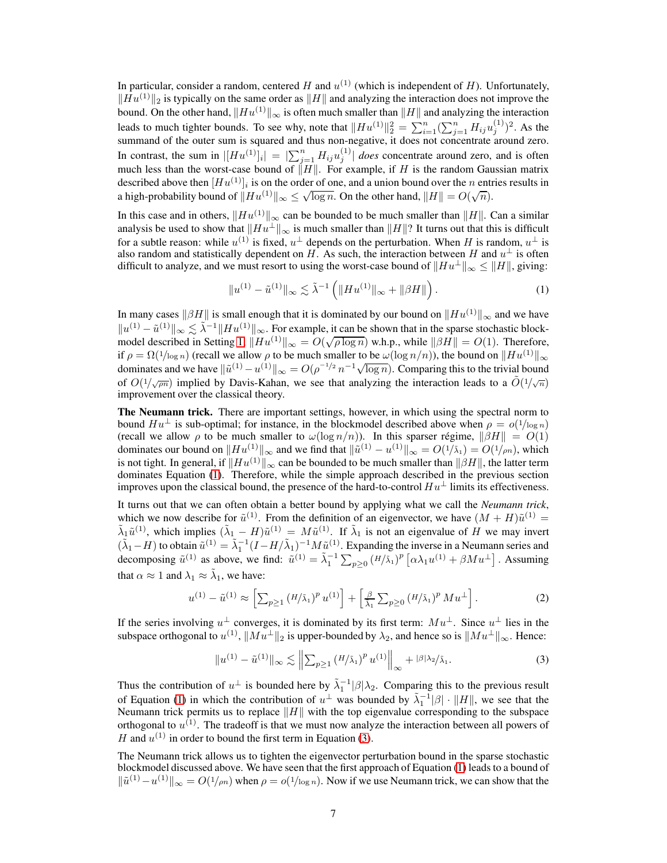In particular, consider a random, centered H and  $u^{(1)}$  (which is independent of H). Unfortunately,  $\|Hu^{(1)}\|_2$  is typically on the same order as  $\|H\|$  and analyzing the interaction does not improve the bound. On the other hand,  $||Hu^{(1)}||_{\infty}$  is often much smaller than  $||H||$  and analyzing the interaction leads to much tighter bounds. To see why, note that  $||Hu^{(1)}||_2^2 = \sum_{i=1}^n (\sum_{j=1}^n H_{ij}u_j^{(1)}$  $j^{(1)}$ )<sup>2</sup>. As the summand of the outer sum is squared and thus non-negative, it does not concentrate around zero. In contrast, the sum in  $|[Hu^{(1)}]_i| = |\sum_{j=1}^n H_{ij}u_j^{(1)}|$  *does* concentrate around zero, and is often much less than the worst-case bound of  $\Vert H \Vert$ . For example, if H is the random Gaussian matrix described above then  $[Hu^{(1)}]_i$  is on the order of one, and a union bound over the n entries results in a high-probability bound of  $||Hu^{(1)}||_{\infty} \leq \sqrt{\log n}$ . On the other hand,  $||H|| = O(\sqrt{n})$ .

In this case and in others,  $\|Hu^{(1)}\|_{\infty}$  can be bounded to be much smaller than  $\|H\|$ . Can a similar analysis be used to show that  $\|Hu^{\perp}\|_{\infty}$  is much smaller than  $\|H\|$ ? It turns out that this is difficult for a subtle reason: while  $u^{(1)}$  is fixed,  $u^{\perp}$  depends on the perturbation. When H is random,  $u^{\perp}$  is also random and statistically dependent on H. As such, the interaction between H and  $u^{\perp}$  is often difficult to analyze, and we must resort to using the worst-case bound of  $||Hu^{\perp}||_{\infty} \le ||H||$ , giving:

<span id="page-6-0"></span>
$$
||u^{(1)} - \tilde{u}^{(1)}||_{\infty} \lesssim \tilde{\lambda}^{-1} \left( ||Hu^{(1)}||_{\infty} + ||\beta H|| \right).
$$
 (1)

In many cases  $\|\beta H\|$  is small enough that it is dominated by our bound on  $\|Hu^{(1)}\|_{\infty}$  and we have  $||u^{(1)} - \tilde{u}^{(1)}||_{\infty} \lesssim \tilde{\lambda}^{-1} ||Hu^{(1)}||_{\infty}$ . For example, it can be shown that in the sparse stochastic block-model described in Setting [1,](#page-2-0)  $\|\widetilde{H}u^{(1)}\|_{\infty} = O(\sqrt{\rho \log n})$  w.h.p., while  $\|\beta H\| = O(1)$ . Therefore, if  $\rho = \Omega(1/\log n)$  (recall we allow  $\rho$  to be much smaller to be  $\omega(\log n/n)$ ), the bound on  $\|Hu^{(1)}\|_{\infty}$ dominates and we have  $\|\tilde{u}^{(1)} - u^{(1)}\|_{\infty} = O(\rho^{-1/2} n^{-1} \sqrt{\log n})$ . Comparing this to the trivial bound of  $O(1/\sqrt{pn})$  implied by Davis-Kahan, we see that analyzing the interaction leads to a  $\tilde{O}(1/\sqrt{n})$ improvement over the classical theory.

The Neumann trick. There are important settings, however, in which using the spectral norm to bound  $Hu^{\perp}$  is sub-optimal; for instance, in the blockmodel described above when  $\rho = o(1/\log n)$ (recall we allow  $\rho$  to be much smaller to  $\omega(\log n/n)$ ). In this sparser régime,  $\|\beta H\| = O(1)$ dominates our bound on  $\|Hu^{(1)}\|_{\infty}$  and we find that  $\|\tilde{u}^{(1)} - u^{(1)}\|_{\infty} = O(1/\lambda_1) = O(1/\rho n)$ , which is not tight. In general, if  $\|Hu^{(1)}\|_{\infty}$  can be bounded to be much smaller than  $\|\beta H\|$ , the latter term dominates Equation [\(1\)](#page-6-0). Therefore, while the simple approach described in the previous section improves upon the classical bound, the presence of the hard-to-control  $Hu^{\perp}$  limits its effectiveness.

It turns out that we can often obtain a better bound by applying what we call the *Neumann trick*, which we now describe for  $\tilde{u}^{(1)}$ . From the definition of an eigenvector, we have  $(M + H)\tilde{u}^{(1)}$  =  $\tilde{\lambda}_1 \tilde{u}^{(1)}$ , which implies  $(\tilde{\lambda}_1 - H) \tilde{u}^{(1)} = M \tilde{u}^{(1)}$ . If  $\tilde{\lambda}_1$  is not an eigenvalue of H we may invert  $(\tilde{\lambda}_1 - H)$  to obtain  $\tilde{u}^{(1)} = \tilde{\lambda}_1^{-1} (I - H/\tilde{\lambda}_1)^{-1} M \tilde{u}^{(1)}$ . Expanding the inverse in a Neumann series and decomposing  $\tilde{u}^{(1)}$  as above, we find:  $\tilde{u}^{(1)} = \tilde{\lambda}_1^{-1} \sum_{p \geq 0} (H/\tilde{\lambda}_1)^p [\alpha \lambda_1 u^{(1)} + \beta M u^{\perp}]$ . Assuming that  $\alpha \approx 1$  and  $\lambda_1 \approx \tilde{\lambda}_1$ , we have:

$$
u^{(1)} - \tilde{u}^{(1)} \approx \left[ \sum_{p \ge 1} \left( H/\tilde{\lambda}_1 \right)^p u^{(1)} \right] + \left[ \frac{\beta}{\tilde{\lambda}_1} \sum_{p \ge 0} \left( H/\tilde{\lambda}_1 \right)^p M u^{\perp} \right]. \tag{2}
$$

If the series involving  $u^{\perp}$  converges, it is dominated by its first term:  $Mu^{\perp}$ . Since  $u^{\perp}$  lies in the subspace orthogonal to  $u^{(1)}$ ,  $||Mu^{\perp}||_2$  is upper-bounded by  $\lambda_2$ , and hence so is  $||Mu^{\perp}||_{\infty}$ . Hence:

<span id="page-6-1"></span>
$$
||u^{(1)} - \tilde{u}^{(1)}||_{\infty} \lesssim \left\| \sum_{p \ge 1} (H/\tilde{\lambda}_1)^p u^{(1)} \right\|_{\infty} + |\beta| \lambda_2 / \tilde{\lambda}_1. \tag{3}
$$

Thus the contribution of  $u^{\perp}$  is bounded here by  $\tilde{\lambda}_1^{-1}|\beta|\lambda_2$ . Comparing this to the previous result of Equation [\(1\)](#page-6-0) in which the contribution of  $u^{\perp}$  was bounded by  $\tilde{\lambda}_1^{-1}|\beta| \cdot ||H||$ , we see that the Neumann trick permits us to replace  $||H||$  with the top eigenvalue corresponding to the subspace orthogonal to  $u^{(1)}$ . The tradeoff is that we must now analyze the interaction between all powers of H and  $u^{(1)}$  in order to bound the first term in Equation [\(3\)](#page-6-1).

The Neumann trick allows us to tighten the eigenvector perturbation bound in the sparse stochastic blockmodel discussed above. We have seen that the first approach of Equation [\(1\)](#page-6-0) leads to a bound of  $\|\tilde{u}^{(1)}-u^{(1)}\|_{\infty} = O(1/\rho n)$  when  $\rho = o(1/\log n)$ . Now if we use Neumann trick, we can show that the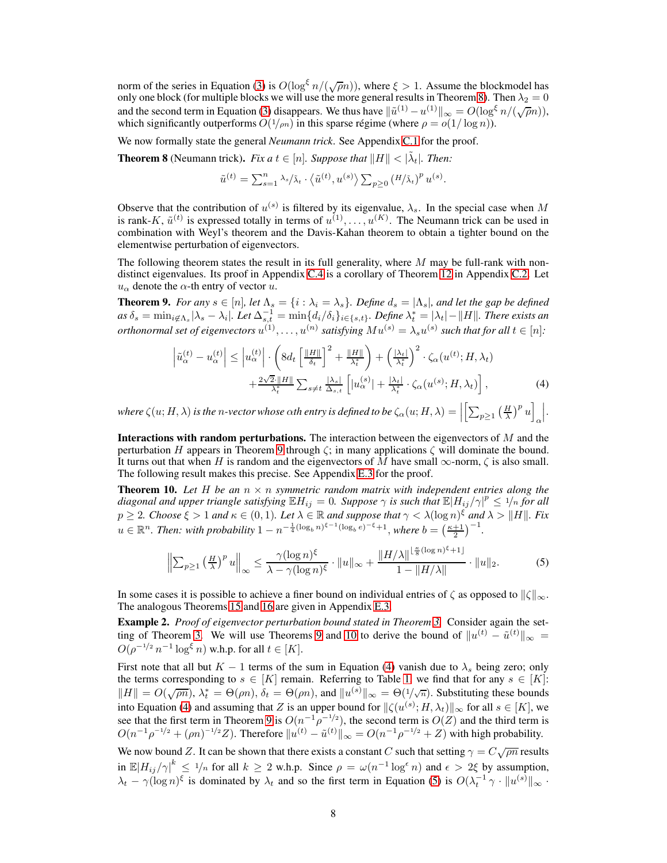norm of the series in Equation [\(3\)](#page-6-1) is  $O(\log^{\xi} n/(\sqrt{\rho}n))$ , where  $\xi > 1$ . Assume the blockmodel has only one block (for multiple blocks we will use the more general results in Theorem [8\)](#page-7-1). Then  $\lambda_2 = 0$ and the second term in Equation [\(3\)](#page-6-1) disappears. We thus have  $\|\tilde{u}^{(1)} - u^{(1)}\|_{\infty} = O(\log^{\xi} n/(\sqrt{\rho}n)),$ which significantly outperforms  $O(1/m)$  in this sparse régime (where  $\rho = o(1/\log n)$ ).

<span id="page-7-1"></span>We now formally state the general *Neumann trick*. See Appendix [C.1](#page-14-1) for the proof.

**Theorem 8** (Neumann trick). *Fix a*  $t \in [n]$ . *Suppose that*  $||H|| < |\tilde{\lambda}_t|$ . *Then:* 

$$
\tilde{u}^{(t)} = \sum_{s=1}^n \lambda_s / \tilde{\lambda}_t \cdot \langle \tilde{u}^{(t)}, u^{(s)} \rangle \sum_{p \geq 0} (H / \tilde{\lambda}_t)^p u^{(s)}.
$$

Observe that the contribution of  $u^{(s)}$  is filtered by its eigenvalue,  $\lambda_s$ . In the special case when M is rank-K,  $\tilde{u}^{(t)}$  is expressed totally in terms of  $u^{(1)}, \ldots, u^{(K)}$ . The Neumann trick can be used in combination with Weyl's theorem and the Davis-Kahan theorem to obtain a tighter bound on the elementwise perturbation of eigenvectors.

The following theorem states the result in its full generality, where  $M$  may be full-rank with nondistinct eigenvalues. Its proof in Appendix C.4 is a corollary of Theorem [12](#page-15-0) in Appendix [C.2.](#page-15-0) Let  $u_{\alpha}$  denote the  $\alpha$ -th entry of vector u.

<span id="page-7-2"></span>**Theorem 9.** *For any*  $s \in [n]$ *, let*  $\Lambda_s = \{i : \lambda_i = \lambda_s\}$ *. Define*  $d_s = |\Lambda_s|$ *, and let the gap be defined*  $as\ \delta_s=\min_{i\not\in \Lambda_s}|\lambda_s-\lambda_i|$ . Let  $\Delta_{s,t}^{-1}=\min\{d_i/\delta_i\}_{i\in\{s,t\}}$ . Define  $\lambda_t^*=\vert\lambda_t\vert-\Vert H\Vert$ . There exists an *orthonormal set of eigenvectors*  $u^{(1)}, \ldots, u^{(n)}$  *satisfying*  $Mu^{(s)} = \lambda_s u^{(s)}$  *such that for all*  $t \in [n]$ *:* 

<span id="page-7-4"></span>
$$
\left|\tilde{u}_{\alpha}^{(t)} - u_{\alpha}^{(t)}\right| \leq \left|u_{\alpha}^{(t)}\right| \cdot \left(8d_{t}\left[\frac{\|H\|}{\delta_{t}}\right]^{2} + \frac{\|H\|}{\lambda_{t}^{*}}\right) + \left(\frac{|\lambda_{t}|}{\lambda_{t}^{*}}\right)^{2} \cdot \zeta_{\alpha}(u^{(t)}; H, \lambda_{t}) + \frac{2\sqrt{2}\cdot\|H\|}{\lambda_{t}^{*}}\sum_{s \neq t} \frac{|\lambda_{s}|}{\Delta_{s,t}}\left[|u_{\alpha}^{(s)}| + \frac{|\lambda_{t}|}{\lambda_{t}^{*}} \cdot \zeta_{\alpha}(u^{(s)}; H, \lambda_{t})\right],
$$
\n(4)

*where*  $\zeta(u;H,\lambda)$  *is the n-vector whose*  $\alpha$ *th entry is defined to be*  $\zeta_{\alpha}(u;H,\lambda) = \Big|$  $\left[\sum_{p\geq 1} \left(\frac{H}{\lambda}\right)^p u\right]$ α   .

**Interactions with random perturbations.** The interaction between the eigenvectors of  $M$  and the perturbation H appears in Theorem [9](#page-7-2) through  $\zeta$ ; in many applications  $\zeta$  will dominate the bound. It turns out that when H is random and the eigenvectors of M have small  $\infty$ -norm,  $\zeta$  is also small. The following result makes this precise. See Appendix E.3 for the proof.

<span id="page-7-3"></span>**Theorem 10.** Let H be an  $n \times n$  symmetric random matrix with independent entries along the *diagonal and upper triangle satisfying*  $\mathbb{E}H_{ij} = 0$ . Suppose  $\gamma$  is such that  $\mathbb{E}|H_{ij}/\gamma|^p \le 1/n$  for all  $p \ge 2$ *. Choose*  $\xi > 1$  *and*  $\kappa \in (0,1)$ *. Let*  $\lambda \in \mathbb{R}$  *and suppose that*  $\gamma < \lambda(\log n)^{\xi}$  *and*  $\lambda > ||H||$ *. Fix*  $u \in \mathbb{R}^n$ . Then: with probability  $1 - n^{-\frac{1}{4}(\log_b n)^{\xi - 1}(\log_b e)^{-\xi} + 1}$ , where  $b = \left(\frac{\kappa + 1}{2}\right)^{-1}$ .

<span id="page-7-5"></span>
$$
\left\| \sum_{p\geq 1} \left( \frac{H}{\lambda} \right)^p u \right\|_{\infty} \leq \frac{\gamma (\log n)^{\xi}}{\lambda - \gamma (\log n)^{\xi}} \cdot \|u\|_{\infty} + \frac{\|H/\lambda\|^{\frac{\kappa}{8}(\log n)^{\xi} + 1]}}{1 - \|H/\lambda\|} \cdot \|u\|_{2}.
$$
 (5)

In some cases it is possible to achieve a finer bound on individual entries of  $\zeta$  as opposed to  $\|\zeta\|_{\infty}$ . The analogous Theorems [15](#page-24-0) and [16](#page-24-1) are given in Appendix [E.3.](#page-39-0)

<span id="page-7-0"></span>Example 2. *Proof of eigenvector perturbation bound stated in Theorem [3.](#page-3-2)* Consider again the set-ting of Theorem [3.](#page-3-2) We will use Theorems [9](#page-7-2) and [10](#page-7-3) to derive the bound of  $||u^{(t)} - \tilde{u}^{(t)}||_{\infty} =$  $O(\rho^{-1/2} n^{-1} \log^{\xi} n)$  w.h.p. for all  $t \in [K]$ .

First note that all but  $K - 1$  terms of the sum in Equation [\(4\)](#page-7-4) vanish due to  $\lambda_s$  being zero; only the terms corresponding to  $s \in [K]$  remain. Referring to Table [1,](#page-2-1) we find that for any  $s \in [K]$ :  $||H|| = O(\sqrt{\rho n})$ ,  $\lambda_t^* = \Theta(\rho n)$ ,  $\delta_t = \Theta(\rho n)$ , and  $||u^{(s)}||_{\infty} = \Theta(\frac{1}{\sqrt{n}})$ . Substituting these bounds into Equation [\(4\)](#page-7-4) and assuming that Z is an upper bound for  $\|\zeta(u^{(s)}; H, \lambda_t)\|_{\infty}$  for all  $s \in [K]$ , we see that the first term in Theorem [9](#page-7-2) is  $O(n^{-1}\rho^{-1/2})$ , the second term is  $O(Z)$  and the third term is  $O(n^{-1}\rho^{-1/2} + (\rho n)^{-1/2}Z)$ . Therefore  $||u^{(t)} - \tilde{u}^{(t)}||_{\infty} = O(n^{-1}\rho^{-1/2} + Z)$  with high probability. We now bound Z. It can be shown that there exists a constant C such that setting  $\gamma = C \sqrt{\rho n}$  results

in  $\mathbb{E}|H_{ij}/\gamma|^k \leq 1/n$  for all  $k \geq 2$  w.h.p. Since  $\rho = \omega(n^{-1} \log^{\epsilon} n)$  and  $\epsilon > 2\xi$  by assumption,  $\lambda_t - \gamma (\log n)^{\xi}$  is dominated by  $\lambda_t$  and so the first term in Equation [\(5\)](#page-7-5) is  $O(\lambda_t^{-1} \gamma \cdot ||u^{(s)}||_{\infty}$ .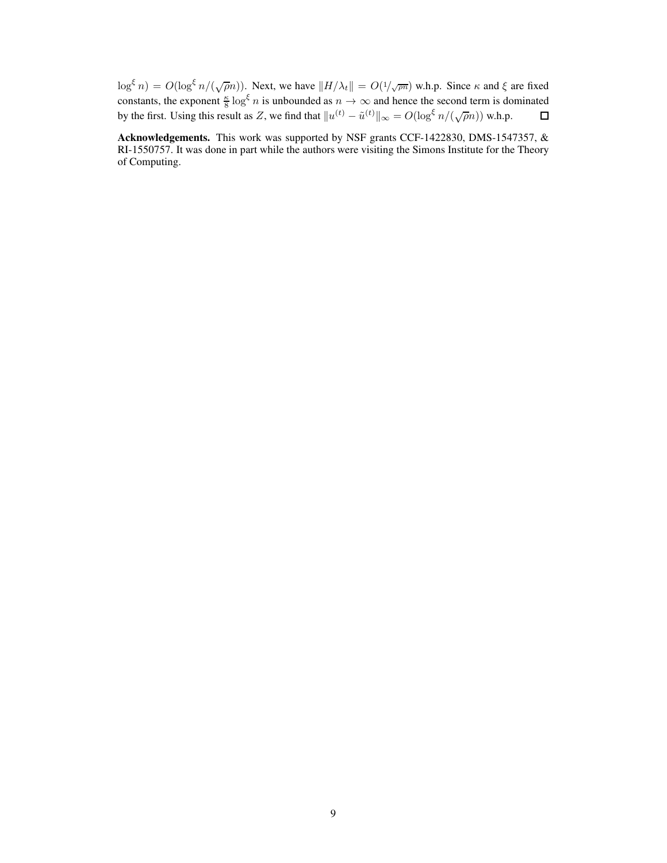$\log^{\xi} n$ ) =  $O(\log^{\xi} n/(\sqrt{\rho}n))$ . Next, we have  $||H/\lambda_t|| = O(1/\sqrt{\rho n})$  w.h.p. Since  $\kappa$  and  $\xi$  are fixed constants, the exponent  $\frac{\kappa}{8} \log^6 n$  is unbounded as  $n \to \infty$  and hence the second term is dominated by the first. Using this result as Z, we find that  $||u^{(t)} - \tilde{u}^{(t)}||_{\infty} = O(\log^{\xi} n / (\sqrt{\rho}n))$  w.h.p.

Acknowledgements. This work was supported by NSF grants CCF-1422830, DMS-1547357, & RI-1550757. It was done in part while the authors were visiting the Simons Institute for the Theory of Computing.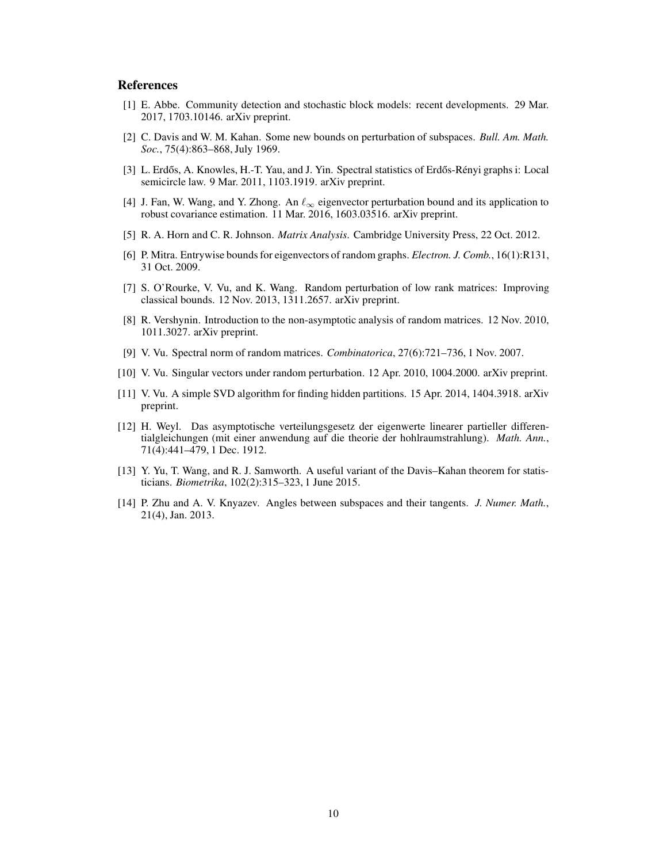## References

- <span id="page-9-8"></span>[1] E. Abbe. Community detection and stochastic block models: recent developments. 29 Mar. 2017, 1703.10146. arXiv preprint.
- <span id="page-9-1"></span>[2] C. Davis and W. M. Kahan. Some new bounds on perturbation of subspaces. *Bull. Am. Math. Soc.*, 75(4):863–868, July 1969.
- <span id="page-9-6"></span>[3] L. Erdős, A. Knowles, H.-T. Yau, and J. Yin. Spectral statistics of Erdős-Rényi graphs i: Local semicircle law. 9 Mar. 2011, 1103.1919. arXiv preprint.
- <span id="page-9-3"></span>[4] J. Fan, W. Wang, and Y. Zhong. An  $\ell_{\infty}$  eigenvector perturbation bound and its application to robust covariance estimation. 11 Mar. 2016, 1603.03516. arXiv preprint.
- <span id="page-9-9"></span>[5] R. A. Horn and C. R. Johnson. *Matrix Analysis*. Cambridge University Press, 22 Oct. 2012.
- <span id="page-9-7"></span>[6] P. Mitra. Entrywise bounds for eigenvectors of random graphs. *Electron. J. Comb.*, 16(1):R131, 31 Oct. 2009.
- <span id="page-9-5"></span>[7] S. O'Rourke, V. Vu, and K. Wang. Random perturbation of low rank matrices: Improving classical bounds. 12 Nov. 2013, 1311.2657. arXiv preprint.
- <span id="page-9-13"></span>[8] R. Vershynin. Introduction to the non-asymptotic analysis of random matrices. 12 Nov. 2010, 1011.3027. arXiv preprint.
- <span id="page-9-12"></span>[9] V. Vu. Spectral norm of random matrices. *Combinatorica*, 27(6):721–736, 1 Nov. 2007.
- <span id="page-9-4"></span>[10] V. Vu. Singular vectors under random perturbation. 12 Apr. 2010, 1004.2000. arXiv preprint.
- <span id="page-9-2"></span>[11] V. Vu. A simple SVD algorithm for finding hidden partitions. 15 Apr. 2014, 1404.3918. arXiv preprint.
- <span id="page-9-0"></span>[12] H. Weyl. Das asymptotische verteilungsgesetz der eigenwerte linearer partieller differentialgleichungen (mit einer anwendung auf die theorie der hohlraumstrahlung). *Math. Ann.*, 71(4):441–479, 1 Dec. 1912.
- <span id="page-9-11"></span>[13] Y. Yu, T. Wang, and R. J. Samworth. A useful variant of the Davis–Kahan theorem for statisticians. *Biometrika*, 102(2):315–323, 1 June 2015.
- <span id="page-9-10"></span>[14] P. Zhu and A. V. Knyazev. Angles between subspaces and their tangents. *J. Numer. Math.*, 21(4), Jan. 2013.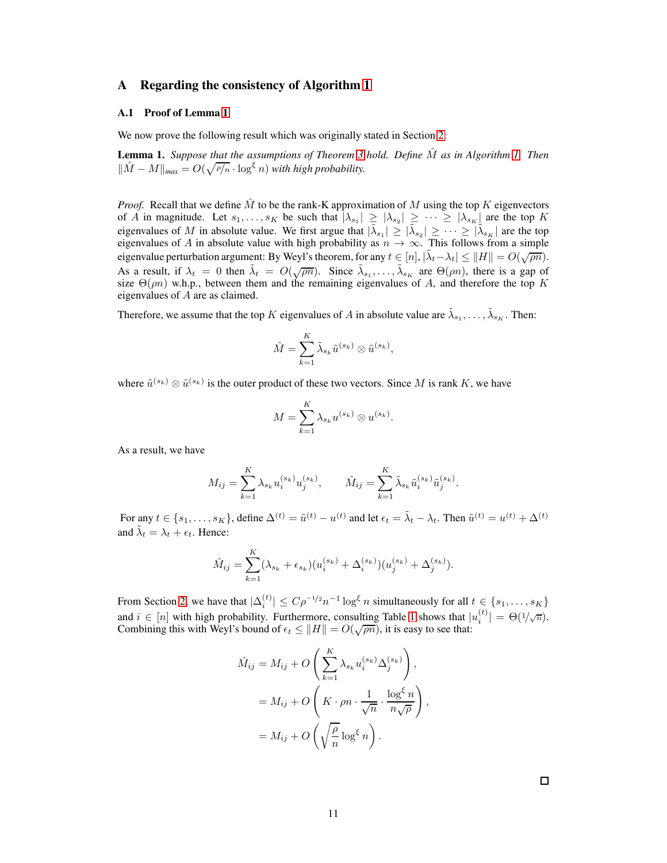# <span id="page-10-0"></span>A Regarding the consistency of Algorithm [1](#page-3-3)

## A.1 Proof of Lemma [1](#page-3-4)

We now prove the following result which was originally stated in Section [2:](#page-2-2)

Lemma 1. *Suppose that the assumptions of Theorem [3](#page-3-2) hold. Define* Mˆ *as in Algorithm [1.](#page-3-3) Then*  $\|\hat{M} - M\|_{\text{max}} = O(\sqrt{\rho/n} \cdot \log^{\xi} n)$  *with high probability.* 

*Proof.* Recall that we define  $\hat{M}$  to be the rank-K approximation of M using the top K eigenvectors of A in magnitude. Let  $s_1, \ldots, s_K$  be such that  $|\lambda_{s_1}| \geq |\lambda_{s_2}| \geq \cdots \geq |\lambda_{s_K}|$  are the top K eigenvalues of M in absolute value. We first argue that  $|\tilde{\lambda}_{s_1}| \geq |\tilde{\lambda}_{s_2}| \geq \cdots \geq |\tilde{\lambda}_{s_K}|$  are the top eigenvalues of A in absolute value with high probability as  $n \to \infty$ . This follows from a simple eigenvalue perturbation argument: By Weyl's theorem, for any  $t \in [n]$ ,  $|\tilde{\lambda}_t - \lambda_t| \leq ||H|| = O(\sqrt{pn})$ . As a result, if  $\lambda_t = 0$  then  $\tilde{\lambda}_t = O(\sqrt{\rho n})$ . Since  $\tilde{\lambda}_{s_1}, \dots, \tilde{\lambda}_{s_K}$  are  $\Theta(\rho n)$ , there is a gap of size  $\Theta(m)$  w.h.p., between them and the remaining eigenvalues of A, and therefore the top K eigenvalues of A are as claimed.

Therefore, we assume that the top K eigenvalues of A in absolute value are  $\tilde{\lambda}_{s_1}, \ldots, \tilde{\lambda}_{s_K}$ . Then:

$$
\hat{M} = \sum_{k=1}^K \tilde{\lambda}_{s_k} \tilde{u}^{(s_k)} \otimes \tilde{u}^{(s_k)},
$$

where  $\tilde{u}^{(s_k)} \otimes \tilde{u}^{(s_k)}$  is the outer product of these two vectors. Since M is rank K, we have

$$
M = \sum_{k=1}^{K} \lambda_{s_k} u^{(s_k)} \otimes u^{(s_k)}.
$$

As a result, we have

$$
M_{ij} = \sum_{k=1}^{K} \lambda_{s_k} u_i^{(s_k)} u_j^{(s_k)}, \qquad \hat{M}_{ij} = \sum_{k=1}^{K} \tilde{\lambda}_{s_k} \tilde{u}_i^{(s_k)} \tilde{u}_j^{(s_k)}.
$$

For any  $t \in \{s_1, \ldots, s_K\}$ , define  $\Delta^{(t)} = \tilde{u}^{(t)} - u^{(t)}$  and let  $\epsilon_t = \tilde{\lambda}_t - \lambda_t$ . Then  $\tilde{u}^{(t)} = u^{(t)} + \Delta^{(t)}$ and  $\tilde{\lambda}_t = \lambda_t + \epsilon_t$ . Hence:

$$
\hat{M}_{ij} = \sum_{k=1}^{K} (\lambda_{s_k} + \epsilon_{s_k}) (u_i^{(s_k)} + \Delta_i^{(s_k)}) (u_j^{(s_k)} + \Delta_j^{(s_k)}).
$$

From Section [2,](#page-2-2) we have that  $|\Delta_i^{(t)}| \leq C \rho^{-1/2} n^{-1} \log^{\xi} n$  simultaneously for all  $t \in \{s_1, \ldots, s_K\}$ and  $i \in [n]$  with high probability. Furthermore, consulting Table [1](#page-2-1) shows that  $|u_i^{(t)}\rangle$  $\left| \binom{t}{i} \right| = \Theta(1/\sqrt{n}).$ Combining this with Weyl's bound of  $\epsilon_t \leq ||H|| = O(\sqrt{\rho n})$ , it is easy to see that:

$$
\hat{M}_{ij} = M_{ij} + O\left(\sum_{k=1}^{K} \lambda_{s_k} u_i^{(s_k)} \Delta_j^{(s_k)}\right),
$$
  
=  $M_{ij} + O\left(K \cdot \rho n \cdot \frac{1}{\sqrt{n}} \cdot \frac{\log^{\xi} n}{n\sqrt{\rho}}\right),$   
=  $M_{ij} + O\left(\sqrt{\frac{\rho}{n}} \log^{\xi} n\right).$ 

 $\Box$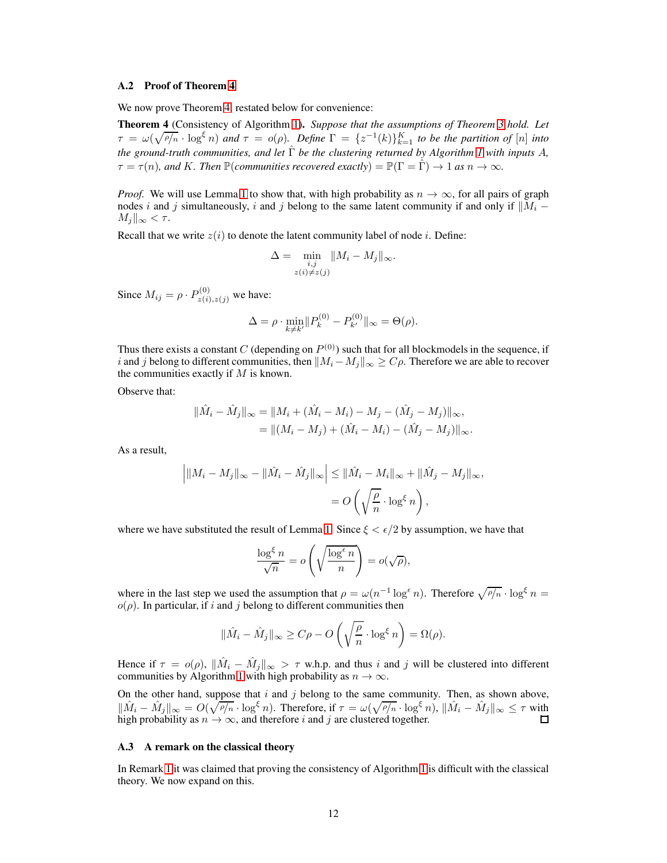#### A.2 Proof of Theorem [4](#page-4-2)

We now prove Theorem [4,](#page-4-2) restated below for convenience:

Theorem 4 (Consistency of Algorithm [1\)](#page-3-3). *Suppose that the assumptions of Theorem [3](#page-3-2) hold. Let*  $\tau = \omega(\sqrt{\rho/n} \cdot \log^{\xi} n)$  and  $\tau = o(\rho)$ . Define  $\Gamma = \{z^{-1}(k)\}_{k=1}^K$  to be the partition of  $[n]$  into *the ground-truth communities, and let* Γˆ *be the clustering returned by Algorithm [1](#page-3-3) with inputs* A*,*  $\tau = \tau(n)$ *, and K. Then*  $\mathbb{P}(commu$ *nities recovered exactly* $) = \mathbb{P}(\Gamma = \hat{\Gamma}) \rightarrow 1$  *as*  $n \rightarrow \infty$ *.* 

*Proof.* We will use Lemma [1](#page-3-4) to show that, with high probability as  $n \to \infty$ , for all pairs of graph nodes i and j simultaneously, i and j belong to the same latent community if and only if  $||M_i M_i\|_{\infty} < \tau.$ 

Recall that we write  $z(i)$  to denote the latent community label of node *i*. Define:

$$
\Delta = \min_{\substack{i,j \\ z(i) \neq z(j)}} \|M_i - M_j\|_{\infty}.
$$

Since  $M_{ij} = \rho \cdot P_{z(i), z(j)}^{(0)}$  we have:

$$
\Delta = \rho \cdot \min_{k \neq k'} \| P_k^{(0)} - P_{k'}^{(0)} \|_{\infty} = \Theta(\rho).
$$

Thus there exists a constant C (depending on  $P^{(0)}$ ) such that for all blockmodels in the sequence, if i and j belong to different communities, then  $||M_i - M_j||_{\infty} \ge C\rho$ . Therefore we are able to recover the communities exactly if  $M$  is known.

Observe that:

$$
\|\hat{M}_i - \hat{M}_j\|_{\infty} = \|M_i + (\hat{M}_i - M_i) - M_j - (\hat{M}_j - M_j)\|_{\infty},
$$
  
= 
$$
\|(M_i - M_j) + (\hat{M}_i - M_i) - (\hat{M}_j - M_j)\|_{\infty}.
$$

As a result,

$$
\left| \|M_i - M_j\|_{\infty} - \|\hat{M}_i - \hat{M}_j\|_{\infty} \right| \leq \|\hat{M}_i - M_i\|_{\infty} + \|\hat{M}_j - M_j\|_{\infty},
$$
  
=  $O\left(\sqrt{\frac{\rho}{n}} \cdot \log^{\epsilon} n\right),$ 

where we have substituted the result of Lemma [1.](#page-3-4) Since  $\xi < \epsilon/2$  by assumption, we have that

$$
\frac{\log^{\xi} n}{\sqrt{n}} = o\left(\sqrt{\frac{\log^{\epsilon} n}{n}}\right) = o(\sqrt{\rho}),
$$

where in the last step we used the assumption that  $\rho = \omega(n^{-1} \log^{\epsilon} n)$ . Therefore  $\sqrt{\rho/n} \cdot \log^{\xi} n =$  $o(\rho)$ . In particular, if i and j belong to different communities then

$$
\|\hat{M}_i - \hat{M}_j\|_{\infty} \ge C\rho - O\left(\sqrt{\frac{\rho}{n}} \cdot \log^{\xi} n\right) = \Omega(\rho).
$$

Hence if  $\tau = o(\rho)$ ,  $\|\hat{M}_i - \hat{M}_j\|_{\infty} > \tau$  w.h.p. and thus i and j will be clustered into different communities by Algorithm [1](#page-3-3) with high probability as  $n \to \infty$ .

On the other hand, suppose that  $i$  and  $j$  belong to the same community. Then, as shown above,  $\|\hat{M}_i - \hat{M}_j\|_{\infty} = O(\sqrt{\rho/n} \cdot \log^{\xi} n)$ . Therefore, if  $\tau = \omega(\sqrt{\rho/n} \cdot \log^{\xi} n)$ ,  $\|\hat{M}_i - \hat{M}_j\|_{\infty} \leq \tau$  with high probability as  $n \to \infty$ , and therefore i and j are clustered together.

#### <span id="page-11-0"></span>A.3 A remark on the classical theory

In Remark [1](#page-4-3) it was claimed that proving the consistency of Algorithm [1](#page-3-3) is difficult with the classical theory. We now expand on this.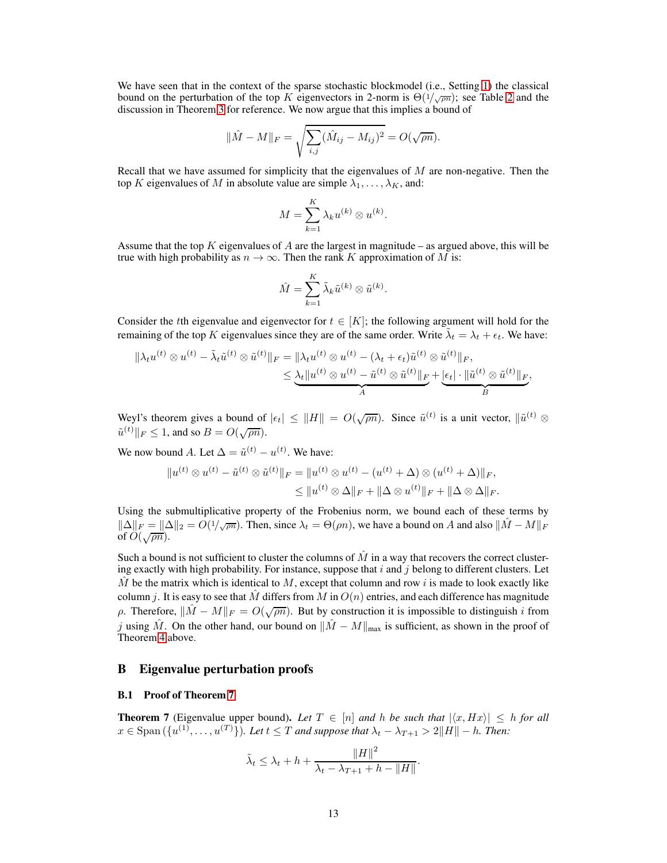We have seen that in the context of the sparse stochastic blockmodel (i.e., Setting [1\)](#page-2-0) the classical bound on the perturbation of the top K eigenvectors in [2](#page-3-0)-norm is  $\Theta(1/\sqrt{pn})$ ; see Table 2 and the discussion in Theorem [3](#page-3-2) for reference. We now argue that this implies a bound of

$$
\|\hat{M} - M\|_{F} = \sqrt{\sum_{i,j} (\hat{M}_{ij} - M_{ij})^{2}} = O(\sqrt{\rho n}).
$$

Recall that we have assumed for simplicity that the eigenvalues of  $M$  are non-negative. Then the top K eigenvalues of M in absolute value are simple  $\lambda_1, \ldots, \lambda_K$ , and:

$$
M = \sum_{k=1}^{K} \lambda_k u^{(k)} \otimes u^{(k)}.
$$

Assume that the top  $K$  eigenvalues of  $A$  are the largest in magnitude – as argued above, this will be true with high probability as  $n \to \infty$ . Then the rank K approximation of M is:

$$
\hat{M} = \sum_{k=1}^{K} \tilde{\lambda}_k \tilde{u}^{(k)} \otimes \tilde{u}^{(k)}.
$$

Consider the tth eigenvalue and eigenvector for  $t \in [K]$ ; the following argument will hold for the remaining of the top K eigenvalues since they are of the same order. Write  $\tilde{\lambda}_t = \lambda_t + \epsilon_t$ . We have:

$$
\|\lambda_t u^{(t)} \otimes u^{(t)} - \tilde{\lambda}_t \tilde{u}^{(t)} \otimes \tilde{u}^{(t)}\|_F = \|\lambda_t u^{(t)} \otimes u^{(t)} - (\lambda_t + \epsilon_t) \tilde{u}^{(t)} \otimes \tilde{u}^{(t)}\|_F, \\
\leq \underbrace{\lambda_t \|u^{(t)} \otimes u^{(t)} - \tilde{u}^{(t)} \otimes \tilde{u}^{(t)}\|_F}_{A} + \underbrace{|\epsilon_t| \cdot \|\tilde{u}^{(t)} \otimes \tilde{u}^{(t)}\|_F}_{B},
$$

Weyl's theorem gives a bound of  $|\epsilon_t| \leq ||H|| = O(\sqrt{\rho n})$ . Since  $\tilde{u}^{(t)}$  is a unit vector,  $||\tilde{u}^{(t)} \otimes$  $\tilde{u}^{(t)} \|_F \leq 1$ , and so  $B = O(\sqrt{\rho n})$ .

We now bound A. Let  $\Delta = \tilde{u}^{(t)} - u^{(t)}$ . We have:

$$
||u^{(t)} \otimes u^{(t)} - \tilde{u}^{(t)} \otimes \tilde{u}^{(t)}||_F = ||u^{(t)} \otimes u^{(t)} - (u^{(t)} + \Delta) \otimes (u^{(t)} + \Delta)||_F,
$$
  

$$
\leq ||u^{(t)} \otimes \Delta||_F + ||\Delta \otimes u^{(t)}||_F + ||\Delta \otimes \Delta||_F.
$$

Using the submultiplicative property of the Frobenius norm, we bound each of these terms by  $\|\Delta\|_F = \|\Delta\|_2 = O(1/\sqrt{\rho n})$ . Then, since  $\lambda_t = \Theta(\rho n)$ , we have a bound on A and also  $\|\hat{M} - M\|_F$ of  $\overline{O(\sqrt{\rho n}})$ .

Such a bound is not sufficient to cluster the columns of  $\hat{M}$  in a way that recovers the correct clustering exactly with high probability. For instance, suppose that  $i$  and  $j$  belong to different clusters. Let M be the matrix which is identical to M, except that column and row i is made to look exactly like column j. It is easy to see that M differs from M in  $O(n)$  entries, and each difference has magnitude ρ. Therefore,  $\|\hat{M} - M\|_F = O(\sqrt{\rho n})$ . But by construction it is impossible to distinguish *i* from j using  $\hat{M}$ . On the other hand, our bound on  $\|\hat{M} - M\|_{\max}$  is sufficient, as shown in the proof of Theorem [4](#page-4-2) above.

## B Eigenvalue perturbation proofs

## <span id="page-12-0"></span>B.1 Proof of Theorem [7](#page-5-2)

**Theorem 7** (Eigenvalue upper bound). Let  $T \in [n]$  and h be such that  $|\langle x, Hx \rangle| \leq h$  for all  $x \in \text{Span}(\{u^{(1)}, \ldots, u^{(T)}\})$ *. Let*  $t \leq T$  *and suppose that*  $\lambda_t - \lambda_{T+1} > 2||H|| - h$ *. Then:* 

$$
\tilde{\lambda}_t \leq \lambda_t + h + \frac{\|H\|^2}{\lambda_t - \lambda_{T+1} + h - \|H\|}.
$$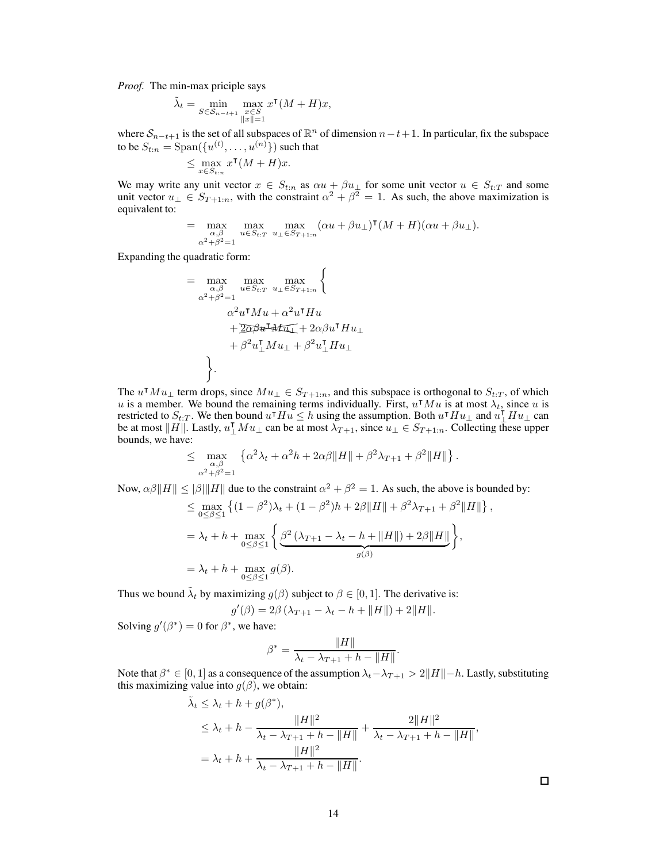*Proof.* The min-max priciple says

$$
\tilde{\lambda}_t = \min_{S \in \mathcal{S}_{n-t+1}} \max_{\substack{x \in S \\ \|x\| = 1}} x^{\mathsf{T}} (M + H) x,
$$

where  $S_{n-t+1}$  is the set of all subspaces of  $\mathbb{R}^n$  of dimension  $n-t+1$ . In particular, fix the subspace to be  $S_{t:n} = \text{Span}(\{u^{(t)}, \ldots, u^{(n)}\})$  such that

$$
\leq \max_{x\in S_{t:n}} x^\intercal (M+H)x.
$$

We may write any unit vector  $x \in S_{t:n}$  as  $\alpha u + \beta u_{\perp}$  for some unit vector  $u \in S_{t:T}$  and some unit vector  $u_{\perp} \in S_{T+1:n}$ , with the constraint  $\alpha^2 + \beta^2 = 1$ . As such, the above maximization is equivalent to:

$$
= \max_{\substack{\alpha,\beta \\ \alpha^2 + \beta^2 = 1}} \max_{u \in S_{t:T}} \max_{u_\perp \in S_{T+1:n}} (\alpha u + \beta u_\perp)^\mathsf{T} (M + H) (\alpha u + \beta u_\perp).
$$

Expanding the quadratic form:

$$
= \max_{\substack{\alpha,\beta \\ \alpha^2+\beta^2=1}} \max_{u \in S_{t:T}} \max_{u_{\perp} \in S_{T+1:n}} \left\{ \begin{array}{c} \n\alpha^2 u^{\intercal} M u + \alpha^2 u^{\intercal} H u \\
\alpha^2 u^{\intercal} M u + \alpha^2 u^{\intercal} H u \\
\quad + \underline{2\alpha \beta u^{\intercal}} M \underline{u_{\perp}} + 2\alpha \beta u^{\intercal} H u_{\perp} \\
\quad + \beta^2 u_{\perp}^{\intercal} M u_{\perp} + \beta^2 u_{\perp}^{\intercal} H u_{\perp} \n\end{array} \right\}.
$$

The  $u \cdot M u_{\perp}$  term drops, since  $Mu_{\perp} \in S_{T+1:n}$ , and this subspace is orthogonal to  $S_{t:T}$ , of which u is a member. We bound the remaining terms individually. First,  $u \cdot M u$  is at most  $\lambda_t$ , since u is restricted to  $S_{t:T}$ . We then bound  $u^{\mathsf{T}}Hu \leq h$  using the assumption. Both  $u^{\mathsf{T}}Hu_{\perp}$  and  $u^{\mathsf{T}}_1Hu_{\perp}$  can be at most  $\parallel$ be at most  $||H||$ . Lastly,  $u_{\perp}^{\mathsf{T}} Mu_{\perp}$  can be at most  $\lambda_{T+1}$ , since  $u_{\perp} \in S_{T+1:n}$ . Collecting these upper bounds, we have:

$$
\leq \max_{\substack{\alpha,\beta \\ \alpha^2+\beta^2=1}} \left\{ \alpha^2 \lambda_t + \alpha^2 h + 2\alpha\beta \|H\| + \beta^2 \lambda_{T+1} + \beta^2 \|H\| \right\}.
$$

Now,  $\alpha\beta||H|| \le |\beta|||H||$  due to the constraint  $\alpha^2 + \beta^2 = 1$ . As such, the above is bounded by:

$$
\leq \max_{0 \leq \beta \leq 1} \left\{ (1 - \beta^2) \lambda_t + (1 - \beta^2) h + 2\beta \|H\| + \beta^2 \lambda_{T+1} + \beta^2 \|H\| \right\}
$$
  
=  $\lambda_t + h + \max_{0 \leq \beta \leq 1} \left\{ \underbrace{\beta^2 (\lambda_{T+1} - \lambda_t - h + \|H\|) + 2\beta \|H\|}_{g(\beta)} \right\},$   
=  $\lambda_t + h + \max_{0 \leq \beta \leq 1} g(\beta).$ 

Thus we bound  $\tilde{\lambda}_t$  by maximizing  $g(\beta)$  subject to  $\beta \in [0, 1]$ . The derivative is:

 $g'(\beta) = 2\beta \left(\lambda_{T+1} - \lambda_t - h + ||H||\right) + 2||H||.$ 

Solving  $g'(\beta^*) = 0$  for  $\beta^*$ , we have:

$$
\beta^* = \frac{\|H\|}{\lambda_t - \lambda_{T+1} + h - \|H\|}.
$$

Note that  $\beta^* \in [0,1]$  as a consequence of the assumption  $\lambda_t - \lambda_{T+1} > 2||H|| - h$ . Lastly, substituting this maximizing value into  $g(\beta)$ , we obtain:

$$
\tilde{\lambda}_t \leq \lambda_t + h + g(\beta^*),
$$
\n
$$
\leq \lambda_t + h - \frac{\|H\|^2}{\lambda_t - \lambda_{T+1} + h - \|H\|} + \frac{2\|H\|^2}{\lambda_t - \lambda_{T+1} + h - \|H\|},
$$
\n
$$
= \lambda_t + h + \frac{\|H\|^2}{\lambda_t - \lambda_{T+1} + h - \|H\|}.
$$

 $\Box$ 

,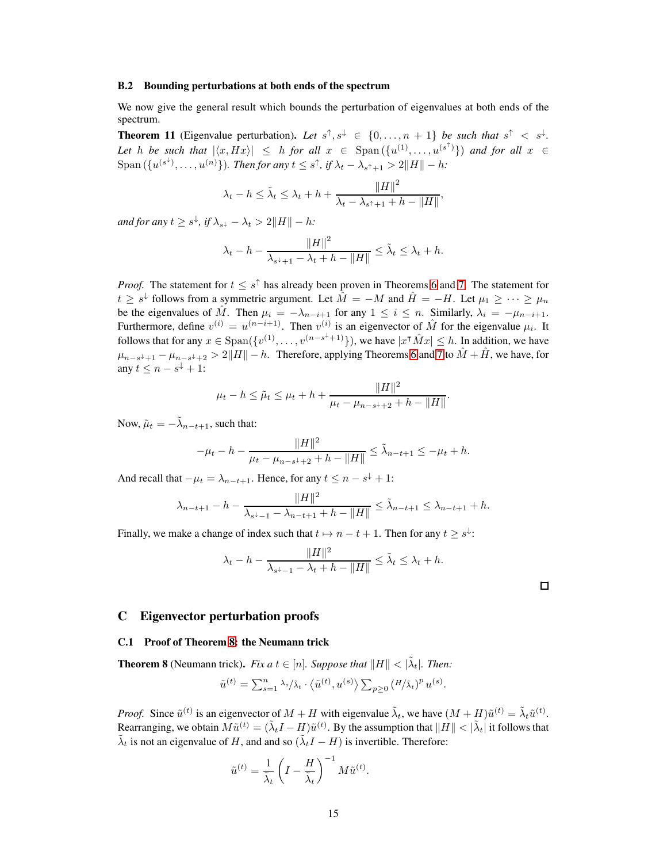#### B.2 Bounding perturbations at both ends of the spectrum

<span id="page-14-0"></span>We now give the general result which bounds the perturbation of eigenvalues at both ends of the spectrum.

**Theorem 11** (Eigenvalue perturbation). Let  $s^{\uparrow}, s^{\downarrow} \in \{0, \ldots, n+1\}$  be such that  $s^{\uparrow} < s^{\downarrow}$ . Let h be such that  $|\langle x, Hx \rangle| \leq h$  for all  $x \in \text{Span}(\{u^{(1)}, \ldots, u^{(s^{\uparrow})}\})$  and for all  $x \in$  $\text{Span}\left(\{u^{(s^{\downarrow})}, \ldots, u^{(n)}\right\}\right)$ *. Then for any*  $t \leq s^{\uparrow}$ *, if*  $\lambda_t - \lambda_{s^{\uparrow}+1} > 2||H|| - h$ *:* 

$$
\lambda_t - h \leq \tilde{\lambda}_t \leq \lambda_t + h + \frac{\|H\|^2}{\lambda_t - \lambda_{s^\uparrow + 1} + h - \|H\|},
$$

*and for any*  $t \geq s^{\downarrow}$ , *if*  $\lambda_{s^{\downarrow}} - \lambda_t > 2||H|| - h$ :

$$
\lambda_t - h - \frac{\|H\|^2}{\lambda_{s^2 + 1} - \lambda_t + h - \|H\|} \le \tilde{\lambda}_t \le \lambda_t + h.
$$

*Proof.* The statement for  $t \leq s^{\uparrow}$  has already been proven in Theorems [6](#page-4-1) and [7.](#page-5-2) The statement for  $t \geq s^{\downarrow}$  follows from a symmetric argument. Let  $\hat{M} = -M$  and  $\hat{H} = -H$ . Let  $\mu_1 \geq \cdots \geq \mu_n$ be the eigenvalues of  $\hat{M}$ . Then  $\mu_i = -\lambda_{n-i+1}$  for any  $1 \leq i \leq n$ . Similarly,  $\lambda_i = -\mu_{n-i+1}$ . Furthermore, define  $v^{(i)} = u^{(n-i+1)}$ . Then  $v^{(i)}$  is an eigenvector of  $\hat{M}$  for the eigenvalue  $\mu_i$ . It follows that for any  $x \in \text{Span}\left(\lbrace v^{(1)}, \ldots, v^{(n-s^{\downarrow}+1)} \rbrace\right)$ , we have  $|x^{\intercal} \hat{M} x| \leq h$ . In addition, we have  $\mu_{n-s^{\downarrow}+1} - \mu_{n-s^{\downarrow}+2} > 2||H|| - h$ . Therefore, applying Theorems [6](#page-4-1) and [7](#page-5-2) to  $\hat{M} + \hat{H}$ , we have, for any  $t \leq n - s^2 + 1$ :

$$
\mu_t - h \le \tilde{\mu}_t \le \mu_t + h + \frac{\|H\|^2}{\mu_t - \mu_{n-s^+ + 2} + h - \|H\|}.
$$

Now,  $\tilde{\mu}_t = -\tilde{\lambda}_{n-t+1}$ , such that:

$$
-\mu_t - h - \frac{\|H\|^2}{\mu_t - \mu_{n-s+2} + h - \|H\|} \leq \tilde{\lambda}_{n-t+1} \leq -\mu_t + h.
$$

And recall that  $-\mu_t = \lambda_{n-t+1}$ . Hence, for any  $t \leq n - s^{\downarrow} + 1$ :

$$
\lambda_{n-t+1} - h - \frac{\|H\|^2}{\lambda_{s^+ - 1} - \lambda_{n-t+1} + h - \|H\|} \le \tilde{\lambda}_{n-t+1} \le \lambda_{n-t+1} + h.
$$

Finally, we make a change of index such that  $t \mapsto n - t + 1$ . Then for any  $t \geq s^{\downarrow}$ :

$$
\lambda_t - h - \frac{\|H\|^2}{\lambda_{s^{\perp}-1} - \lambda_t + h - \|H\|} \leq \tilde{\lambda}_t \leq \lambda_t + h.
$$

## C Eigenvector perturbation proofs

## <span id="page-14-1"></span>C.1 Proof of Theorem [8:](#page-7-1) the Neumann trick

**Theorem 8** (Neumann trick). *Fix a*  $t \in [n]$ . *Suppose that*  $||H|| < |\tilde{\lambda}_t|$ . *Then:* 

$$
\tilde{u}^{(t)} = \sum_{s=1}^{n} \lambda_s / \tilde{\lambda}_t \cdot \langle \tilde{u}^{(t)}, u^{(s)} \rangle \sum_{p \geq 0} (H / \tilde{\lambda}_t)^p u^{(s)}.
$$

*Proof.* Since  $\tilde{u}^{(t)}$  is an eigenvector of  $M + H$  with eigenvalue  $\tilde{\lambda}_t$ , we have  $(M + H)\tilde{u}^{(t)} = \tilde{\lambda}_t \tilde{u}^{(t)}$ . Rearranging, we obtain  $M\tilde{u}^{(t)} = (\tilde{\lambda}_t I - H)\tilde{u}^{(t)}$ . By the assumption that  $||H|| < |\tilde{\lambda}_t|$  it follows that  $\tilde{\lambda}_t$  is not an eigenvalue of H, and and so  $(\tilde{\lambda}_t I - H)$  is invertible. Therefore:

$$
\tilde{u}^{(t)} = \frac{1}{\tilde{\lambda}_t} \left( I - \frac{H}{\tilde{\lambda}_t} \right)^{-1} M \tilde{u}^{(t)}.
$$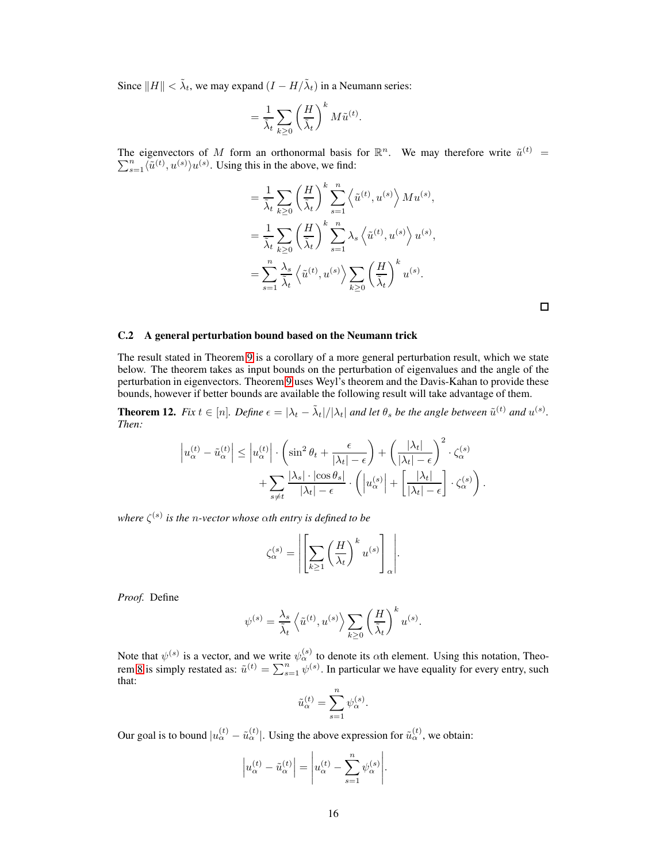Since  $||H|| < \tilde{\lambda}_t$ , we may expand  $(I - H/\tilde{\lambda}_t)$  in a Neumann series:

$$
= \frac{1}{\tilde{\lambda}_t} \sum_{k \ge 0} \left(\frac{H}{\tilde{\lambda}_t}\right)^k M \tilde{u}^{(t)}.
$$

The eigenvectors of M form an orthonormal basis for  $\mathbb{R}^n$ . We may therefore write  $\tilde{u}^{(t)}$  =  $\sum_{s=1}^{n} \langle \tilde{u}^{(t)}, u^{(s)} \rangle u^{(s)}$ . Using this in the above, we find:

$$
= \frac{1}{\tilde{\lambda}_t} \sum_{k \geq 0} \left(\frac{H}{\tilde{\lambda}_t}\right)^k \sum_{s=1}^n \left\langle \tilde{u}^{(t)}, u^{(s)} \right\rangle M u^{(s)},
$$
  

$$
= \frac{1}{\tilde{\lambda}_t} \sum_{k \geq 0} \left(\frac{H}{\tilde{\lambda}_t}\right)^k \sum_{s=1}^n \lambda_s \left\langle \tilde{u}^{(t)}, u^{(s)} \right\rangle u^{(s)},
$$
  

$$
= \sum_{s=1}^n \frac{\lambda_s}{\tilde{\lambda}_t} \left\langle \tilde{u}^{(t)}, u^{(s)} \right\rangle \sum_{k \geq 0} \left(\frac{H}{\tilde{\lambda}_t}\right)^k u^{(s)}.
$$

 $\Box$ 

## <span id="page-15-1"></span>C.2 A general perturbation bound based on the Neumann trick

The result stated in Theorem [9](#page-7-2) is a corollary of a more general perturbation result, which we state below. The theorem takes as input bounds on the perturbation of eigenvalues and the angle of the perturbation in eigenvectors. Theorem [9](#page-7-2) uses Weyl's theorem and the Davis-Kahan to provide these bounds, however if better bounds are available the following result will take advantage of them.

<span id="page-15-0"></span>**Theorem 12.** Fix  $t \in [n]$ . Define  $\epsilon = |\lambda_t - \tilde{\lambda}_t|/|\lambda_t|$  and let  $\theta_s$  be the angle between  $\tilde{u}^{(t)}$  and  $u^{(s)}$ . *Then:*

$$
\left| u_{\alpha}^{(t)} - \tilde{u}_{\alpha}^{(t)} \right| \leq \left| u_{\alpha}^{(t)} \right| \cdot \left( \sin^2 \theta_t + \frac{\epsilon}{|\lambda_t| - \epsilon} \right) + \left( \frac{|\lambda_t|}{|\lambda_t| - \epsilon} \right)^2 \cdot \zeta_{\alpha}^{(s)} + \sum_{s \neq t} \frac{|\lambda_s| \cdot |\cos \theta_s|}{|\lambda_t| - \epsilon} \cdot \left( \left| u_{\alpha}^{(s)} \right| + \left[ \frac{|\lambda_t|}{|\lambda_t| - \epsilon} \right] \cdot \zeta_{\alpha}^{(s)} \right).
$$

 $where \zeta<sup>(s)</sup>$  *is the n-vector whose*  $\alpha$ *th entry is defined to be* 

$$
\zeta_{\alpha}^{(s)} = \left| \left[ \sum_{k \geq 1} \left( \frac{H}{\lambda_t} \right)^k u^{(s)} \right]_{\alpha} \right|.
$$

*Proof.* Define

$$
\psi^{(s)} = \frac{\lambda_s}{\tilde{\lambda}_t} \left\langle \tilde{u}^{(t)}, u^{(s)} \right\rangle \sum_{k \ge 0} \left( \frac{H}{\tilde{\lambda}_t} \right)^k u^{(s)}.
$$

Note that  $\psi^{(s)}$  is a vector, and we write  $\psi^{(s)}_{\alpha}$  to denote its  $\alpha$ th element. Using this notation, Theo-rem [8](#page-7-1) is simply restated as:  $\tilde{u}^{(t)} = \sum_{s=1}^{n} \psi^{(s)}$ . In particular we have equality for every entry, such that:

$$
\tilde{u}_{\alpha}^{(t)} = \sum_{s=1}^{n} \psi_{\alpha}^{(s)}.
$$

Our goal is to bound  $|u_{\alpha}^{(t)} - \tilde{u}_{\alpha}^{(t)}|$ . Using the above expression for  $\tilde{u}_{\alpha}^{(t)}$ , we obtain:

$$
\left| u_{\alpha}^{(t)} - \tilde{u}_{\alpha}^{(t)} \right| = \left| u_{\alpha}^{(t)} - \sum_{s=1}^{n} \psi_{\alpha}^{(s)} \right|.
$$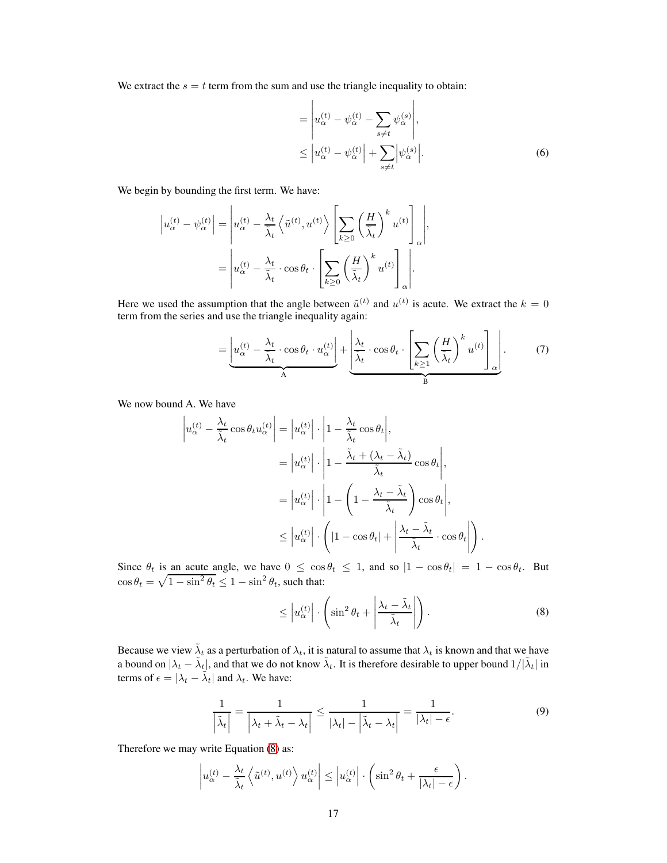We extract the  $s = t$  term from the sum and use the triangle inequality to obtain:

 $\mathbf{r}$ 

$$
= \left| u_{\alpha}^{(t)} - \psi_{\alpha}^{(t)} - \sum_{s \neq t} \psi_{\alpha}^{(s)} \right|,
$$
  

$$
\leq \left| u_{\alpha}^{(t)} - \psi_{\alpha}^{(t)} \right| + \sum_{s \neq t} \left| \psi_{\alpha}^{(s)} \right|.
$$
 (6)

<span id="page-16-3"></span><span id="page-16-1"></span> $\mathbf{I}$ 

We begin by bounding the first term. We have:

$$
\left| u_{\alpha}^{(t)} - \psi_{\alpha}^{(t)} \right| = \left| u_{\alpha}^{(t)} - \frac{\lambda_t}{\tilde{\lambda}_t} \left\langle \tilde{u}^{(t)}, u^{(t)} \right\rangle \left[ \sum_{k \ge 0} \left( \frac{H}{\tilde{\lambda}_t} \right)^k u^{(t)} \right]_{\alpha} \right|,
$$
  

$$
= \left| u_{\alpha}^{(t)} - \frac{\lambda_t}{\tilde{\lambda}_t} \cdot \cos \theta_t \cdot \left[ \sum_{k \ge 0} \left( \frac{H}{\tilde{\lambda}_t} \right)^k u^{(t)} \right]_{\alpha} \right|.
$$

Here we used the assumption that the angle between  $\tilde{u}^{(t)}$  and  $u^{(t)}$  is acute. We extract the  $k = 0$ term from the series and use the triangle inequality again:

$$
= \underbrace{\left| u_{\alpha}^{(t)} - \frac{\lambda_t}{\tilde{\lambda}_t} \cdot \cos \theta_t \cdot u_{\alpha}^{(t)} \right|}_{A} + \underbrace{\left| \frac{\lambda_t}{\tilde{\lambda}_t} \cdot \cos \theta_t \cdot \left[ \sum_{k \ge 1} \left( \frac{H}{\tilde{\lambda}_t} \right)^k u^{(t)} \right]_{\alpha} \right|}_{B} . \tag{7}
$$

We now bound A. We have

$$
\left| u_{\alpha}^{(t)} - \frac{\lambda_t}{\tilde{\lambda}_t} \cos \theta_t u_{\alpha}^{(t)} \right| = \left| u_{\alpha}^{(t)} \right| \cdot \left| 1 - \frac{\lambda_t}{\tilde{\lambda}_t} \cos \theta_t \right|,
$$
  
\n
$$
= \left| u_{\alpha}^{(t)} \right| \cdot \left| 1 - \frac{\tilde{\lambda}_t + (\lambda_t - \tilde{\lambda}_t)}{\tilde{\lambda}_t} \cos \theta_t \right|,
$$
  
\n
$$
= \left| u_{\alpha}^{(t)} \right| \cdot \left| 1 - \left( 1 - \frac{\lambda_t - \tilde{\lambda}_t}{\tilde{\lambda}_t} \right) \cos \theta_t \right|,
$$
  
\n
$$
\leq \left| u_{\alpha}^{(t)} \right| \cdot \left( |1 - \cos \theta_t| + \left| \frac{\lambda_t - \tilde{\lambda}_t}{\tilde{\lambda}_t} \cdot \cos \theta_t \right| \right).
$$

Since  $\theta_t$  is an acute angle, we have  $0 \leq \cos \theta_t \leq 1$ , and so  $|1 - \cos \theta_t| = 1 - \cos \theta_t$ . But  $\cos \theta_t = \sqrt{1 - \sin^2 \theta_t} \le 1 - \sin^2 \theta_t$ , such that:

<span id="page-16-0"></span>
$$
\leq \left| u_{\alpha}^{(t)} \right| \cdot \left( \sin^2 \theta_t + \left| \frac{\lambda_t - \tilde{\lambda}_t}{\tilde{\lambda}_t} \right| \right). \tag{8}
$$

Because we view  $\tilde{\lambda}_t$  as a perturbation of  $\lambda_t$ , it is natural to assume that  $\lambda_t$  is known and that we have a bound on  $|\lambda_t - \tilde{\lambda}_t|$ , and that we do not know  $\tilde{\lambda}_t$ . It is therefore desirable to upper bound  $1/|\tilde{\lambda}_t|$  in terms of  $\epsilon = |\lambda_t - \tilde{\lambda}_t|$  and  $\lambda_t$ . We have:

<span id="page-16-2"></span>
$$
\frac{1}{\left|\tilde{\lambda}_t\right|} = \frac{1}{\left|\lambda_t + \tilde{\lambda}_t - \lambda_t\right|} \le \frac{1}{\left|\lambda_t\right| - \left|\tilde{\lambda}_t - \lambda_t\right|} = \frac{1}{\left|\lambda_t\right| - \epsilon}.
$$
\n(9)

Therefore we may write Equation [\(8\)](#page-16-0) as:

$$
\left| u_{\alpha}^{(t)} - \frac{\lambda_t}{\tilde{\lambda}_t} \left\langle \tilde{u}^{(t)}, u^{(t)} \right\rangle u_{\alpha}^{(t)} \right| \leq \left| u_{\alpha}^{(t)} \right| \cdot \left( \sin^2 \theta_t + \frac{\epsilon}{|\lambda_t| - \epsilon} \right).
$$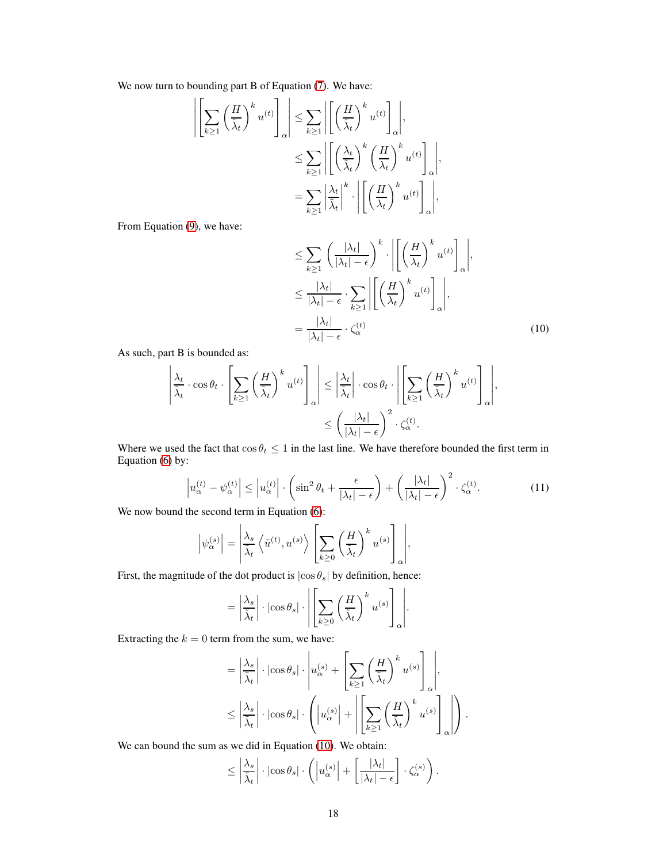We now turn to bounding part B of Equation [\(7\)](#page-16-1). We have:

$$
\left| \left[ \sum_{k \ge 1} \left( \frac{H}{\tilde{\lambda}_t} \right)^k u^{(t)} \right]_{\alpha} \right| \le \sum_{k \ge 1} \left| \left[ \left( \frac{H}{\tilde{\lambda}_t} \right)^k u^{(t)} \right]_{\alpha} \right|,
$$
  

$$
\le \sum_{k \ge 1} \left| \left[ \left( \frac{\lambda_t}{\tilde{\lambda}_t} \right)^k \left( \frac{H}{\lambda_t} \right)^k u^{(t)} \right]_{\alpha} \right|,
$$
  

$$
= \sum_{k \ge 1} \left| \frac{\lambda_t}{\tilde{\lambda}_t} \right|^k \cdot \left| \left[ \left( \frac{H}{\lambda_t} \right)^k u^{(t)} \right]_{\alpha} \right|,
$$

From Equation [\(9\)](#page-16-2), we have:

<span id="page-17-0"></span>
$$
\leq \sum_{k\geq 1} \left(\frac{|\lambda_t|}{|\lambda_t| - \epsilon}\right)^k \cdot \left| \left[ \left(\frac{H}{\lambda_t}\right)^k u^{(t)} \right]_{\alpha} \right|,
$$
\n
$$
\leq \frac{|\lambda_t|}{|\lambda_t| - \epsilon} \cdot \sum_{k\geq 1} \left| \left[ \left(\frac{H}{\lambda_t}\right)^k u^{(t)} \right]_{\alpha} \right|,
$$
\n
$$
= \frac{|\lambda_t|}{|\lambda_t| - \epsilon} \cdot \zeta_{\alpha}^{(t)} \tag{10}
$$

As such, part B is bounded as:

$$
\left| \frac{\lambda_t}{\tilde{\lambda}_t} \cdot \cos \theta_t \cdot \left[ \sum_{k \ge 1} \left( \frac{H}{\tilde{\lambda}_t} \right)^k u^{(t)} \right]_{\alpha} \right| \le \left| \frac{\lambda_t}{\tilde{\lambda}_t} \right| \cdot \cos \theta_t \cdot \left| \left[ \sum_{k \ge 1} \left( \frac{H}{\tilde{\lambda}_t} \right)^k u^{(t)} \right]_{\alpha} \right|,
$$
  

$$
\le \left( \frac{|\lambda_t|}{|\lambda_t| - \epsilon} \right)^2 \cdot \zeta_{\alpha}^{(t)}.
$$

Where we used the fact that  $\cos \theta_t \leq 1$  in the last line. We have therefore bounded the first term in Equation [\(6\)](#page-16-3) by:

<span id="page-17-1"></span>
$$
\left| u_{\alpha}^{(t)} - \psi_{\alpha}^{(t)} \right| \le \left| u_{\alpha}^{(t)} \right| \cdot \left( \sin^2 \theta_t + \frac{\epsilon}{|\lambda_t| - \epsilon} \right) + \left( \frac{|\lambda_t|}{|\lambda_t| - \epsilon} \right)^2 \cdot \zeta_{\alpha}^{(t)}.
$$
\n(11)

We now bound the second term in Equation  $(6)$ :

$$
\left|\psi_{\alpha}^{(s)}\right| = \left|\frac{\lambda_s}{\tilde{\lambda}_t} \left\langle \tilde{u}^{(t)}, u^{(s)} \right\rangle \left[\sum_{k \geq 0} \left(\frac{H}{\tilde{\lambda}_t}\right)^k u^{(s)}\right]_{\alpha}\right|,
$$

First, the magnitude of the dot product is  $|\cos \theta_s|$  by definition, hence:

$$
= \left| \frac{\lambda_s}{\tilde{\lambda}_t} \right| \cdot \left| \cos \theta_s \right| \cdot \left| \left[ \sum_{k \geq 0} \left( \frac{H}{\tilde{\lambda}_t} \right)^k u^{(s)} \right]_{\alpha} \right|.
$$

Extracting the  $k = 0$  term from the sum, we have:

$$
= \left| \frac{\lambda_s}{\tilde{\lambda}_t} \right| \cdot \left| \cos \theta_s \right| \cdot \left| u_{\alpha}^{(s)} + \left[ \sum_{k \ge 1} \left( \frac{H}{\tilde{\lambda}_t} \right)^k u^{(s)} \right]_{\alpha} \right|,
$$
  

$$
\le \left| \frac{\lambda_s}{\tilde{\lambda}_t} \right| \cdot \left| \cos \theta_s \right| \cdot \left( \left| u_{\alpha}^{(s)} \right| + \left| \left[ \sum_{k \ge 1} \left( \frac{H}{\tilde{\lambda}_t} \right)^k u^{(s)} \right]_{\alpha} \right| \right).
$$

We can bound the sum as we did in Equation [\(10\)](#page-17-0). We obtain:

$$
\leq \left| \frac{\lambda_s}{\tilde{\lambda}_t} \right| \cdot \left| \cos \theta_s \right| \cdot \left( \left| u_{\alpha}^{(s)} \right| + \left[ \frac{|\lambda_t|}{|\lambda_t| - \epsilon} \right] \cdot \zeta_{\alpha}^{(s)} \right).
$$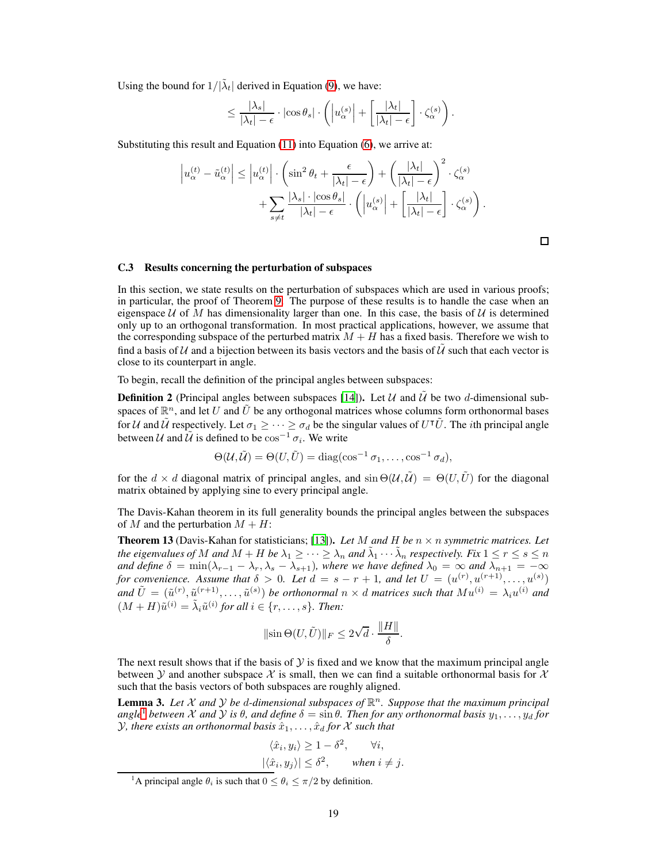Using the bound for  $1/|\tilde{\lambda}_t|$  derived in Equation [\(9\)](#page-16-2), we have:

$$
\leq \frac{|\lambda_s|}{|\lambda_t|-\epsilon} \cdot |\cos \theta_s| \cdot \left( \left| u_{\alpha}^{(s)} \right| + \left[ \frac{|\lambda_t|}{|\lambda_t|-\epsilon} \right] \cdot \zeta_{\alpha}^{(s)} \right).
$$

Substituting this result and Equation [\(11\)](#page-17-1) into Equation [\(6\)](#page-16-3), we arrive at:

$$
\left| u_{\alpha}^{(t)} - \tilde{u}_{\alpha}^{(t)} \right| \leq \left| u_{\alpha}^{(t)} \right| \cdot \left( \sin^2 \theta_t + \frac{\epsilon}{|\lambda_t| - \epsilon} \right) + \left( \frac{|\lambda_t|}{|\lambda_t| - \epsilon} \right)^2 \cdot \zeta_{\alpha}^{(s)} + \sum_{s \neq t} \frac{|\lambda_s| \cdot |\cos \theta_s|}{|\lambda_t| - \epsilon} \cdot \left( \left| u_{\alpha}^{(s)} \right| + \left[ \frac{|\lambda_t|}{|\lambda_t| - \epsilon} \right] \cdot \zeta_{\alpha}^{(s)} \right).
$$

## C.3 Results concerning the perturbation of subspaces

In this section, we state results on the perturbation of subspaces which are used in various proofs; in particular, the proof of Theorem [9.](#page-7-2) The purpose of these results is to handle the case when an eigenspace U of M has dimensionality larger than one. In this case, the basis of U is determined only up to an orthogonal transformation. In most practical applications, however, we assume that the corresponding subspace of the perturbed matrix  $M + H$  has a fixed basis. Therefore we wish to find a basis of U and a bijection between its basis vectors and the basis of  $\tilde{U}$  such that each vector is close to its counterpart in angle.

To begin, recall the definition of the principal angles between subspaces:

**Definition 2** (Principal angles between subspaces [\[14\]](#page-9-10)). Let U and U be two d-dimensional subspaces of  $\mathbb{R}^n$ , and let  $U$  and  $\tilde{U}$  be any orthogonal matrices whose columns form orthonormal bases for U and  $\tilde{U}$  respectively. Let  $\sigma_1 \geq \cdots \geq \sigma_d$  be the singular values of  $U^{\dagger} \tilde{U}$ . The *i*th principal angle between  $\mathcal U$  and  $\tilde U$  is defined to be  $\cos^{-1} \sigma_i$ . We write

$$
\Theta(\mathcal{U}, \tilde{\mathcal{U}}) = \Theta(U, \tilde{U}) = \text{diag}(\cos^{-1} \sigma_1, \dots, \cos^{-1} \sigma_d),
$$

for the  $d \times d$  diagonal matrix of principal angles, and  $\sin \Theta(\mathcal{U}, \tilde{\mathcal{U}}) = \Theta(U, \tilde{U})$  for the diagonal matrix obtained by applying sine to every principal angle.

The Davis-Kahan theorem in its full generality bounds the principal angles between the subspaces of M and the perturbation  $M + H$ :

**Theorem 13** (Davis-Kahan for statisticians; [\[13\]](#page-9-11)). Let M and H be  $n \times n$  symmetric matrices. Let *the eigenvalues of* M and  $M + H$  *be*  $\lambda_1 \geq \cdots \geq \lambda_n$  and  $\tilde{\lambda}_1 \cdots \tilde{\lambda}_n$  *respectively. Fix*  $1 \leq r \leq s \leq n$ *and define*  $\delta = \min(\lambda_{r-1} - \lambda_r, \lambda_s - \lambda_{s+1})$ *, where we have defined*  $\lambda_0 = \infty$  *and*  $\lambda_{n+1} = -\infty$ *for convenience. Assume that*  $\delta > 0$ *. Let*  $d = s - r + 1$ *, and let*  $U = (u^{(r)}, u^{(r+1)}, \ldots, u^{(s)})$ and  $\tilde{U} = (\tilde{u}^{(r)}, \tilde{u}^{(r+1)}, \dots, \tilde{u}^{(s)})$  be orthonormal  $n \times d$  matrices such that  $Mu^{(i)} = \lambda_i u^{(i)}$  and  $(M + H)\tilde{u}^{(i)} = \tilde{\lambda}_i \tilde{u}^{(i)}$  for all  $i \in \{r, \ldots, s\}$ . Then:

$$
\|\sin\Theta(U,\tilde{U})\|_F \le 2\sqrt{d} \cdot \frac{\|H\|}{\delta}.
$$

The next result shows that if the basis of  $Y$  is fixed and we know that the maximum principal angle between Y and another subspace X is small, then we can find a suitable orthonormal basis for X such that the basis vectors of both subspaces are roughly aligned.

<span id="page-18-1"></span>**Lemma 3.** Let X and Y be d-dimensional subspaces of  $\mathbb{R}^n$ . Suppose that the maximum principal *angle*<sup>[1](#page-18-0)</sup> *between* X *and* Y *is*  $\theta$ *, and define*  $\delta = \sin \theta$ *. Then for any orthonormal basis*  $y_1, \ldots, y_d$  *for Y*, there exists an orthonormal basis  $\hat{x}_1, \ldots, \hat{x}_d$  for X such that

$$
\langle \hat{x}_i, y_i \rangle \ge 1 - \delta^2, \quad \forall i,
$$
  

$$
|\langle \hat{x}_i, y_j \rangle| \le \delta^2, \quad \text{when } i \ne j.
$$

<span id="page-18-0"></span><sup>&</sup>lt;sup>1</sup>A principal angle  $\theta_i$  is such that  $0 \le \theta_i \le \pi/2$  by definition.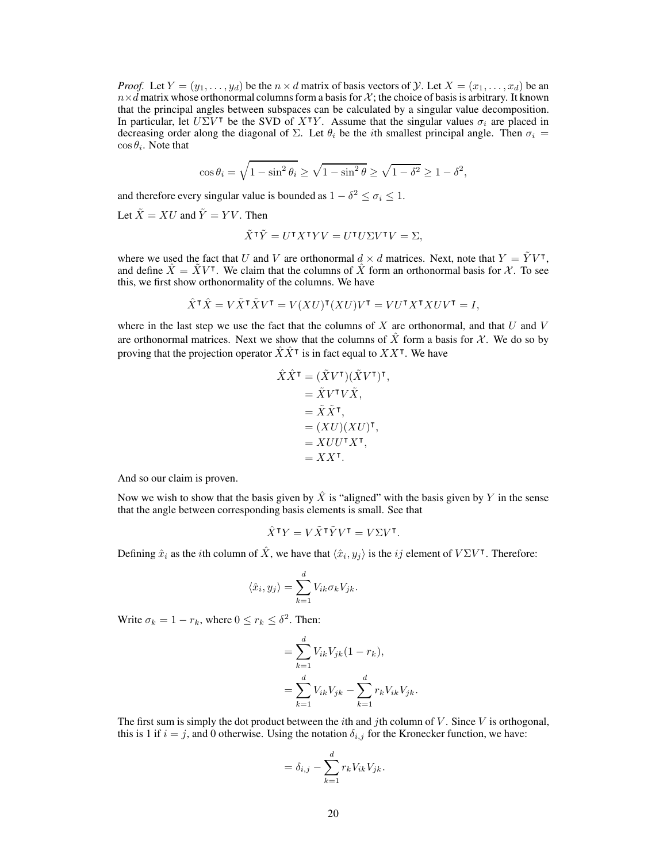*Proof.* Let  $Y = (y_1, \ldots, y_d)$  be the  $n \times d$  matrix of basis vectors of  $\mathcal{Y}$ . Let  $X = (x_1, \ldots, x_d)$  be an  $n \times d$  matrix whose orthonormal columns form a basis for X; the choice of basis is arbitrary. It known that the principal angles between subspaces can be calculated by a singular value decomposition. In particular, let  $U\Sigma V^{\dagger}$  be the SVD of  $X^{\dagger}Y$ . Assume that the singular values  $\sigma_i$  are placed in decreasing order along the diagonal of  $\Sigma$ . Let  $\theta_i$  be the *i*th smallest principal angle. Then  $\sigma_i$  =  $\cos \theta_i$ . Note that

$$
\cos \theta_i = \sqrt{1 - \sin^2 \theta_i} \ge \sqrt{1 - \sin^2 \theta} \ge \sqrt{1 - \delta^2} \ge 1 - \delta^2,
$$

and therefore every singular value is bounded as  $1 - \delta^2 \le \sigma_i \le 1$ .

Let  $\tilde{X} = XU$  and  $\tilde{Y} = YV$ . Then

$$
\tilde{X}^{\mathsf{T}}\tilde{Y} = U^{\mathsf{T}}X^{\mathsf{T}}YV = U^{\mathsf{T}}U\Sigma V^{\mathsf{T}}V = \Sigma,
$$

where we used the fact that U and V are orthonormal  $d \times d$  matrices. Next, note that  $Y = \tilde{Y}V^{\intercal}$ , and define  $\hat{X} = \tilde{X}V^{\intercal}$ . We claim that the columns of  $\hat{X}$  form an orthonormal basis for X. To see this, we first show orthonormality of the columns. We have

$$
\hat{X}^\intercal \hat{X} = V \tilde{X}^\intercal \tilde{X} V^\intercal = V(XU)^\intercal (XU) V^\intercal = V U^\intercal X^\intercal X U V^\intercal = I,
$$

where in the last step we use the fact that the columns of  $X$  are orthonormal, and that  $U$  and  $V$ are orthonormal matrices. Next we show that the columns of X form a basis for X. We do so by proving that the projection operator  $\hat{X}\hat{X}^{\intercal}$  is in fact equal to  $XX^{\intercal}$ . We have

$$
\hat{X}\hat{X}^{\mathsf{T}} = (\tilde{X}V^{\mathsf{T}})(\tilde{X}V^{\mathsf{T}})^{\mathsf{T}}, \n= \tilde{X}\tilde{X}^{\mathsf{T}}, \n= \tilde{X}\tilde{X}^{\mathsf{T}}, \n= (XU)(XU)^{\mathsf{T}}, \n= XUU^{\mathsf{T}}X^{\mathsf{T}}, \n= XX^{\mathsf{T}}.
$$

And so our claim is proven.

Now we wish to show that the basis given by  $\hat{X}$  is "aligned" with the basis given by Y in the sense that the angle between corresponding basis elements is small. See that

$$
\hat{X}^{\mathsf{T}} Y = V \tilde{X}^{\mathsf{T}} \tilde{Y} V^{\mathsf{T}} = V \Sigma V^{\mathsf{T}}.
$$

Defining  $\hat{x}_i$  as the *i*th column of  $\hat{X}$ , we have that  $\langle \hat{x}_i, y_j \rangle$  is the *ij* element of  $V\Sigma V^{\intercal}$ . Therefore:

$$
\langle \hat{x}_i, y_j \rangle = \sum_{k=1}^d V_{ik} \sigma_k V_{jk}.
$$

Write  $\sigma_k = 1 - r_k$ , where  $0 \le r_k \le \delta^2$ . Then:

$$
= \sum_{k=1}^{d} V_{ik} V_{jk} (1 - r_k),
$$
  
= 
$$
\sum_{k=1}^{d} V_{ik} V_{jk} - \sum_{k=1}^{d} r_k V_{ik} V_{jk}.
$$

The first sum is simply the dot product between the *i*th and *j*th column of  $V$ . Since  $V$  is orthogonal, this is 1 if  $i = j$ , and 0 otherwise. Using the notation  $\delta_{i,j}$  for the Kronecker function, we have:

$$
= \delta_{i,j} - \sum_{k=1}^d r_k V_{ik} V_{jk}.
$$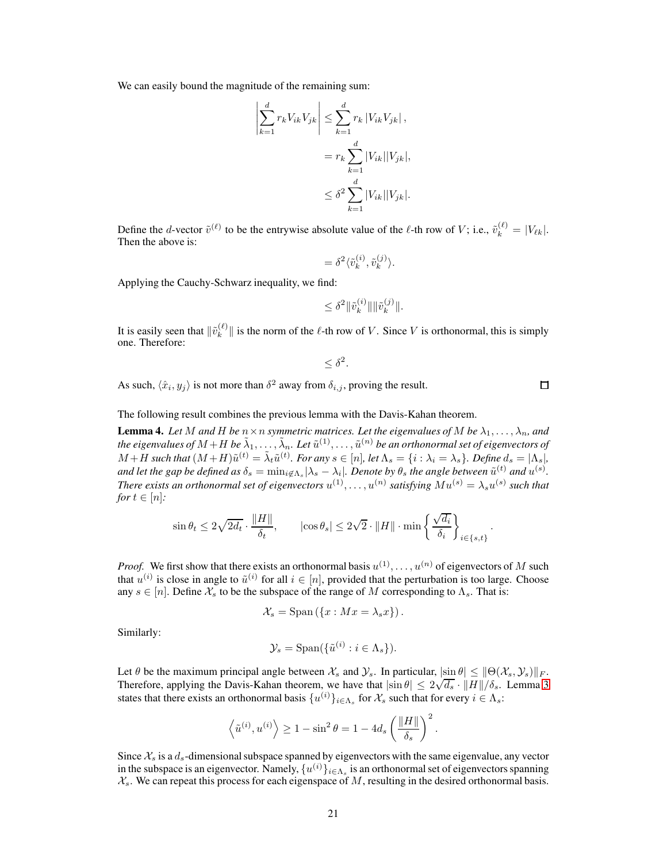We can easily bound the magnitude of the remaining sum:

 $\begin{array}{c} \hline \rule{0pt}{2.2ex} \\[-2pt] \rule{0pt}{2.2ex} \\[-2pt] \rule{0pt}{2.2ex} \\[-2pt] \rule{0pt}{2.2ex} \\[-2pt] \rule{0pt}{2.2ex} \\[-2pt] \rule{0pt}{2.2ex} \\[-2pt] \rule{0pt}{2.2ex} \\[-2pt] \rule{0pt}{2.2ex} \\[-2pt] \rule{0pt}{2.2ex} \\[-2pt] \rule{0pt}{2.2ex} \\[-2pt] \rule{0pt}{2.2ex} \\[-2pt] \rule{0pt}{2.2ex} \\[-2pt] \rule{0pt}{2.2ex} \\[-2pt] \rule$ 

$$
\sum_{k=1}^{d} r_k V_{ik} V_{jk} \le \sum_{k=1}^{d} r_k |V_{ik} V_{jk}|,
$$
  
=  $r_k \sum_{k=1}^{d} |V_{ik}| |V_{jk}|,$   

$$
\le \delta^2 \sum_{k=1}^{d} |V_{ik}| |V_{jk}|.
$$

Define the *d*-vector  $\tilde{v}^{(\ell)}$  to be the entrywise absolute value of the  $\ell$ -th row of V; i.e.,  $\tilde{v}_k^{(\ell)} = |V_{\ell k}|$ . Then the above is:

$$
=\delta^2\langle \tilde{v}^{(i)}_k,\tilde{v}^{(j)}_k\rangle.
$$

Applying the Cauchy-Schwarz inequality, we find:

$$
\leq \delta^2 \|\tilde{v}_k^{(i)}\| \|\tilde{v}_k^{(j)}\|.
$$

It is easily seen that  $\|\tilde{v}_k^{(\ell)}\|$  $\|k_{k}^{(k)}\|$  is the norm of the  $\ell$ -th row of V. Since V is orthonormal, this is simply one. Therefore:

 $\leq \delta^2$ .

As such,  $\langle \hat{x}_i, y_j \rangle$  is not more than  $\delta^2$  away from  $\delta_{i,j}$ , proving the result.

 $\Box$ 

<span id="page-20-0"></span>The following result combines the previous lemma with the Davis-Kahan theorem.

**Lemma 4.** Let M and H be  $n \times n$  symmetric matrices. Let the eigenvalues of M be  $\lambda_1, \ldots, \lambda_n$ , and the eigenvalues of  $M+H$  be  $\tilde\lambda_1,\dots,\tilde\lambda_n.$  Let  $\tilde u^{(1)},\dots,\tilde u^{(n)}$  be an orthonormal set of eigenvectors of  $M + H$  such that  $(M + H)\tilde{u}^{(t)} = \tilde{\lambda}_t \tilde{u}^{(t)}$ . For any  $s \in [n]$ , let  $\Lambda_s = \{i : \lambda_i = \lambda_s\}$ . Define  $d_s = |\Lambda_s|$ , and let the gap be defined as  $\delta_s = \min_{i \notin \Lambda_s} |\lambda_s - \lambda_i|$ . Denote by  $\theta_s$  the angle between  $\tilde{u}^{(t)}$  and  $u^{(s)}$ . There exists an orthonormal set of eigenvectors  $u^{(1)}, \ldots, u^{(n)}$  satisfying  $Mu^{(s)} = \lambda_s u^{(s)}$  such that *for*  $t \in [n]$ *:* 

$$
\sin \theta_t \le 2\sqrt{2d_t} \cdot \frac{\|H\|}{\delta_t}, \qquad |\cos \theta_s| \le 2\sqrt{2} \cdot \|H\| \cdot \min \left\{ \frac{\sqrt{d_i}}{\delta_i} \right\}_{i \in \{s, t\}}.
$$

*Proof.* We first show that there exists an orthonormal basis  $u^{(1)}, \ldots, u^{(n)}$  of eigenvectors of M such that  $u^{(i)}$  is close in angle to  $\tilde{u}^{(i)}$  for all  $i \in [n]$ , provided that the perturbation is too large. Choose any  $s \in [n]$ . Define  $\mathcal{X}_s$  to be the subspace of the range of M corresponding to  $\Lambda_s$ . That is:

$$
\mathcal{X}_s = \mathrm{Span}\left(\{x : Mx = \lambda_s x\}\right).
$$

Similarly:

$$
\mathcal{Y}_s = \text{Span}(\{\tilde{u}^{(i)} : i \in \Lambda_s\}).
$$

Let  $\theta$  be the maximum principal angle between  $\mathcal{X}_s$  and  $\mathcal{Y}_s$ . In particular,  $|\sin \theta| \le ||\Theta(\mathcal{X}_s, \mathcal{Y}_s)||_F$ . Therefore, applying the Davis-Kahan theorem, we have that  $|\sin \theta| \le 2\sqrt{d_s} \cdot ||\overline{H}||/\delta_s$ . Lemma [3](#page-18-1) states that there exists an orthonormal basis  $\{u^{(i)}\}_{i \in \Lambda_s}$  for  $\mathcal{X}_s$  such that for every  $i \in \Lambda_s$ :

$$
\langle \tilde{u}^{(i)}, u^{(i)} \rangle \ge 1 - \sin^2 \theta = 1 - 4d_s \left( \frac{\|H\|}{\delta_s} \right)^2.
$$

Since  $\mathcal{X}_s$  is a  $d_s$ -dimensional subspace spanned by eigenvectors with the same eigenvalue, any vector in the subspace is an eigenvector. Namely,  $\{u^{(i)}\}_{i\in\Lambda_s}$  is an orthonormal set of eigenvectors spanning  $\mathcal{X}_s$ . We can repeat this process for each eigenspace of M, resulting in the desired orthonormal basis.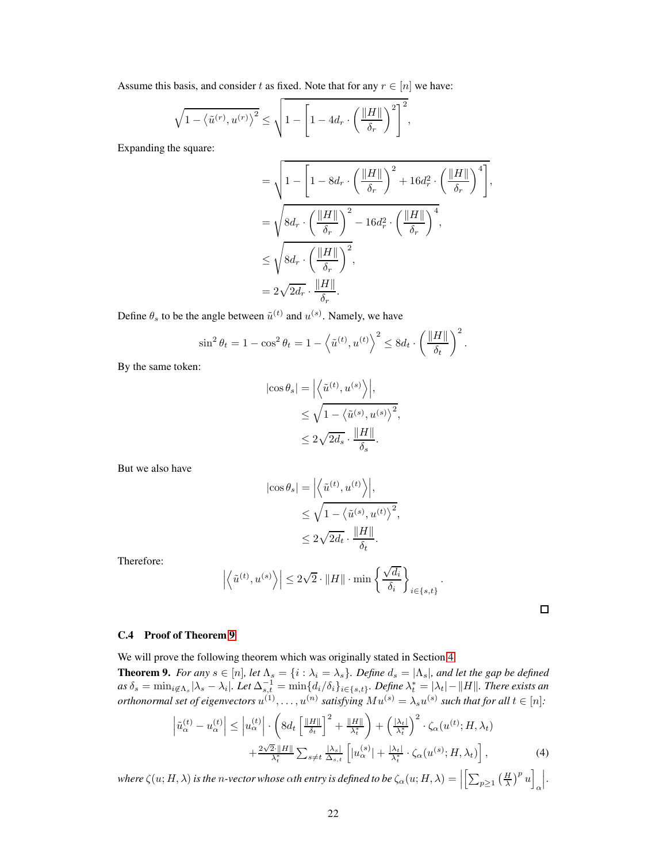Assume this basis, and consider t as fixed. Note that for any  $r \in [n]$  we have:

$$
\sqrt{1-\left\langle \tilde{u}^{(r)}, u^{(r)} \right\rangle^2} \leq \sqrt{1-\left[1-4d_r \cdot \left(\frac{\|H\|}{\delta_r}\right)^2\right]^2},
$$

Expanding the square:

$$
= \sqrt{1 - \left[1 - 8d_r \cdot \left(\frac{\|H\|}{\delta_r}\right)^2 + 16d_r^2 \cdot \left(\frac{\|H\|}{\delta_r}\right)^4\right]},
$$
  
\n
$$
= \sqrt{8d_r \cdot \left(\frac{\|H\|}{\delta_r}\right)^2 - 16d_r^2 \cdot \left(\frac{\|H\|}{\delta_r}\right)^4},
$$
  
\n
$$
\leq \sqrt{8d_r \cdot \left(\frac{\|H\|}{\delta_r}\right)^2},
$$
  
\n
$$
= 2\sqrt{2d_r} \cdot \frac{\|H\|}{\delta_r}.
$$

Define  $\theta_s$  to be the angle between  $\tilde{u}^{(t)}$  and  $u^{(s)}$ . Namely, we have

$$
\sin^2 \theta_t = 1 - \cos^2 \theta_t = 1 - \left\langle \tilde{u}^{(t)}, u^{(t)} \right\rangle^2 \le 8d_t \cdot \left( \frac{\|H\|}{\delta_t} \right)^2.
$$

By the same token:

$$
|\cos \theta_s| = \left| \left\langle \tilde{u}^{(t)}, u^{(s)} \right\rangle \right|,
$$
  

$$
\leq \sqrt{1 - \left\langle \tilde{u}^{(s)}, u^{(s)} \right\rangle^2},
$$
  

$$
\leq 2\sqrt{2d_s} \cdot \frac{\|H\|}{\delta_s}.
$$

But we also have

$$
\begin{aligned} \left|\cos\theta_s\right|&=\Big|\Big\langle\tilde{u}^{(t)},u^{(t)}\Big\rangle\Big|,\\ &\leq\sqrt{1-\big\langle\tilde{u}^{(s)},u^{(t)}\big\rangle^2},\\ &\leq2\sqrt{2d_t}\cdot\frac{\|H\|}{\delta_t}. \end{aligned}
$$

Therefore:

$$
\left| \left\langle \tilde{u}^{(t)}, u^{(s)} \right\rangle \right| \leq 2\sqrt{2} \cdot \|H\| \cdot \min \left\{ \frac{\sqrt{d_i}}{\delta_i} \right\}_{i \in \{s, t\}}.
$$

 $\Box$ 

#### C.4 Proof of Theorem [9](#page-7-2)

We will prove the following theorem which was originally stated in Section [4.](#page-5-0)

**Theorem 9.** *For any*  $s \in [n]$ *, let*  $\Lambda_s = \{i : \lambda_i = \lambda_s\}$ *. Define*  $d_s = |\Lambda_s|$ *, and let the gap be defined*  $as\ \delta_s=\min_{i\not\in \Lambda_s}|\lambda_s-\lambda_i|$ *. Let*  $\Delta_{s,t}^{-1}=\min\{d_i/\delta_i\}_{i\in\{s,t\}}$ *. Define*  $\lambda_t^*=\vert\lambda_t\vert-\Vert H\Vert$ *. There exists an orthonormal set of eigenvectors*  $u^{(1)}, \ldots, u^{(n)}$  *satisfying*  $Mu^{(s)} = \lambda_s u^{(s)}$  *such that for all*  $t \in [n]$ *:* 

$$
\left|\tilde{u}_{\alpha}^{(t)} - u_{\alpha}^{(t)}\right| \leq \left|u_{\alpha}^{(t)}\right| \cdot \left(8d_t \left[\frac{\|H\|}{\delta_t}\right]^2 + \frac{\|H\|}{\lambda_t^*}\right) + \left(\frac{\|\lambda_t\|}{\lambda_t^*}\right)^2 \cdot \zeta_{\alpha}(u^{(t)}; H, \lambda_t) + \frac{2\sqrt{2}\cdot\|H\|}{\lambda_t^*} \sum_{s \neq t} \frac{|\lambda_s|}{\Delta_{s,t}} \left[|u_{\alpha}^{(s)}| + \frac{|\lambda_t|}{\lambda_t^*} \cdot \zeta_{\alpha}(u^{(s)}; H, \lambda_t)\right],\tag{4}
$$

*where*  $\zeta(u;H,\lambda)$  *is the n-vector whose*  $\alpha$ *th entry is defined to be*  $\zeta_{\alpha}(u;H,\lambda) = \Big|$  $\left[\sum_{p\geq 1} \left(\frac{H}{\lambda}\right)^p u\right]$ α   .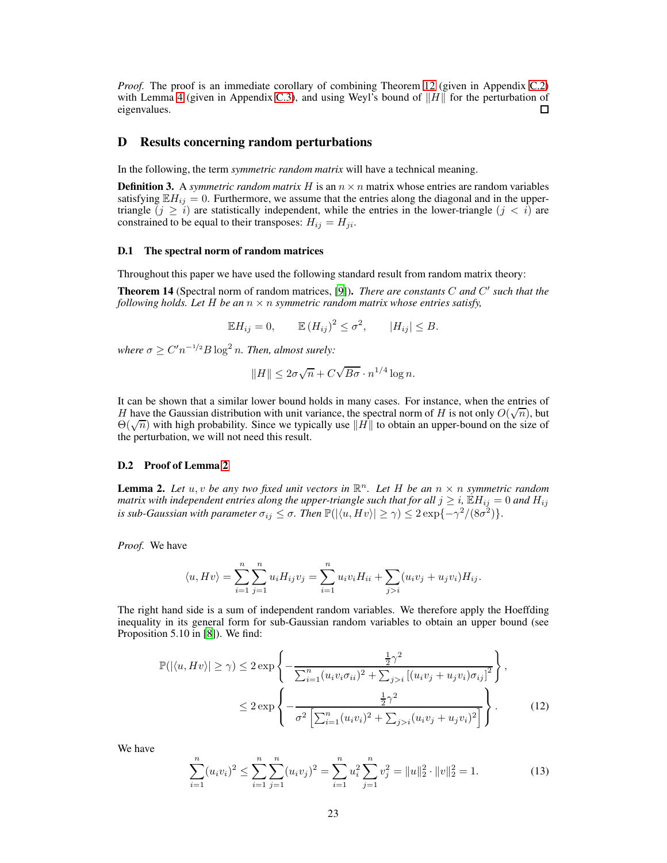*Proof.* The proof is an immediate corollary of combining Theorem [12](#page-15-0) (given in Appendix [C.2\)](#page-15-1) with Lemma [4](#page-20-0) (given in Appendix [C.3\)](#page-20-0), and using Weyl's bound of  $||H||$  for the perturbation of eigenvalues. eigenvalues.

## D Results concerning random perturbations

<span id="page-22-4"></span>In the following, the term *symmetric random matrix* will have a technical meaning.

**Definition 3.** A *symmetric random matrix* H is an  $n \times n$  matrix whose entries are random variables satisfying  $\mathbb{E}H_{ij} = 0$ . Furthermore, we assume that the entries along the diagonal and in the uppertriangle  $(j \ge i)$  are statistically independent, while the entries in the lower-triangle  $(j < i)$  are constrained to be equal to their transposes:  $H_{ij} = H_{ji}$ .

#### D.1 The spectral norm of random matrices

<span id="page-22-0"></span>Throughout this paper we have used the following standard result from random matrix theory:

Theorem 14 (Spectral norm of random matrices, [\[9\]](#page-9-12)). *There are constants* C *and* C ′ *such that the following holds. Let*  $H$  *be an*  $n \times n$  *symmetric random matrix whose entries satisfy,* 

$$
\mathbb{E}H_{ij} = 0, \qquad \mathbb{E}(H_{ij})^2 \le \sigma^2, \qquad |H_{ij}| \le B.
$$

where  $\sigma \ge C' n^{-1/2} B \log^2 n$ . Then, almost surely:

$$
||H|| \leq 2\sigma\sqrt{n} + C\sqrt{B\sigma} \cdot n^{1/4}\log n.
$$

It can be shown that a similar lower bound holds in many cases. For instance, when the entries of H have the Gaussian distribution with unit variance, the spectral norm of H is not only  $O(\sqrt{n})$ , but  $Θ(\sqrt{n})$  with high probability. Since we typically use  $||H||$  to obtain an upper-bound on the size of the perturbation, we will not need this result.

## <span id="page-22-1"></span>D.2 Proof of Lemma [2](#page-5-3)

**Lemma 2.** Let  $u, v$  be any two fixed unit vectors in  $\mathbb{R}^n$ . Let H be an  $n \times n$  symmetric random *matrix with independent entries along the upper-triangle such that for all*  $j \geq i$ ,  $\mathbb{E}H_{ij} = 0$  *and*  $H_{ij}$ is sub-Gaussian with parameter  $\sigma_{ij} \leq \sigma$ . Then  $\mathbb{P}(|\langle u, Hv \rangle| \geq \gamma) \leq 2\exp\{-\gamma^2/(8\sigma^2)\}.$ 

*Proof.* We have

$$
\langle u, Hv \rangle = \sum_{i=1}^{n} \sum_{j=1}^{n} u_i H_{ij} v_j = \sum_{i=1}^{n} u_i v_i H_{ii} + \sum_{j>i} (u_i v_j + u_j v_i) H_{ij}.
$$

The right hand side is a sum of independent random variables. We therefore apply the Hoeffding inequality in its general form for sub-Gaussian random variables to obtain an upper bound (see Proposition 5.10 in [\[8\]](#page-9-13)). We find:

$$
\mathbb{P}(|\langle u, Hv \rangle| \ge \gamma) \le 2 \exp \left\{ -\frac{\frac{1}{2}\gamma^2}{\sum_{i=1}^n (u_i v_i \sigma_{ii})^2 + \sum_{j>i} \left[ (u_i v_j + u_j v_i) \sigma_{ij} \right]^2} \right\},
$$
  

$$
\le 2 \exp \left\{ -\frac{\frac{1}{2}\gamma^2}{\sigma^2 \left[ \sum_{i=1}^n (u_i v_i)^2 + \sum_{j>i} (u_i v_j + u_j v_i)^2 \right]} \right\}. \tag{12}
$$

We have

<span id="page-22-3"></span><span id="page-22-2"></span>
$$
\sum_{i=1}^{n} (u_i v_i)^2 \le \sum_{i=1}^{n} \sum_{j=1}^{n} (u_i v_j)^2 = \sum_{i=1}^{n} u_i^2 \sum_{j=1}^{n} v_j^2 = ||u||_2^2 \cdot ||v||_2^2 = 1.
$$
 (13)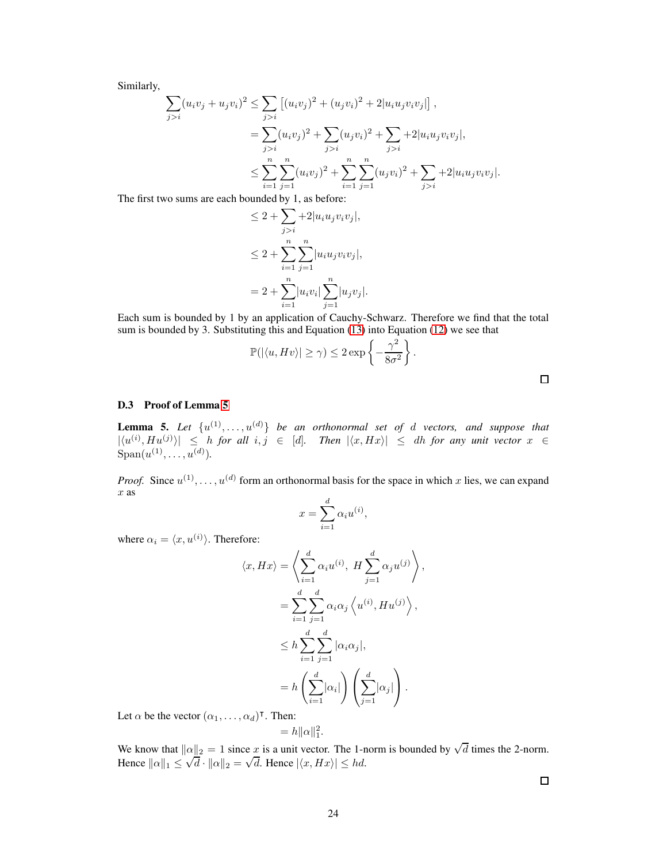Similarly,

$$
\sum_{j>i} (u_i v_j + u_j v_i)^2 \le \sum_{j>i} \left[ (u_i v_j)^2 + (u_j v_i)^2 + 2 |u_i u_j v_i v_j| \right],
$$
  
= 
$$
\sum_{j>i} (u_i v_j)^2 + \sum_{j>i} (u_j v_i)^2 + \sum_{j>i} + 2 |u_i u_j v_i v_j|,
$$
  

$$
\le \sum_{i=1}^n \sum_{j=1}^n (u_i v_j)^2 + \sum_{i=1}^n \sum_{j=1}^n (u_j v_i)^2 + \sum_{j>i} + 2 |u_i u_j v_i v_j|.
$$

The first two sums are each bounded by 1, as before:

$$
\leq 2 + \sum_{j>i} + 2|u_i u_j v_i v_j|,
$$
  
\n
$$
\leq 2 + \sum_{i=1}^n \sum_{j=1}^n |u_i u_j v_i v_j|,
$$
  
\n
$$
= 2 + \sum_{i=1}^n |u_i v_i| \sum_{j=1}^n |u_j v_j|.
$$

Each sum is bounded by 1 by an application of Cauchy-Schwarz. Therefore we find that the total sum is bounded by 3. Substituting this and Equation [\(13\)](#page-22-2) into Equation [\(12\)](#page-22-3) we see that

$$
\mathbb{P}(|\langle u, Hv \rangle| \ge \gamma) \le 2 \exp \left\{-\frac{\gamma^2}{8\sigma^2}\right\}.
$$

## <span id="page-23-0"></span>D.3 Proof of Lemma [5](#page-23-0)

**Lemma 5.** Let  $\{u^{(1)}, \ldots, u^{(d)}\}$  be an orthonormal set of d vectors, and suppose that  $|\langle u^{(i)}, Hu^{(j)}\rangle| \leq h$  *for all*  $i, j \in [d]$ . Then  $|\langle x, Hx\rangle| \leq dh$  *for any unit vector*  $x \in$  $\text{Span}(u^{(1)}, \ldots, u^{(d)}).$ 

*Proof.* Since  $u^{(1)}, \ldots, u^{(d)}$  form an orthonormal basis for the space in which x lies, we can expand  $\boldsymbol{x}$  as

$$
x = \sum_{i=1}^{d} \alpha_i u^{(i)},
$$

where  $\alpha_i = \langle x, u^{(i)} \rangle$ . Therefore:

$$
\langle x, Hx \rangle = \left\langle \sum_{i=1}^{d} \alpha_i u^{(i)}, H \sum_{j=1}^{d} \alpha_j u^{(j)} \right\rangle,
$$
  

$$
= \sum_{i=1}^{d} \sum_{j=1}^{d} \alpha_i \alpha_j \left\langle u^{(i)}, H u^{(j)} \right\rangle,
$$
  

$$
\leq h \sum_{i=1}^{d} \sum_{j=1}^{d} |\alpha_i \alpha_j|,
$$
  

$$
= h \left( \sum_{i=1}^{d} |\alpha_i| \right) \left( \sum_{j=1}^{d} |\alpha_j| \right).
$$

Let  $\alpha$  be the vector  $(\alpha_1, \ldots, \alpha_d)^\intercal$ . Then:

$$
=h\|\alpha\|_1^2.
$$

We know that  $||\alpha||_2 = 1$  since x is a unit vector. The 1-norm is bounded by  $\sqrt{d}$  times the 2-norm. Hence  $\|\alpha\|_1 \leq \sqrt{d} \cdot \|\alpha\|_2 = \sqrt{d}$ . Hence  $|\langle x, Hx \rangle| \leq hd$ .

 $\Box$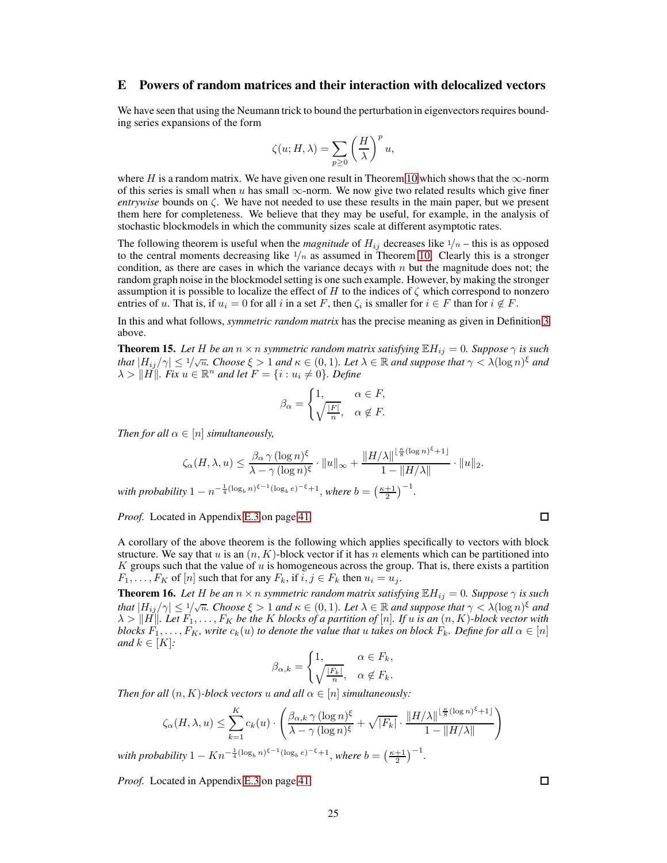## E Powers of random matrices and their interaction with delocalized vectors

We have seen that using the Neumann trick to bound the perturbation in eigenvectors requires bounding series expansions of the form

$$
\zeta(u; H, \lambda) = \sum_{p \ge 0} \left(\frac{H}{\lambda}\right)^p u,
$$

where H is a random matrix. We have given one result in Theorem [10](#page-7-3) which shows that the  $\infty$ -norm of this series is small when  $u$  has small  $\infty$ -norm. We now give two related results which give finer *entrywise* bounds on  $\zeta$ . We have not needed to use these results in the main paper, but we present them here for completeness. We believe that they may be useful, for example, in the analysis of stochastic blockmodels in which the community sizes scale at different asymptotic rates.

The following theorem is useful when the *magnitude* of  $H_{ij}$  decreases like  $1/n$  – this is as opposed to the central moments decreasing like  $1/n$  as assumed in Theorem [10.](#page-7-3) Clearly this is a stronger condition, as there are cases in which the variance decays with  $n$  but the magnitude does not; the random graph noise in the blockmodel setting is one such example. However, by making the stronger assumption it is possible to localize the effect of H to the indices of  $\zeta$  which correspond to nonzero entries of u. That is, if  $u_i = 0$  for all i in a set F, then  $\zeta_i$  is smaller for  $i \in F$  than for  $i \notin F$ .

<span id="page-24-0"></span>In this and what follows, *symmetric random matrix* has the precise meaning as given in Definition [3](#page-22-4) above.

**Theorem 15.** Let H be an  $n \times n$  symmetric random matrix satisfying  $\mathbb{E}H_{ij} = 0$ . Suppose  $\gamma$  is such *that*  $|H_{ij}/\gamma| \leq 1/\sqrt{n}$ *. Choose*  $\xi > 1$  *and*  $\kappa \in (0, 1)$ *. Let*  $\lambda \in \mathbb{R}$  *and suppose that*  $\gamma < \lambda(\log n)^{\xi}$  *and*  $\lambda > ||H||$ *. Fix*  $u \in \mathbb{R}^n$  and let  $F = \{i : u_i \neq 0\}$ *. Define* 

$$
\beta_{\alpha} = \begin{cases} 1, & \alpha \in F, \\ \sqrt{\frac{|F|}{n}}, & \alpha \notin F. \end{cases}
$$

*Then for all*  $\alpha \in [n]$  *simultaneously,* 

$$
\zeta_{\alpha}(H,\lambda,u) \leq \frac{\beta_{\alpha} \gamma (\log n)^{\xi}}{\lambda - \gamma (\log n)^{\xi}} \cdot \|u\|_{\infty} + \frac{\|H/\lambda\|^{\lfloor \frac{\kappa}{8}(\log n)^{\xi} + 1\rfloor}}{1 - \|H/\lambda\|} \cdot \|u\|_{2}.
$$

*with probability*  $1 - n^{-\frac{1}{4}(\log_b n)^{\xi - 1}(\log_b e)^{-\xi} + 1}$ , *where*  $b = \left(\frac{\kappa + 1}{2}\right)^{-1}$ .

*Proof.* Located in Appendix [E.3](#page-39-0) on page [41.](#page-39-0)

A corollary of the above theorem is the following which applies specifically to vectors with block structure. We say that u is an  $(n, K)$ -block vector if it has n elements which can be partitioned into K groups such that the value of u is homogeneous across the group. That is, there exists a partition  $F_1, \ldots, F_K$  of  $[n]$  such that for any  $F_k$ , if  $i, j \in F_k$  then  $u_i = u_j$ .

<span id="page-24-1"></span>**Theorem 16.** Let H be an  $n \times n$  symmetric random matrix satisfying  $\mathbb{E}[H_{ij}]=0$ . Suppose  $\gamma$  is such *that*  $|H_{ij}/\gamma| \leq 1/\sqrt{n}$ *. Choose*  $\xi > 1$  *and*  $\kappa \in (0, 1)$ *. Let*  $\lambda \in \mathbb{R}$  *and suppose that*  $\gamma < \lambda(\log n)^{\xi}$  *and*  $\lambda > ||H||$ *. Let*  $F_1, \ldots, F_K$  *be the* K *blocks of a partition of* [n]*. If* u *is an*  $(n, K)$ *-block vector with blocks*  $F_1, \ldots, F_K$ *, write*  $c_k(u)$  *to denote the value that* u *takes on block*  $F_k$ *. Define for all*  $\alpha \in [n]$ *and*  $k \in [K]$ *:* 

$$
\beta_{\alpha,k} = \begin{cases} 1, & \alpha \in F_k, \\ \sqrt{\frac{|F_k|}{n}}, & \alpha \notin F_k. \end{cases}
$$

*Then for all*  $(n, K)$ *-block vectors* u *and all*  $\alpha \in [n]$  *simultaneously:* 

$$
\zeta_{\alpha}(H,\lambda,u) \leq \sum_{k=1}^{K} c_k(u) \cdot \left( \frac{\beta_{\alpha,k} \gamma (\log n)^{\xi}}{\lambda - \gamma (\log n)^{\xi}} + \sqrt{|F_k|} \cdot \frac{\|H/\lambda\|^{\lfloor \frac{\kappa}{8} (\log n)^{\xi} + 1 \rfloor}}{1 - \|H/\lambda\|} \right)
$$

*with probability*  $1 - Kn^{-\frac{1}{4}(\log_b n)^{\xi - 1}(\log_b e)^{-\xi} + 1}$ , *where*  $b = \left(\frac{\kappa + 1}{2}\right)^{-1}$ .

*Proof.* Located in Appendix [E.3](#page-40-0) on page [41.](#page-40-0)

 $\Box$ 

 $\Box$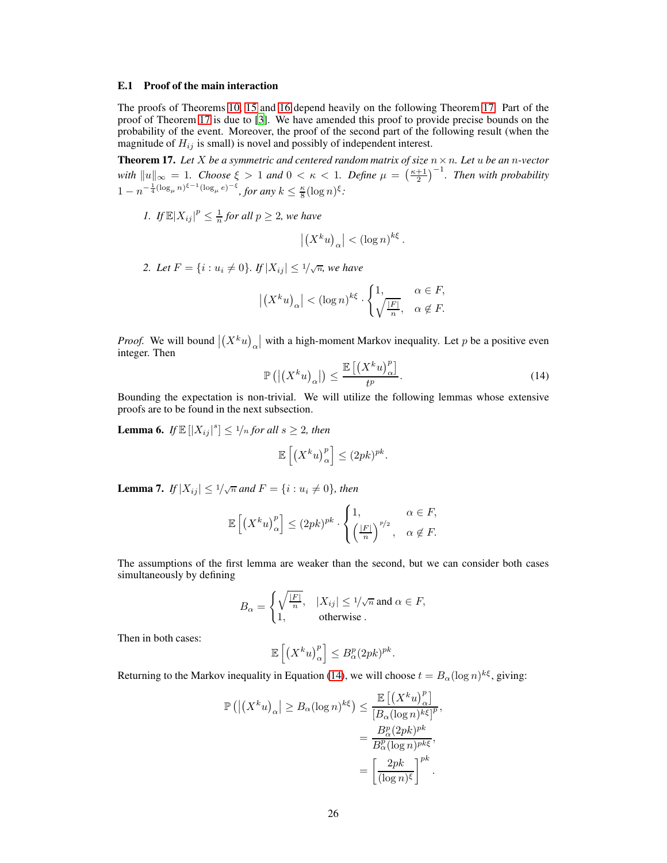#### E.1 Proof of the main interaction

The proofs of Theorems [10,](#page-7-3) [15](#page-24-0) and [16](#page-24-1) depend heavily on the following Theorem [17.](#page-25-0) Part of the proof of Theorem [17](#page-25-0) is due to [\[3](#page-9-6)]. We have amended this proof to provide precise bounds on the probability of the event. Moreover, the proof of the second part of the following result (when the magnitude of  $H_{ij}$  is small) is novel and possibly of independent interest.

<span id="page-25-0"></span>**Theorem 17.** Let X be a symmetric and centered random matrix of size  $n \times n$ . Let u be an n-vector *with*  $||u||_{\infty} = 1$ *. Choose*  $\xi > 1$  *and*  $0 < \kappa < 1$ *. Define*  $\mu = \left(\frac{\kappa+1}{2}\right)^{-1}$ *. Then with probability*  $1 - n^{-\frac{1}{4}(\log_\mu n)^{\xi - 1}(\log_\mu e)^{-\xi}},$  for any  $k \leq \frac{\kappa}{8}(\log n)^{\xi}$ :

*1.* If  $\mathbb{E}|X_{ij}|^p \leq \frac{1}{n}$  for all  $p \geq 2$ , we have

$$
\left| \left( X^k u \right)_\alpha \right| < \left( \log n \right)^{k \xi} .
$$

2. Let  $F = \{i : u_i \neq 0\}$ . If  $|X_{ij}| \leq 1/\sqrt{n}$ , we have

$$
\left| \left( X^k u \right)_\alpha \right| < (\log n)^{k\xi} \cdot \begin{cases} 1, & \alpha \in F, \\ \sqrt{\frac{|F|}{n}}, & \alpha \notin F. \end{cases}
$$

*Proof.* We will bound  $|(X^k u)_\alpha|$  with a high-moment Markov inequality. Let p be a positive even integer. Then

<span id="page-25-1"></span>
$$
\mathbb{P}\left(\left|\left(X^k u\right)_{\alpha}\right|\right) \le \frac{\mathbb{E}\left[\left(X^k u\right)_{\alpha}^p\right]}{t^p}.\tag{14}
$$

<span id="page-25-2"></span>Bounding the expectation is non-trivial. We will utilize the following lemmas whose extensive proofs are to be found in the next subsection.

**Lemma 6.** If  $\mathbb{E}[|X_{ij}|^s] \leq \frac{1}{n}$  for all  $s \geq 2$ , then

$$
\mathbb{E}\left[\left(X^k u\right)^p_{\alpha}\right] \le (2pk)^{pk}.
$$

<span id="page-25-3"></span>**Lemma 7.** If  $|X_{ij}| \leq 1/\sqrt{n}$  and  $F = \{i : u_i \neq 0\}$ , then

$$
\mathbb{E}\left[\left(X^k u\right)_\alpha^{p}\right] \le (2pk)^{pk} \cdot \begin{cases} 1, & \alpha \in F, \\ \left(\frac{|F|}{n}\right)^{p/2}, & \alpha \notin F. \end{cases}
$$

The assumptions of the first lemma are weaker than the second, but we can consider both cases simultaneously by defining

$$
B_{\alpha} = \begin{cases} \sqrt{\frac{|F|}{n}}, & |X_{ij}| \le 1/\sqrt{n} \text{ and } \alpha \in F, \\ 1, & \text{otherwise.} \end{cases}
$$

Then in both cases:

$$
\mathbb{E}\left[\left(X^k u\right)_\alpha^p\right] \leq B_\alpha^p (2pk)^{pk}.
$$

Returning to the Markov inequality in Equation [\(14\)](#page-25-1), we will choose  $t = B_\alpha (\log n)^{k\xi}$ , giving:

$$
\mathbb{P}\left(\left|\left(X^{k}u\right)_{\alpha}\right| \geq B_{\alpha}(\log n)^{k\xi}\right) \leq \frac{\mathbb{E}\left[\left(X^{k}u\right)_{\alpha}^{p}\right]}{\left[B_{\alpha}(\log n)^{k\xi}\right]^{p}},
$$

$$
=\frac{B_{\alpha}^{p}(2pk)^{pk}}{B_{\alpha}^{p}(\log n)^{pk\xi}},
$$

$$
=\left[\frac{2pk}{(\log n)^{\xi}}\right]^{pk}.
$$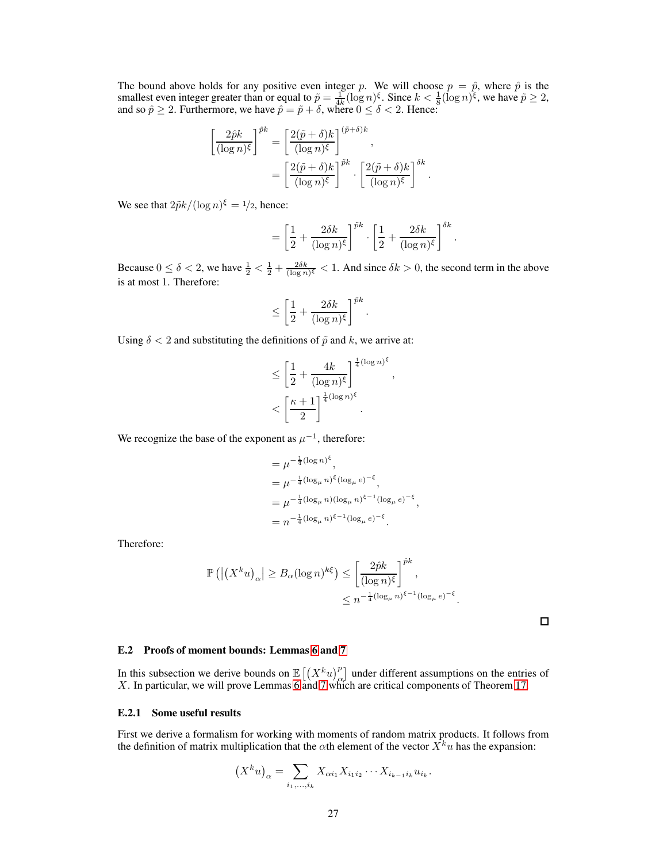The bound above holds for any positive even integer p. We will choose  $p = \hat{p}$ , where  $\hat{p}$  is the smallest even integer greater than or equal to  $\tilde{p} = \frac{1}{4k} (\log n)^{\xi}$ . Since  $k < \frac{1}{8} (\log n)^{\xi}$ , we have  $\tilde{p} \ge 2$ , and so  $\hat{p} \ge 2$ . Furthermore, we have  $\hat{p} = \tilde{p} + \delta$ , where  $0 \le \delta < 2$ . Hence:

$$
\left[\frac{2\hat{p}k}{(\log n)^{\xi}}\right]^{\hat{p}k} = \left[\frac{2(\tilde{p}+\delta)k}{(\log n)^{\xi}}\right]^{(\tilde{p}+\delta)k},
$$

$$
= \left[\frac{2(\tilde{p}+\delta)k}{(\log n)^{\xi}}\right]^{\tilde{p}k} \cdot \left[\frac{2(\tilde{p}+\delta)k}{(\log n)^{\xi}}\right]^{\delta k}
$$

We see that  $2\tilde{p}k/(\log n)^{\xi} = 1/2$ , hence:

$$
= \left[\frac{1}{2} + \frac{2\delta k}{(\log n)^{\xi}}\right]^{\tilde{p}k} \cdot \left[\frac{1}{2} + \frac{2\delta k}{(\log n)^{\xi}}\right]^{\delta k}
$$

.

.

Because  $0 \le \delta < 2$ , we have  $\frac{1}{2} < \frac{1}{2} + \frac{2\delta k}{(\log n)^{\xi}} < 1$ . And since  $\delta k > 0$ , the second term in the above is at most 1. Therefore:

$$
\leq \left[\frac{1}{2} + \frac{2\delta k}{(\log n)^{\xi}}\right]^{\tilde{p}k}.
$$

Using  $\delta$  < 2 and substituting the definitions of  $\tilde{p}$  and k, we arrive at:

$$
\leq \left[\frac{1}{2} + \frac{4k}{(\log n)^{\xi}}\right]^{\frac{1}{4}(\log n)^{\xi}},
$$

$$
< \left[\frac{\kappa + 1}{2}\right]^{\frac{1}{4}(\log n)^{\xi}}.
$$

We recognize the base of the exponent as  $\mu^{-1}$ , therefore:

$$
= \mu^{-\frac{1}{4}(\log n)^{\xi}},
$$
  
\n
$$
= \mu^{-\frac{1}{4}(\log_{\mu} n)^{\xi}(\log_{\mu} e)^{-\xi}},
$$
  
\n
$$
= \mu^{-\frac{1}{4}(\log_{\mu} n)(\log_{\mu} n)^{\xi - 1}(\log_{\mu} e)^{-\xi}},
$$
  
\n
$$
= n^{-\frac{1}{4}(\log_{\mu} n)^{\xi - 1}(\log_{\mu} e)^{-\xi}}.
$$

Therefore:

$$
\mathbb{P}\left(\left|\left(X^k u\right)_{\alpha}\right| \geq B_{\alpha} (\log n)^{k\xi}\right) \leq \left[\frac{2\hat{p}k}{(\log n)^{\xi}}\right]^{\hat{p}k},
$$
  

$$
\leq n^{-\frac{1}{4}(\log_{\mu} n)^{\xi-1}(\log_{\mu} e)^{-\xi}}.
$$

 $\Box$ 

#### E.2 Proofs of moment bounds: Lemmas [6](#page-25-2) and [7](#page-25-3)

In this subsection we derive bounds on  $\mathbb{E}\left[\left(X_{\alpha}^{k}u\right)_{\alpha}^{p}\right]$  under different assumptions on the entries of X. In particular, we will prove Lemmas [6](#page-25-2) and [7](#page-25-3) which are critical components of Theorem [17.](#page-25-0)

#### E.2.1 Some useful results

First we derive a formalism for working with moments of random matrix products. It follows from the definition of matrix multiplication that the  $\alpha$ th element of the vector  $X^k u$  has the expansion:

$$
(X^k u)_\alpha = \sum_{i_1, ..., i_k} X_{\alpha i_1} X_{i_1 i_2} \cdots X_{i_{k-1} i_k} u_{i_k}.
$$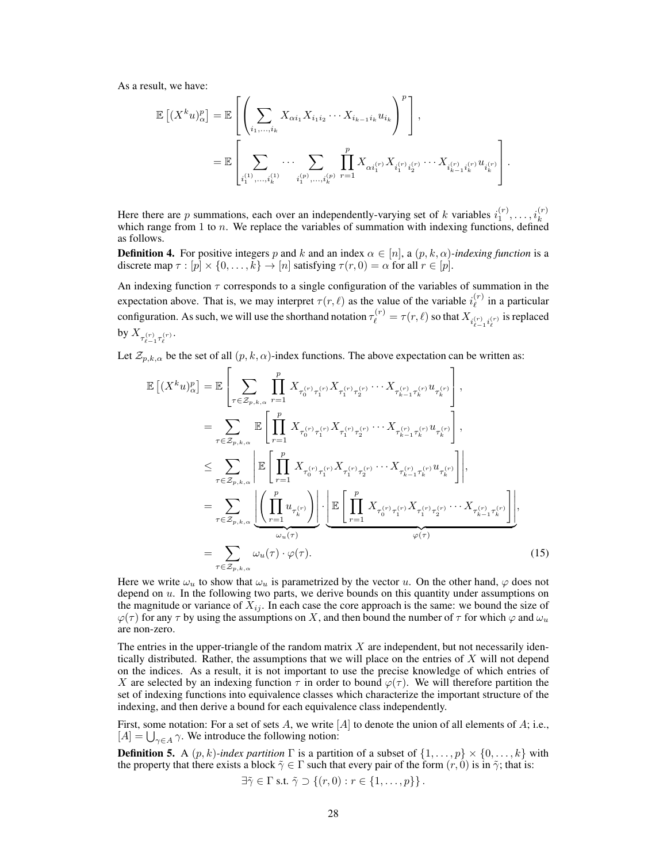As a result, we have:

$$
\mathbb{E}\left[ (X^k u)_\alpha^p \right] = \mathbb{E}\left[ \left( \sum_{i_1, ..., i_k} X_{\alpha i_1} X_{i_1 i_2} \cdots X_{i_{k-1} i_k} u_{i_k} \right)^p \right],
$$
  

$$
= \mathbb{E}\left[ \sum_{i_1^{(1)}, ..., i_k^{(1)}} \cdots \sum_{i_1^{(p)}, ..., i_k^{(p)}} \prod_{r=1}^p X_{\alpha i_1^{(r)}} X_{i_1^{(r)} i_2^{(r)}} \cdots X_{i_{k-1}^{(r)} i_k^{(r)}} u_{i_k^{(r)}} \right].
$$

Here there are p summations, each over an independently-varying set of k variables  $i_1^{(r)}, \ldots, i_k^{(r)}$ which range from  $1$  to  $n$ . We replace the variables of summation with indexing functions, defined as follows.

**Definition 4.** For positive integers p and k and an index  $\alpha \in [n]$ , a  $(p, k, \alpha)$ *-indexing function* is a discrete map  $\tau : [p] \times \{0, \ldots, k\} \to [n]$  satisfying  $\tau(r, 0) = \alpha$  for all  $r \in [p]$ .

An indexing function  $\tau$  corresponds to a single configuration of the variables of summation in the expectation above. That is, we may interpret  $\tau(r, \ell)$  as the value of the variable  $i_{\ell}^{(r)}$  $\ell^{(r)}$  in a particular configuration. As such, we will use the shorthand notation  $\tau_{\ell}^{(r)} = \tau(r,\ell)$  so that  $X_{i_{\ell-1}^{(r)}i_{\ell}^{(r)}}$  is replaced by  $X_{\tau_{\ell-1}^{(r)}\tau_\ell^{(r)}}.$ 

Let  $\mathcal{Z}_{p,k,\alpha}$  be the set of all  $(p, k, \alpha)$ -index functions. The above expectation can be written as:

$$
\mathbb{E}\left[ (X^{k}u)_{\alpha}^{p} \right] = \mathbb{E}\left[ \sum_{\tau \in \mathcal{Z}_{p,k,\alpha}} \prod_{r=1}^{p} X_{\tau_{0}^{(r)}\tau_{1}^{(r)}} X_{\tau_{1}^{(r)}\tau_{2}^{(r)}} \cdots X_{\tau_{k-1}^{(r)}\tau_{k}^{(r)}} u_{\tau_{k}^{(r)}} \right],
$$
\n
$$
= \sum_{\tau \in \mathcal{Z}_{p,k,\alpha}} \mathbb{E}\left[ \prod_{r=1}^{p} X_{\tau_{0}^{(r)}\tau_{1}^{(r)}} X_{\tau_{1}^{(r)}\tau_{2}^{(r)}} \cdots X_{\tau_{k-1}^{(r)}\tau_{k}^{(r)}} u_{\tau_{k}^{(r)}} \right],
$$
\n
$$
\leq \sum_{\tau \in \mathcal{Z}_{p,k,\alpha}} \left| \mathbb{E}\left[ \prod_{r=1}^{p} X_{\tau_{0}^{(r)}\tau_{1}^{(r)}} X_{\tau_{1}^{(r)}\tau_{2}^{(r)}} \cdots X_{\tau_{k-1}^{(r)}\tau_{k}^{(r)}} u_{\tau_{k}^{(r)}} \right] \right|,
$$
\n
$$
= \sum_{\tau \in \mathcal{Z}_{p,k,\alpha}} \underbrace{\left| \left( \prod_{r=1}^{p} u_{\tau_{k}^{(r)}} \right) \right|}_{\omega_{u}(\tau)} \cdot \underbrace{\left| \mathbb{E}\left[ \prod_{r=1}^{p} X_{\tau_{0}^{(r)}\tau_{1}^{(r)}} X_{\tau_{1}^{(r)}\tau_{2}^{(r)}} \cdots X_{\tau_{k-1}^{(r)}\tau_{k}^{(r)}} \right] \right|}_{\varphi(\tau)},
$$
\n
$$
= \sum_{\tau \in \mathcal{Z}_{p,k,\alpha}} \omega_{u}(\tau) \cdot \varphi(\tau).
$$
\n(15)

Here we write  $\omega_u$  to show that  $\omega_u$  is parametrized by the vector u. On the other hand,  $\varphi$  does not depend on  $u$ . In the following two parts, we derive bounds on this quantity under assumptions on the magnitude or variance of  $X_{ij}$ . In each case the core approach is the same: we bound the size of  $\varphi(\tau)$  for any  $\tau$  by using the assumptions on X, and then bound the number of  $\tau$  for which  $\varphi$  and  $\omega_u$ are non-zero.

The entries in the upper-triangle of the random matrix  $X$  are independent, but not necessarily identically distributed. Rather, the assumptions that we will place on the entries of  $X$  will not depend on the indices. As a result, it is not important to use the precise knowledge of which entries of X are selected by an indexing function  $\tau$  in order to bound  $\varphi(\tau)$ . We will therefore partition the set of indexing functions into equivalence classes which characterize the important structure of the indexing, and then derive a bound for each equivalence class independently.

First, some notation: For a set of sets A, we write  $[A]$  to denote the union of all elements of A; i.e.,  $[A] = \bigcup_{\gamma \in A} \gamma$ . We introduce the following notion:

<span id="page-27-1"></span>**Definition 5.** A  $(p, k)$ -index partition  $\Gamma$  is a partition of a subset of  $\{1, \ldots, p\} \times \{0, \ldots, k\}$  with the property that there exists a block  $\tilde{\gamma} \in \Gamma$  such that every pair of the form  $(r, 0)$  is in  $\tilde{\gamma}$ ; that is:

<span id="page-27-0"></span>
$$
\exists \tilde{\gamma} \in \Gamma \text{ s.t. } \tilde{\gamma} \supset \{(r,0) : r \in \{1,\ldots,p\}\}.
$$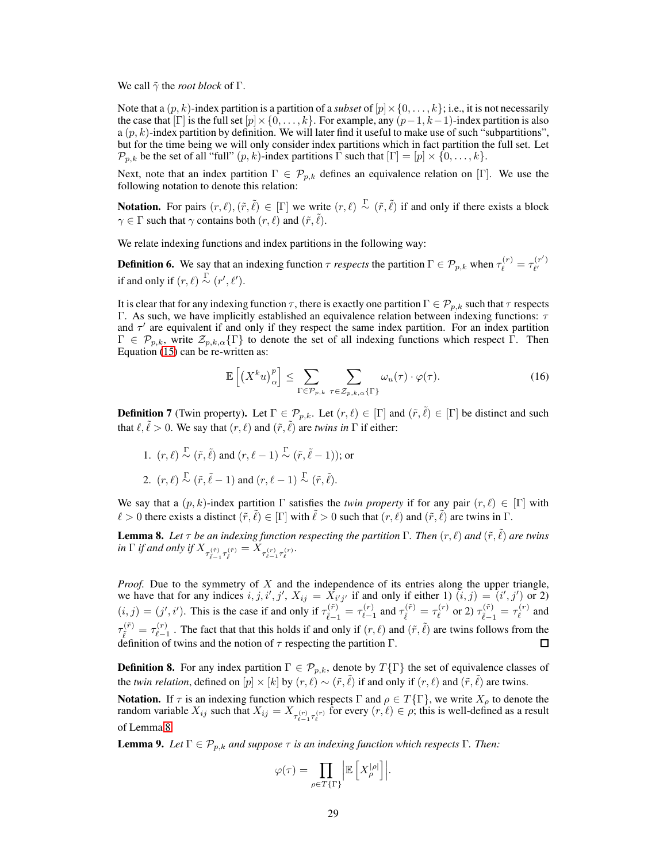We call  $\tilde{\gamma}$  the *root block* of  $\Gamma$ .

Note that a  $(p, k)$ -index partition is a partition of a *subset* of  $[p] \times \{0, \ldots, k\}$ ; i.e., it is not necessarily the case that  $[\Gamma]$  is the full set  $[p] \times \{0, \ldots, k\}$ . For example, any  $(p-1, k-1)$ -index partition is also a  $(p, k)$ -index partition by definition. We will later find it useful to make use of such "subpartitions", but for the time being we will only consider index partitions which in fact partition the full set. Let  $\mathcal{P}_{p,k}$  be the set of all "full"  $(p, k)$ -index partitions  $\Gamma$  such that  $[\Gamma] = [p] \times \{0, \ldots, k\}.$ 

Next, note that an index partition  $\Gamma \in \mathcal{P}_{p,k}$  defines an equivalence relation on [Γ]. We use the following notation to denote this relation:

**Notation.** For pairs  $(r, \ell), (\tilde{r}, \tilde{\ell}) \in [\Gamma]$  we write  $(r, \ell) \overset{\Gamma}{\sim} (\tilde{r}, \tilde{\ell})$  if and only if there exists a block  $\gamma \in \Gamma$  such that  $\gamma$  contains both  $(r, \ell)$  and  $(\tilde{r}, \tilde{\ell})$ .

We relate indexing functions and index partitions in the following way:

**Definition 6.** We say that an indexing function  $\tau$  *respects* the partition  $\Gamma \in \mathcal{P}_{p,k}$  when  $\tau_{\ell}^{(r)} = \tau_{\ell'}^{(r')}$  $\ell'$ if and only if  $(r, \ell) \stackrel{\Gamma}{\sim} (r', \ell').$ 

It is clear that for any indexing function  $\tau$ , there is exactly one partition  $\Gamma \in \mathcal{P}_{p,k}$  such that  $\tau$  respects Γ. As such, we have implicitly established an equivalence relation between indexing functions:  $τ$ and  $\tau'$  are equivalent if and only if they respect the same index partition. For an index partition  $\Gamma \in \mathcal{P}_{p,k}$ , write  $\mathcal{Z}_{p,k,\alpha} \{\Gamma\}$  to denote the set of all indexing functions which respect  $\Gamma$ . Then Equation [\(15\)](#page-27-0) can be re-written as:

<span id="page-28-1"></span>
$$
\mathbb{E}\left[\left(X^{k}u\right)_{\alpha}^{p}\right] \leq \sum_{\Gamma \in \mathcal{P}_{p,k}} \sum_{\tau \in \mathcal{Z}_{p,k,\alpha}\{\Gamma\}} \omega_{u}(\tau) \cdot \varphi(\tau). \tag{16}
$$

**Definition 7** (Twin property). Let  $\Gamma \in \mathcal{P}_{p,k}$ . Let  $(r,\ell) \in [\Gamma]$  and  $(\tilde{r}, \tilde{\ell}) \in [\Gamma]$  be distinct and such that  $\ell, \tilde{\ell} > 0$ . We say that  $(r, \ell)$  and  $(\tilde{r}, \tilde{\ell})$  are *twins in*  $\Gamma$  if either:

1.  $(r, \ell) \stackrel{\Gamma}{\sim} (\tilde{r}, \tilde{\ell})$  and  $(r, \ell - 1) \stackrel{\Gamma}{\sim} (\tilde{r}, \tilde{\ell} - 1)$ ; or 2.  $(r, \ell) \stackrel{\Gamma}{\sim} (\tilde{r}, \tilde{\ell} - 1)$  and  $(r, \ell - 1) \stackrel{\Gamma}{\sim} (\tilde{r}, \tilde{\ell})$ .

We say that a  $(p, k)$ -index partition  $\Gamma$  satisfies the *twin property* if for any pair  $(r, \ell) \in [\Gamma]$  with  $\ell > 0$  there exists a distinct  $(\tilde{r}, \tilde{\ell}) \in [\Gamma]$  with  $\tilde{\ell} > 0$  such that  $(r, \ell)$  and  $(\tilde{r}, \tilde{\ell})$  are twins in  $\Gamma$ .

<span id="page-28-0"></span>**Lemma 8.** Let  $\tau$  be an indexing function respecting the partition  $\Gamma$ . Then  $(r, \ell)$  and  $(\tilde{r}, \tilde{\ell})$  are twins  $\inf$  *if and only if*  $X_{\tau_{\tilde{\ell}-1}^{(\tilde{r})}\tau_{\tilde{\ell}}^{(\tilde{r})}} = X_{\tau_{\ell-1}^{(r)}\tau_{\ell}^{(r)}}$ .

*Proof.* Due to the symmetry of X and the independence of its entries along the upper triangle, we have that for any indices  $i, j, i', j', X_{ij} = X_{i'j'}$  if and only if either 1)  $(i, j) = (i', j')$  or 2)  $(i, j) = (j', i')$ . This is the case if and only if  $\tau_i^{(\tilde{r})}$  $\frac{d(\tilde{r})}{d\tilde{\ell}-1} = \tau_{\ell-1}^{(r)}$  $\tau_{\ell-1}^{(r)}$  and  $\tau_{\tilde{\ell}}^{(\tilde{r})} = \tau_{\ell}^{(r)}$  $\tau^{(r)}_\ell$  or 2)  $\tau^{(\tilde{r})}_{\tilde{\ell}-1}$  $\frac{d(\tilde{r})}{d\tilde{\ell}-1} = \tau_{\ell}^{(r)}$  $\ell^{(r)}$  and  $\tau_{\tilde{\ell}}^{(\tilde{r})}=\tau_{\ell-1}^{(r)}$  $(\hat{r})$ . The fact that that this holds if and only if  $(r, \ell)$  and  $(\tilde{r}, \tilde{\ell})$  are twins follows from the definition of twins and the notion of  $\tau$  respecting the partition  $\Gamma$ . П

**Definition 8.** For any index partition  $\Gamma \in \mathcal{P}_{p,k}$ , denote by  $T\{\Gamma\}$  the set of equivalence classes of the *twin relation*, defined on  $[p] \times [k]$  by  $(r, \ell) \sim (\tilde{r}, \tilde{\ell})$  if and only if  $(r, \ell)$  and  $(\tilde{r}, \tilde{\ell})$  are twins.

**Notation.** If  $\tau$  is an indexing function which respects  $\Gamma$  and  $\rho \in T\{\Gamma\}$ , we write  $X_{\rho}$  to denote the random variable  $X_{ij}$  such that  $X_{ij} = X_{\tau_{\ell-1}^{(r)}\tau_{\ell}^{(r)}}$  for every  $(r, \ell) \in \rho$ ; this is well-defined as a result of Lemma [8.](#page-28-0)

<span id="page-28-2"></span>**Lemma 9.** *Let*  $\Gamma \in \mathcal{P}_{p,k}$  *and suppose*  $\tau$  *is an indexing function which respects*  $\Gamma$ *. Then:* 

$$
\varphi(\tau) = \prod_{\rho \in T\{\Gamma\}} \left| \mathbb{E}\left[X_{\rho}^{|\rho|}\right] \right|.
$$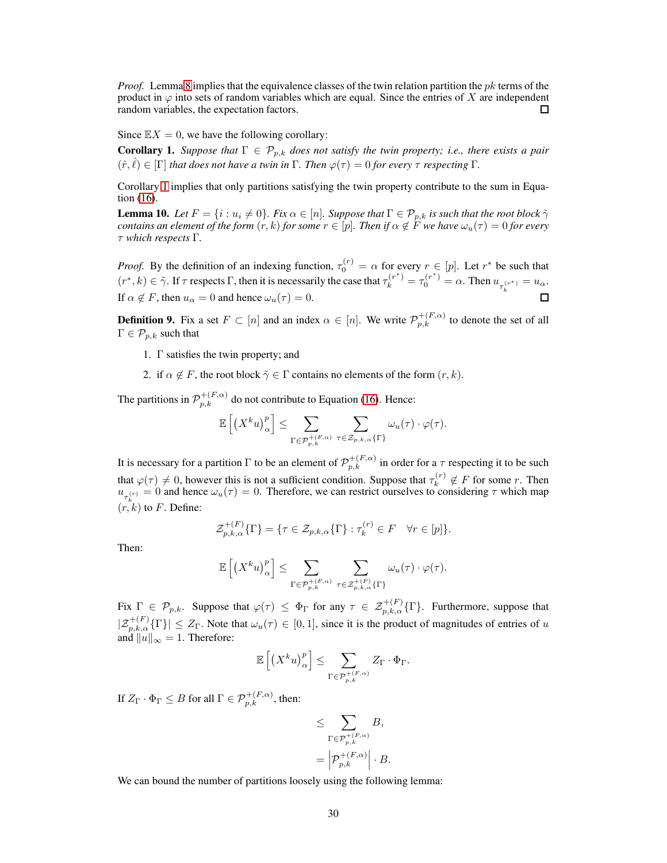*Proof.* Lemma [8](#page-28-0) implies that the equivalence classes of the twin relation partition the *pk* terms of the product in  $\varphi$  into sets of random variables which are equal. Since the entries of X are independent random variables, the expectation factors.  $\Box$ 

<span id="page-29-0"></span>Since  $\mathbb{E}X = 0$ , we have the following corollary:

**Corollary 1.** *Suppose that*  $\Gamma \in \mathcal{P}_{p,k}$  *does not satisfy the twin property; i.e., there exists a pair*  $(\hat{r}, \hat{\ell}) \in [\Gamma]$  *that does not have a twin in*  $\Gamma$ *. Then*  $\varphi(\tau) = 0$  *for every*  $\tau$  *respecting*  $\Gamma$ *.* 

Corollary [1](#page-29-0) implies that only partitions satisfying the twin property contribute to the sum in Equation [\(16\)](#page-28-1).

**Lemma 10.** *Let*  $F = \{i : u_i \neq 0\}$ . *Fix*  $\alpha \in [n]$ *. Suppose that*  $\Gamma \in \mathcal{P}_{p,k}$  *is such that the root block*  $\tilde{\gamma}$ *contains an element of the form*  $(r, k)$  *for some*  $r \in [p]$ *. Then if*  $\alpha \notin \overline{F}$  *we have*  $\omega_u(\tau) = 0$  *for every* τ *which respects* Γ*.*

*Proof.* By the definition of an indexing function,  $\tau_0^{(r)} = \alpha$  for every  $r \in [p]$ . Let  $r^*$  be such that  $(r^*, k) \in \tilde{\gamma}$ . If  $\tau$  respects  $\Gamma$ , then it is necessarily the case that  $\tau_k^{(r^*)} = \tau_0^{(r^*)} = \alpha$ . Then  $u_{\tau_k^{(r^*)}} = u_\alpha$ . If  $\alpha \notin F$ , then  $u_{\alpha} = 0$  and hence  $\omega_u(\tau) = 0$ .

**Definition 9.** Fix a set  $F \subset [n]$  and an index  $\alpha \in [n]$ . We write  $\mathcal{P}_{p,k}^{+(F,\alpha)}$  to denote the set of all  $\Gamma \in \mathcal{P}_{p,k}$  such that

- 1. Γ satisfies the twin property; and
- 2. if  $\alpha \notin F$ , the root block  $\tilde{\gamma} \in \Gamma$  contains no elements of the form  $(r, k)$ .

The partitions in  $\mathcal{P}_{p,k}^{+(F,\alpha)}$  do not contribute to Equation [\(16\)](#page-28-1). Hence:

$$
\mathbb{E}\left[\left(X^k u\right)_\alpha^p\right] \leq \sum_{\Gamma \in \mathcal{P}_{p,k}^{+(F,\alpha)}} \sum_{\tau \in \mathcal{Z}_{p,k,\alpha} \{\Gamma\}} \omega_u(\tau) \cdot \varphi(\tau).
$$

It is necessary for a partition  $\Gamma$  to be an element of  $\mathcal{P}_{p,k}^{+(F,\alpha)}$  in order for a  $\tau$  respecting it to be such that  $\varphi(\tau) \neq 0$ , however this is not a sufficient condition. Suppose that  $\tau_k^{(r)}$  $k^{(r)} \notin F$  for some r. Then  $u_{\tau_k^{(r)}} = 0$  and hence  $\omega_u(\tau) = 0$ . Therefore, we can restrict ourselves to considering  $\tau$  which map  $(r, k)$  to F. Define:

$$
\mathcal{Z}_{p,k,\alpha}^{+(F)}\{\Gamma\} = \{\tau \in \mathcal{Z}_{p,k,\alpha}\{\Gamma\} : \tau_k^{(r)} \in F \quad \forall r \in [p]\}.
$$

Then:

$$
\mathbb{E}\left[\left(X^k u\right)_\alpha^p\right] \leq \sum_{\Gamma \in \mathcal{P}_{p,k}^{+(F,\alpha)}} \sum_{\tau \in \mathcal{Z}_{p,k,\alpha}^{+(F)}\{\Gamma\}} \omega_u(\tau) \cdot \varphi(\tau).
$$

Fix  $\Gamma \in \mathcal{P}_{p,k}$ . Suppose that  $\varphi(\tau) \leq \Phi_{\Gamma}$  for any  $\tau \in \mathcal{Z}_{p,k,\alpha}^{+(F)}(\Gamma)$ . Furthermore, suppose that  $|\mathcal{Z}_{p,k,\alpha}^{+(F)}\{\Gamma\}| \leq Z_{\Gamma}$ . Note that  $\omega_u(\tau) \in [0,1]$ , since it is the product of magnitudes of entries of u and  $||u||_{\infty} = 1$ . Therefore:

$$
\mathbb{E}\left[\left(X^k u\right)_\alpha^p\right] \leq \sum_{\Gamma \in \mathcal{P}_{p,k}^{+(F,\alpha)}} Z_\Gamma \cdot \Phi_\Gamma.
$$

If  $Z_{\Gamma} \cdot \Phi_{\Gamma} \leq B$  for all  $\Gamma \in \mathcal{P}_{p,k}^{+(F,\alpha)}$ , then:

$$
\leq \sum_{\Gamma \in \mathcal{P}_{p,k}^{+(F,\alpha)}} B,
$$
  
= 
$$
\left| \mathcal{P}_{p,k}^{+(F,\alpha)} \right| \cdot B.
$$

We can bound the number of partitions loosely using the following lemma: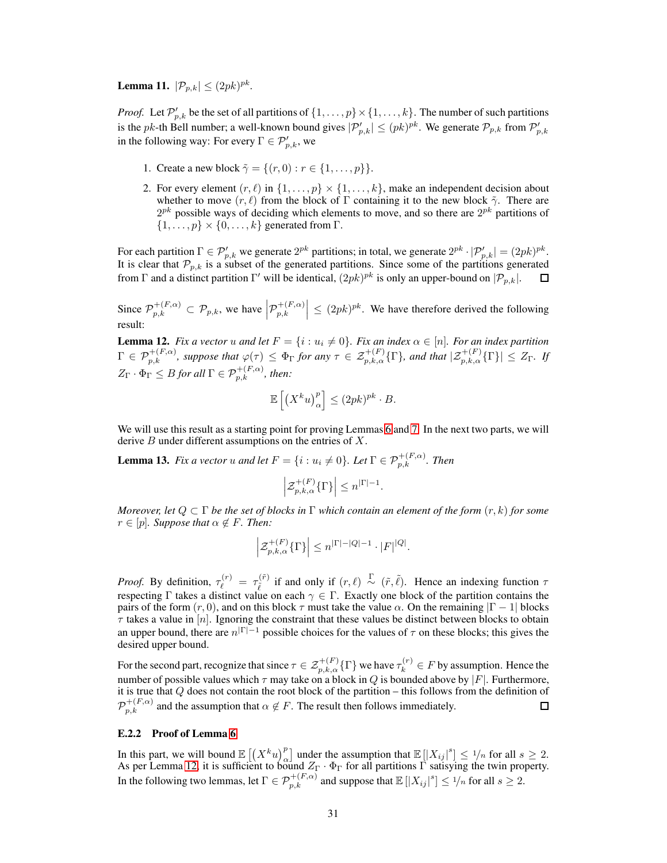**Lemma 11.**  $|\mathcal{P}_{p,k}| \leq (2pk)^{pk}$ .

*Proof.* Let  $\mathcal{P}'_{p,k}$  be the set of all partitions of  $\{1,\ldots,p\} \times \{1,\ldots,k\}$ . The number of such partitions is the pk-th Bell number; a well-known bound gives  $|\mathcal{P}'_{p,k}| \leq (pk)^{pk}$ . We generate  $\mathcal{P}_{p,k}$  from  $\mathcal{P}'_{p,k}$ in the following way: For every  $\Gamma \in \mathcal{P}_{p,k}^{\prime}$ , we

- 1. Create a new block  $\tilde{\gamma} = \{(r, 0) : r \in \{1, ..., p\}\}.$
- 2. For every element  $(r, \ell)$  in  $\{1, \ldots, p\} \times \{1, \ldots, k\}$ , make an independent decision about whether to move  $(r, \ell)$  from the block of  $\Gamma$  containing it to the new block  $\tilde{\gamma}$ . There are  $2^{pk}$  possible ways of deciding which elements to move, and so there are  $2^{pk}$  partitions of  $\{1,\ldots,p\} \times \{0,\ldots,k\}$  generated from Γ.

For each partition  $\Gamma \in \mathcal{P}_{p,k}'$  we generate  $2^{pk}$  partitions; in total, we generate  $2^{pk} \cdot |\mathcal{P}_{p,k}'| = (2pk)^{pk}$ . It is clear that  $\mathcal{P}_{p,k}$  is a subset of the generated partitions. Since some of the partitions generated from  $\Gamma$  and a distinct partition  $\Gamma'$  will be identical,  $(2pk)^{pk}$  is only an upper-bound on  $|\mathcal{P}_{p,k}|$ .

Since  $\mathcal{P}_{p,k}^{+(F,\alpha)} \subset \mathcal{P}_{p,k}$ , we have  $\left| \mathcal{P}_{p,k}^{+(F,\alpha)} \right|$  $\left| \sum_{p,k=1}^{+(F,\alpha)} \right| \leq (2pk)^{pk}$ . We have therefore derived the following result:

<span id="page-30-0"></span>**Lemma 12.** *Fix a vector* u *and let*  $F = \{i : u_i \neq 0\}$ *. Fix an index*  $\alpha \in [n]$ *. For an index partition*  $\Gamma \in \mathcal{P}_{p,k}^{+(F,\alpha)}$ , suppose that  $\varphi(\tau) \leq \Phi_{\Gamma}$  for any  $\tau \in \mathcal{Z}_{p,k,\alpha}^{+(F)}\{\Gamma\}$ , and that  $|\mathcal{Z}_{p,k,\alpha}^{+(F)}\{\Gamma\}| \leq Z_{\Gamma}$ . If  $Z_{\Gamma} \cdot \Phi_{\Gamma} \leq B$  for all  $\Gamma \in \mathcal{P}_{p,k}^{+(F,\alpha)}$ , then:

$$
\mathbb{E}\left[\left(X^k u\right)_\alpha^p\right] \le (2pk)^{pk} \cdot B.
$$

<span id="page-30-1"></span>We will use this result as a starting point for proving Lemmas [6](#page-25-2) and [7.](#page-25-3) In the next two parts, we will derive  $B$  under different assumptions on the entries of  $X$ .

**Lemma 13.** *Fix a vector u and let*  $F = \{i : u_i \neq 0\}$ . Let  $\Gamma \in \mathcal{P}_{p,k}^{+(F,\alpha)}$ . Then

$$
\Big|\mathcal {Z}_{p,k,\alpha}^{+(F)}\{\Gamma\}\Big|\leq n^{|\Gamma|-1}.
$$

*Moreover, let* Q ⊂ Γ *be the set of blocks in* Γ *which contain an element of the form* (r, k) *for some*  $r \in [p]$ *. Suppose that*  $\alpha \notin F$ *. Then:* 

$$
\left| \mathcal{Z}_{p,k,\alpha}^{+(F)}\{\Gamma\}\right| \leq n^{|\Gamma|-|Q|-1}\cdot |F|^{|Q|}.
$$

*Proof.* By definition,  $\tau_{\ell}^{(r)} = \tau_{\tilde{\ell}}^{(\tilde{r})}$  $(\bar{r})$  if and only if  $(r, \ell) \stackrel{\Gamma}{\sim} (\tilde{r}, \tilde{\ell})$ . Hence an indexing function  $\tau$ respecting Γ takes a distinct value on each  $\gamma \in \Gamma$ . Exactly one block of the partition contains the pairs of the form  $(r, 0)$ , and on this block  $\tau$  must take the value  $\alpha$ . On the remaining  $|\Gamma - 1|$  blocks  $\tau$  takes a value in  $[n]$ . Ignoring the constraint that these values be distinct between blocks to obtain an upper bound, there are  $n^{|\Gamma|-1}$  possible choices for the values of  $\tau$  on these blocks; this gives the desired upper bound.

For the second part, recognize that since  $\tau \in \mathcal{Z}_{p,k,\alpha}^{+(F)}\{\Gamma\}$  we have  $\tau_k^{(r)} \in F$  by assumption. Hence the number of possible values which  $\tau$  may take on a block in Q is bounded above by  $|F|$ . Furthermore, it is true that Q does not contain the root block of the partition – this follows from the definition of  $\mathcal{P}_{p,k}^{+(F,\alpha)}$  and the assumption that  $\alpha \notin F$ . The result then follows immediately.  $\Box$ 

## E.2.2 Proof of Lemma [6](#page-25-2)

<span id="page-30-2"></span>In this part, we will bound  $\mathbb{E}[(X^k u)_\alpha^p]$  under the assumption that  $\mathbb{E}[|X_{ij}|^s] \le 1/n$  for all  $s \ge 2$ . As per Lemma [12,](#page-30-0) it is sufficient to bound  $Z_{\Gamma} \cdot \Phi_{\Gamma}$  for all partitions  $\Gamma$  satisying the twin property. In the following two lemmas, let  $\Gamma \in \mathcal{P}_{p,k}^{+(F,\alpha)}$  and suppose that  $\mathbb{E} \left[ |X_{ij}|^s \right] \leq \frac{1}{n}$  for all  $s \geq 2$ .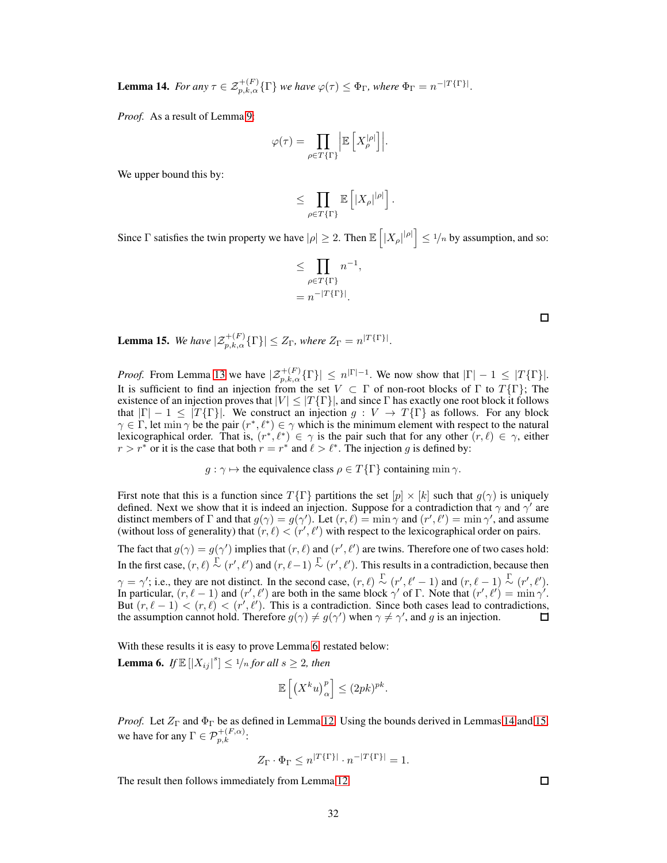**Lemma 14.** *For any*  $\tau \in \mathcal{Z}_{p,k,\alpha}^{+(F)}\{\Gamma\}$  *we have*  $\varphi(\tau) \leq \Phi_{\Gamma}$ *, where*  $\Phi_{\Gamma} = n^{-|T\{\Gamma\}|}$ *.* 

*Proof.* As a result of Lemma [9:](#page-28-2)

$$
\varphi(\tau) = \prod_{\rho \in T\{\Gamma\}} \left| \mathbb{E} \left[ X_{\rho}^{|\rho|} \right] \right|.
$$

We upper bound this by:

$$
\leq \prod_{\rho\in T\{\Gamma\}}\mathbb{E}\left[|X_\rho|^{|\rho|}\right].
$$

Since  $\Gamma$  satisfies the twin property we have  $|\rho| \ge 2$ . Then  $\mathbb{E} \left[ |X_\rho|^{\rho} \right] \le 1/n$  by assumption, and so:

$$
\leq \prod_{\rho \in T\{\Gamma\}} n^{-1},
$$
  
=  $n^{-|T\{\Gamma\}|}$ .

<span id="page-31-0"></span>**Lemma 15.** We have  $|\mathcal{Z}_{p,k,\alpha}^{+(F)}\{\Gamma\}| \leq Z_{\Gamma}$ , where  $Z_{\Gamma} = n^{|T\{\Gamma\}|}$ .

*Proof.* From Lemma [13](#page-30-1) we have  $|\mathcal{Z}_{p,k,\alpha}^{+(F)}(\Gamma)| \le n^{|\Gamma|-1}$ . We now show that  $|\Gamma| - 1 \le |\Gamma\{\Gamma\}|$ . It is sufficient to find an injection from the set  $V \subset \Gamma$  of non-root blocks of  $\Gamma$  to  $T\{\Gamma\}$ ; The existence of an injection proves that  $|V| \leq |T\{\Gamma\}|$ , and since  $\Gamma$  has exactly one root block it follows that  $|\Gamma| - 1 \leq |T\{\Gamma\}|$ . We construct an injection  $g: V \to T\{\Gamma\}$  as follows. For any block  $\gamma \in \Gamma$ , let min  $\gamma$  be the pair  $(r^*, \ell^*) \in \gamma$  which is the minimum element with respect to the natural lexicographical order. That is,  $(r^*, \ell^*) \in \gamma$  is the pair such that for any other  $(r, \ell) \in \gamma$ , either  $r > r^*$  or it is the case that both  $r = r^*$  and  $\ell > \ell^*$ . The injection g is defined by:

 $g : \gamma \mapsto$  the equivalence class  $\rho \in T\{\Gamma\}$  containing min  $\gamma$ .

First note that this is a function since  $T\{\Gamma\}$  partitions the set  $[p] \times [k]$  such that  $g(\gamma)$  is uniquely defined. Next we show that it is indeed an injection. Suppose for a contradiction that  $\gamma$  and  $\gamma'$  are distinct members of  $\Gamma$  and that  $g(\gamma) = g(\gamma')$ . Let  $(r, \ell) = \min \gamma$  and  $(r', \ell') = \min \gamma'$ , and assume (without loss of generality) that  $(r, \ell) < (r', \ell')$  with respect to the lexicographical order on pairs.

The fact that  $g(\gamma) = g(\gamma')$  implies that  $(r, \ell)$  and  $(r', \ell')$  are twins. Therefore one of two cases hold: In the first case,  $(r, \ell) \stackrel{\Gamma}{\sim} (r', \ell')$  and  $(r, \ell-1) \stackrel{\Gamma}{\sim} (r', \ell')$ . This results in a contradiction, because then  $\gamma = \gamma'$ ; i.e., they are not distinct. In the second case,  $(r, \ell) \sim (r', \ell'-1)$  and  $(r, \ell-1) \sim (r', \ell')$ . In particular,  $(r, \ell - 1)$  and  $(r', \ell')$  are both in the same block  $\gamma'$  of  $\Gamma$ . Note that  $(r', \ell') = \min \gamma'$ . But  $(r, \ell - 1) < (r, \ell) < (r', \ell')$ . This is a contradiction. Since both cases lead to contradictions, the assumption cannot hold. Therefore  $g(\gamma) \neq g(\gamma')$  when  $\gamma \neq \gamma'$ , and g is an injection. □

With these results it is easy to prove Lemma [6,](#page-25-2) restated below:

**Lemma 6.** *If*  $\mathbb{E}[|X_{ij}|^s] \leq \frac{1}{n}$  *for all*  $s \geq 2$ *, then* 

$$
\mathbb{E}\left[\left(X^k u\right)_\alpha^p\right] \le (2pk)^{pk}.
$$

*Proof.* Let  $Z_{\Gamma}$  and  $\Phi_{\Gamma}$  be as defined in Lemma [12.](#page-30-0) Using the bounds derived in Lemmas [14](#page-30-2) and [15,](#page-31-0) we have for any  $\Gamma \in \mathcal{P}_{p,k}^{+(F,\alpha)}$ :

$$
Z_{\Gamma} \cdot \Phi_{\Gamma} \le n^{|T\{\Gamma\}|} \cdot n^{-|T\{\Gamma\}|} = 1.
$$

The result then follows immediately from Lemma [12.](#page-30-0)

 $\Box$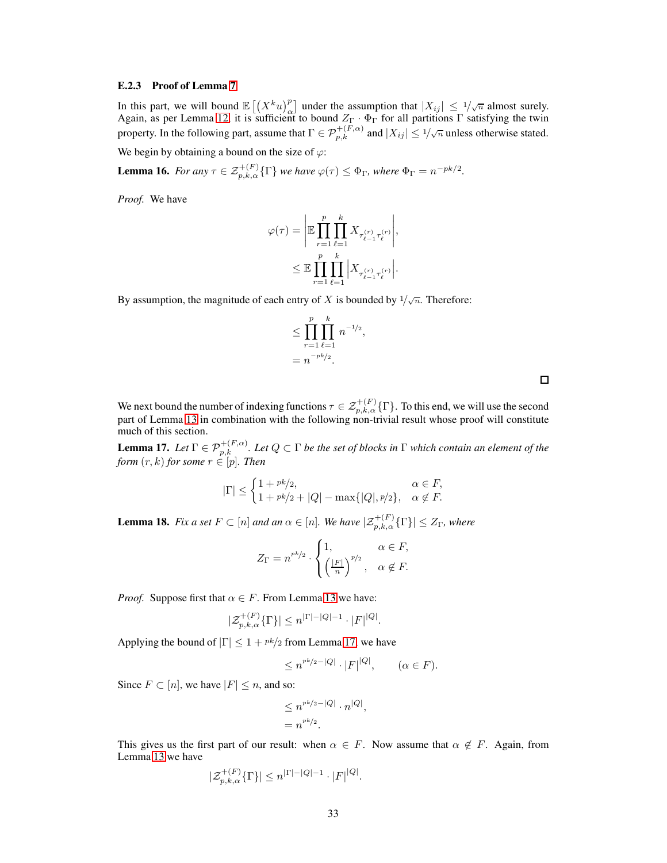## E.2.3 Proof of Lemma [7](#page-25-3)

In this part, we will bound  $\mathbb{E} \left[ \left( X^k u \right)^p \right]$  under the assumption that  $|X_{ij}| \leq 1/\sqrt{n}$  almost surely. Again, as per Lemma [12,](#page-30-0) it is sufficient to bound  $Z_{\Gamma} \cdot \Phi_{\Gamma}$  for all partitions  $\Gamma$  satisfying the twin property. In the following part, assume that  $\Gamma \in \mathcal{P}_{p,k}^{+(F,\alpha)}$  and  $|X_{ij}| \leq 1/\sqrt{n}$  unless otherwise stated.

<span id="page-32-1"></span>We begin by obtaining a bound on the size of  $\varphi$ :

**Lemma 16.** *For any*  $\tau \in \mathcal{Z}_{p,k,\alpha}^{+(F)}\{\Gamma\}$  *we have*  $\varphi(\tau) \leq \Phi_{\Gamma}$ *, where*  $\Phi_{\Gamma} = n^{-pk/2}$ *.* 

*Proof.* We have

$$
\begin{aligned} \varphi(\tau) &= \Bigg| \mathbb{E} \prod_{r=1}^p \prod_{\ell=1}^k X_{\tau_{\ell-1}^{(r)} \tau_{\ell}^{(r)}} \Bigg|, \\ & \leq \mathbb{E} \prod_{r=1}^p \prod_{\ell=1}^k \Bigg| X_{\tau_{\ell-1}^{(r)} \tau_{\ell}^{(r)}} \Bigg|. \end{aligned}
$$

By assumption, the magnitude of each entry of X is bounded by  $1/\sqrt{n}$ . Therefore:

$$
\leq \prod_{r=1}^{p} \prod_{\ell=1}^{k} n^{-1/2},
$$
  
=  $n^{-pk/2}$ .

We next bound the number of indexing functions  $\tau \in \mathcal{Z}^{+(F)}_{p,k,\alpha}\{\Gamma\}$ . To this end, we will use the second part of Lemma [13](#page-30-1) in combination with the following non-trivial result whose proof will constitute much of this section.

<span id="page-32-0"></span>**Lemma 17.** Let  $\Gamma \in \mathcal{P}_{p,k}^{+(F,\alpha)}$ . Let  $Q \subset \Gamma$  be the set of blocks in  $\Gamma$  which contain an element of the *form*  $(r, k)$  *for some*  $r \in [p]$ *. Then* 

$$
|\Gamma| \leq \begin{cases} 1 + \frac{pk}{2}, & \alpha \in F, \\ 1 + \frac{pk}{2} + |Q| - \max\{|Q|, \frac{p}{2}\}, & \alpha \notin F. \end{cases}
$$

<span id="page-32-2"></span>**Lemma 18.** *Fix a set*  $F \subset [n]$  *and an*  $\alpha \in [n]$ *. We have*  $|\mathcal{Z}_{p,k,\alpha}^{+(F)}(\Gamma)| \leq Z_{\Gamma}$ *, where* 

$$
Z_{\Gamma} = n^{rk/2} \cdot \begin{cases} 1, & \alpha \in F, \\ \left(\frac{|F|}{n}\right)^{p/2}, & \alpha \notin F. \end{cases}
$$

*Proof.* Suppose first that  $\alpha \in F$ . From Lemma [13](#page-30-1) we have:

$$
|\mathcal{Z}_{p,k,\alpha}^{+(F)}\{\Gamma\}| \leq n^{|\Gamma|-|Q|-1}\cdot |F|^{|Q|}.
$$

Applying the bound of  $|\Gamma| \leq 1 + \frac{pk}{2}$  from Lemma [17,](#page-32-0) we have

$$
\leq n^{pk/2-|Q|} \cdot |F|^{|Q|}, \qquad (\alpha \in F).
$$

Since  $F \subset [n]$ , we have  $|F| \leq n$ , and so:

$$
\leq n^{rk/2-|Q|} \cdot n^{|Q|},
$$
  
=  $n^{rk/2}$ .

This gives us the first part of our result: when  $\alpha \in F$ . Now assume that  $\alpha \notin F$ . Again, from Lemma [13](#page-30-1) we have

$$
|\mathcal{Z}_{p,k,\alpha}^{+(F)}\{\Gamma\}| \le n^{|\Gamma|-|Q|-1} \cdot |F|^{|Q|}.
$$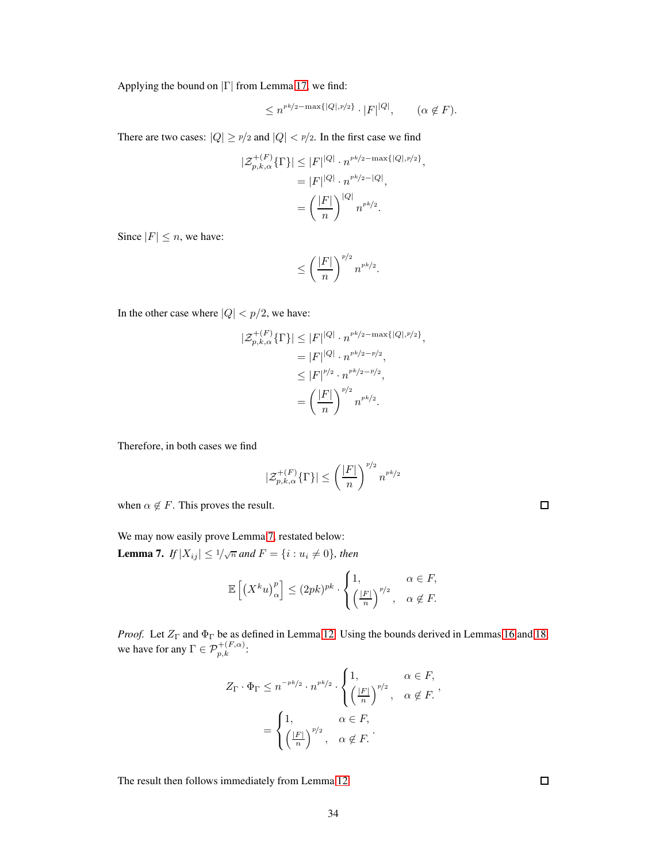Applying the bound on  $|\Gamma|$  from Lemma [17,](#page-32-0) we find:

$$
\leq n^{p k/2 - \max\{|Q|, p/2\}} \cdot |F|^{|Q|}, \qquad (\alpha \notin F).
$$

There are two cases:  $|Q| \geq p/2$  and  $|Q| < p/2$ . In the first case we find

$$
|\mathcal{Z}_{p,k,\alpha}^{+(F)}\{\Gamma\}| \leq |F|^{|Q|} \cdot n^{rk/2 - \max\{|Q|, p/2\}},
$$
  
= 
$$
|F|^{|Q|} \cdot n^{rk/2 - |Q|},
$$
  
= 
$$
\left(\frac{|F|}{n}\right)^{|Q|} n^{rk/2}.
$$

Since  $|F| \leq n$ , we have:

$$
\leq \left(\frac{|F|}{n}\right)^{p/2} n^{p k/2}.
$$

In the other case where  $|Q| < p/2$ , we have:

$$
\begin{aligned} |\mathcal{Z}_{p,k,\alpha}^{+(F)}\{\Gamma\}| &\leq |F|^{|Q|} \cdot n^{pk/2 - \max\{|Q|, p/2\}}, \\ &= |F|^{|Q|} \cdot n^{pk/2 - p/2}, \\ &\leq |F|^{p/2} \cdot n^{pk/2 - p/2}, \\ &= \left(\frac{|F|}{n}\right)^{p/2} n^{pk/2}. \end{aligned}
$$

Therefore, in both cases we find

$$
|\mathcal{Z}_{p,k,\alpha}^{+(F)}\{\Gamma\}| \le \left(\frac{|F|}{n}\right)^{p/2} n^{pk/2}
$$

when  $\alpha \notin F$ . This proves the result.

|  |  | We may now easily prove Lemma 7, restated below: |  |  |
|--|--|--------------------------------------------------|--|--|
|  |  |                                                  |  |  |

**Lemma 7.** If  $|X_{ij}| \leq 1/\sqrt{n}$  and  $F = \{i : u_i \neq 0\}$ , then

$$
\mathbb{E}\left[\left(X^k u\right)_\alpha^p\right] \le (2pk)^{pk} \cdot \begin{cases} 1, & \alpha \in F, \\ \left(\frac{|F|}{n}\right)^{p/2}, & \alpha \notin F. \end{cases}
$$

*Proof.* Let  $Z_{\Gamma}$  and  $\Phi_{\Gamma}$  be as defined in Lemma [12.](#page-30-0) Using the bounds derived in Lemmas [16](#page-32-1) and [18,](#page-32-2) we have for any  $\Gamma \in \mathcal{P}_{p,k}^{+(F,\alpha)}$ :

$$
Z_{\Gamma} \cdot \Phi_{\Gamma} \leq n^{-pk/2} \cdot n^{pk/2} \cdot \begin{cases} 1, & \alpha \in F, \\ \left(\frac{|F|}{n}\right)^{p/2}, & \alpha \notin F. \end{cases}
$$

$$
= \begin{cases} 1, & \alpha \in F, \\ \left(\frac{|F|}{n}\right)^{p/2}, & \alpha \notin F. \end{cases}
$$

The result then follows immediately from Lemma [12.](#page-30-0)

 $\Box$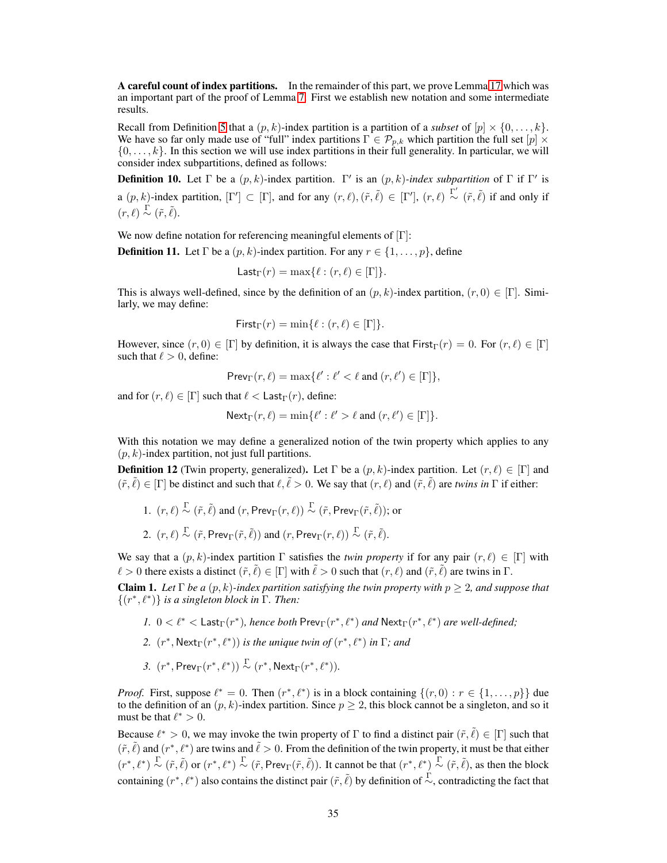A careful count of index partitions. In the remainder of this part, we prove Lemma [17](#page-32-0) which was an important part of the proof of Lemma [7.](#page-25-3) First we establish new notation and some intermediate results.

Recall from Definition [5](#page-27-1) that a  $(p, k)$ -index partition is a partition of a *subset* of  $[p] \times \{0, \ldots, k\}$ . We have so far only made use of "full" index partitions  $\Gamma \in \mathcal{P}_{p,k}$  which partition the full set  $[p] \times$  $\{0, \ldots, k\}$ . In this section we will use index partitions in their full generality. In particular, we will consider index subpartitions, defined as follows:

**Definition 10.** Let  $\Gamma$  be a  $(p, k)$ -index partition.  $\Gamma'$  is an  $(p, k)$ -index subpartition of  $\Gamma$  if  $\Gamma'$  is a  $(p, k)$ -index partition,  $[\Gamma'] \subset [\Gamma]$ , and for any  $(r, \ell), (\tilde{r}, \tilde{\ell}) \in [\Gamma']$ ,  $(r, \ell) \stackrel{\Gamma'}{\sim} (\tilde{r}, \tilde{\ell})$  if and only if  $(r, \ell) \stackrel{\Gamma}{\sim} (\tilde{r}, \tilde{\ell}).$ 

We now define notation for referencing meaningful elements of  $[{\Gamma}]$ :

**Definition 11.** Let  $\Gamma$  be a  $(p, k)$ -index partition. For any  $r \in \{1, \ldots, p\}$ , define

$$
\mathsf{Last}_{\Gamma}(r) = \max\{\ell : (r, \ell) \in [\Gamma]\}.
$$

This is always well-defined, since by the definition of an  $(p, k)$ -index partition,  $(r, 0) \in [\Gamma]$ . Similarly, we may define:

First<sub>\Gamma</sub>
$$
(r) = min{\ell : (r, \ell) \in [\Gamma]}
$$
.

However, since  $(r, 0) \in [\Gamma]$  by definition, it is always the case that  $\text{First}_{\Gamma}(r) = 0$ . For  $(r, \ell) \in [\Gamma]$ such that  $\ell > 0$ , define:

 $\mathsf{Prev}_\Gamma(r,\ell) = \max\{\ell':\ell' < \ell \text{ and } (r,\ell') \in [\Gamma]\},$ 

and for  $(r, \ell) \in [\Gamma]$  such that  $\ell <$  Last $_{\Gamma}(r)$ , define:

 $\text{Next}_{\Gamma}(r,\ell) = \min\{\ell': \ell' > \ell \text{ and } (r,\ell') \in [\Gamma]\}.$ 

With this notation we may define a generalized notion of the twin property which applies to any  $(p, k)$ -index partition, not just full partitions.

**Definition 12** (Twin property, generalized). Let  $\Gamma$  be a  $(p, k)$ -index partition. Let  $(r, \ell) \in [\Gamma]$  and  $(\tilde{r}, \tilde{\ell}) \in [\Gamma]$  be distinct and such that  $\ell, \tilde{\ell} > 0$ . We say that  $(r, \ell)$  and  $(\tilde{r}, \tilde{\ell})$  are *twins in*  $\Gamma$  if either:

1. 
$$
(r, \ell) \stackrel{\Gamma}{\sim} (\tilde{r}, \tilde{\ell})
$$
 and  $(r, \text{Prev}_{\Gamma}(r, \ell)) \stackrel{\Gamma}{\sim} (\tilde{r}, \text{Prev}_{\Gamma}(\tilde{r}, \tilde{\ell}));$  or  
2.  $(r, \ell) \stackrel{\Gamma}{\sim} (\tilde{r}, \text{Prev}_{\Gamma}(\tilde{r}, \tilde{\ell}))$  and  $(r, \text{Prev}_{\Gamma}(r, \ell)) \stackrel{\Gamma}{\sim} (\tilde{r}, \tilde{\ell}).$ 

We say that a  $(p, k)$ -index partition  $\Gamma$  satisfies the *twin property* if for any pair  $(r, \ell) \in [\Gamma]$  with  $\ell > 0$  there exists a distinct  $(\tilde{r}, \tilde{\ell}) \in [\Gamma]$  with  $\tilde{\ell} > 0$  such that  $(r, \ell)$  and  $(\tilde{r}, \tilde{\ell})$  are twins in  $\Gamma$ .

<span id="page-34-0"></span>**Claim 1.** *Let*  $\Gamma$  *be a*  $(p, k)$ *-index partition satisfying the twin property with*  $p \geq 2$ *, and suppose that* {(r ∗ , ℓ<sup>∗</sup> )} *is a singleton block in* Γ*. Then:*

- *1.*  $0 < \ell^* <$  Last<sub>Γ</sub>( $r^*$ ), hence both Prev<sub>Γ</sub>( $r^*, \ell^*$ ) and Next<sub>Γ</sub>( $r^*, \ell^*$ ) are well-defined;
- 2.  $(r^*, \text{Next}_{\Gamma}(r^*, \ell^*))$  *is the unique twin of*  $(r^*, \ell^*)$  *in*  $\Gamma$ *; and*
- 3.  $(r^*, \text{Prev}_\Gamma(r^*, \ell^*)) \overset{\Gamma}{\sim} (r^*, \text{Next}_\Gamma(r^*, \ell^*)).$

*Proof.* First, suppose  $\ell^* = 0$ . Then  $(r^*, \ell^*)$  is in a block containing  $\{(r, 0) : r \in \{1, \ldots, p\}\}\$  due to the definition of an  $(p, k)$ -index partition. Since  $p \geq 2$ , this block cannot be a singleton, and so it must be that  $\ell^* > 0$ .

Because  $\ell^* > 0$ , we may invoke the twin property of  $\Gamma$  to find a distinct pair  $(\tilde{r}, \tilde{\ell}) \in [\Gamma]$  such that  $(\tilde{r}, \tilde{\ell})$  and  $(r^*, \ell^*)$  are twins and  $\tilde{\ell} > 0$ . From the definition of the twin property, it must be that either  $(r^*, \ell^*) \overset{\Gamma}{\sim} (\tilde{r}, \tilde{\ell})$  or  $(r^*, \ell^*) \overset{\Gamma}{\sim} (\tilde{r}, \text{Prev}_{\Gamma}(\tilde{r}, \tilde{\ell})).$  It cannot be that  $(r^*, \ell^*) \overset{\Gamma}{\sim} (\tilde{r}, \tilde{\ell})$ , as then the block containing  $(r^*, \ell^*)$  also contains the distinct pair  $(\tilde{r}, \tilde{\ell})$  by definition of  $\stackrel{\Gamma}{\sim}$ , contradicting the fact that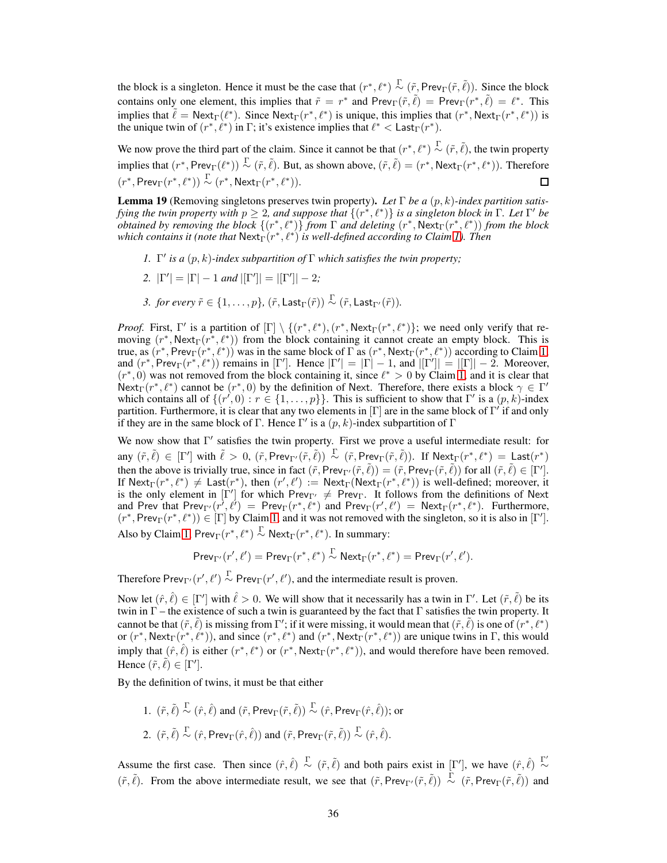the block is a singleton. Hence it must be the case that  $(r^*, \ell^*) \overset{\Gamma}{\sim} (\tilde{r}, P \text{rev}_{\Gamma}(\tilde{r}, \tilde{\ell}))$ . Since the block contains only one element, this implies that  $\tilde{r} = r^*$  and  $\text{Prev}_{\Gamma}(\tilde{r}, \tilde{\ell}) = \text{Prev}_{\Gamma}(r^*, \tilde{\ell}) = \ell^*$ . This implies that  $\tilde{\ell} = \text{Next}_{\Gamma}(\ell^*)$ . Since  $\text{Next}_{\Gamma}(r^*, \ell^*)$  is unique, this implies that  $(r^*, \text{Next}_{\Gamma}(r^*, \ell^*))$  is the unique twin of  $(r^*, \ell^*)$  in  $\Gamma$ ; it's existence implies that  $\ell^* <$  Last<sub> $\Gamma$ </sub> $(r^*)$ .

We now prove the third part of the claim. Since it cannot be that  $(r^*, \ell^*) \overset{\Gamma}{\sim} (\tilde{r}, \tilde{\ell})$ , the twin property implies that  $(r^*, Prev_\Gamma(\ell^*)) \overset{\Gamma}{\sim} (\tilde{r}, \tilde{\ell})$ . But, as shown above,  $(\tilde{r}, \tilde{\ell}) = (r^*, Next_\Gamma(r^*, \ell^*))$ . Therefore  $(r^*, \text{Prev}_\Gamma(r^*, \ell^*)) \overset{\Gamma}{\sim} (r^*, \text{Next}_\Gamma(r^*, \ell^*)).$  $\Box$ 

<span id="page-35-0"></span>Lemma 19 (Removing singletons preserves twin property). *Let* Γ *be a* (p, k)*-index partition satisfying the twin property with*  $p \geq 2$ , and suppose that  $\{(r^*, \ell^*)\}$  is a singleton block in  $\Gamma$ . Let  $\Gamma'$  be *obtained by removing the block*  $\{(r^*, \ell^*)\}$  *from*  $\Gamma$  *and deleting*  $(r^*, \text{Next}_{\Gamma}(r^*, \ell^*))$  *from the block which contains it (note that*  $\mathsf{Next}_{\Gamma}(r^*, \ell^*)$  *is well-defined according to Claim [1\)](#page-34-0). Then* 

- *1.*  $\Gamma'$  *is a*  $(p, k)$ -index subpartition of  $\Gamma$  *which satisfies the twin property;*
- 2.  $|\Gamma'| = |\Gamma| 1$  *and*  $|[\Gamma']| = |[\Gamma']| 2$ ;
- *3. for every*  $\tilde{r} \in \{1, \ldots, p\}$ ,  $(\tilde{r}, \text{Last}_{\Gamma}(\tilde{r})) \sim (\tilde{r}, \text{Last}_{\Gamma'}(\tilde{r})).$

*Proof.* First, Γ' is a partition of  $[\Gamma] \setminus \{(r^*, \ell^*), (r^*, \text{Next}_{\Gamma}(r^*, \ell^*)\}$ ; we need only verify that removing  $(r^*, \text{Next}_{\Gamma}(r^*, \ell^*))$  from the block containing it cannot create an empty block. This is true, as  $(r^*, Prev_\Gamma(r^*, \ell^*))$  was in the same block of  $\Gamma$  as  $(r^*, Nexter(\Gamma(r^*, \ell^*))$  according to Claim [1,](#page-34-0) and  $(r^*,$  Prev<sub>Γ</sub> $(r^*, \ell^*)$ ) remains in [Γ']. Hence  $|\Gamma'| = |\Gamma| - 1$ , and  $|[\Gamma']| = |[\Gamma]| - 2$ . Moreover,  $(r^*, 0)$  was not removed from the block containing it, since  $\ell^* > 0$  by Claim [1,](#page-34-0) and it is clear that Next<sub>Γ</sub>( $r^*, \ell^*$ ) cannot be  $(r^*, 0)$  by the definition of Next. Therefore, there exists a block  $\gamma \in \Gamma'$ which contains all of  $\{(r', 0) : r \in \{1, \ldots, p\}\}\.$  This is sufficient to show that  $\Gamma'$  is a  $(p, k)$ -index partition. Furthermore, it is clear that any two elements in  $[\Gamma]$  are in the same block of  $\Gamma'$  if and only if they are in the same block of  $\Gamma$ . Hence  $\Gamma'$  is a  $(p, k)$ -index subpartition of  $\Gamma$ 

We now show that Γ ′ satisfies the twin property. First we prove a useful intermediate result: for any  $(\tilde{r}, \tilde{\ell}) \in [\Gamma']$  with  $\tilde{\ell} > 0$ ,  $(\tilde{r}, \text{Prev}_{\Gamma'}(\tilde{r}, \tilde{\ell})) \overset{\Gamma}{\sim} (\tilde{r}, \text{Prev}_{\Gamma}(\tilde{r}, \tilde{\ell})).$  If  $\text{Next}_{\Gamma}(r^*, \ell^*) = \text{Last}(r^*)$ then the above is trivially true, since in fact  $(\tilde{r}, \text{Prev}_{\Gamma'}(\tilde{r}, \tilde{\ell})) = (\tilde{r}, \text{Prev}_{\Gamma}(\tilde{r}, \tilde{\ell}))$  for all  $(\tilde{r}, \tilde{\ell}) \in [\Gamma']$ . If  $\text{Next}_{\Gamma}(r^*, \ell^*) \neq \text{Last}(r^*)$ , then  $(r', \ell') := \text{Next}_{\Gamma}(\text{Next}_{\Gamma}(r^*, \ell^*))$  is well-defined; moreover, it is the only element in  $[\Gamma']$  for which  $\text{Prev}_{\Gamma'} \neq \text{Prev}_{\Gamma}$ . It follows from the definitions of Next and Prev that  $\text{Prev}_{\Gamma'}(r^{\prime}, \ell^{\prime}) = \text{Prev}_{\Gamma}(r^*, \ell^*)$  and  $\text{Prev}_{\Gamma}(r', \ell^{\prime}) = \text{Next}_{\Gamma}(r^*, \ell^*)$ . Furthermore,  $(r^*, \text{Prev}_{\Gamma}(r^*, \ell^*)) \in [\Gamma]$  by Claim [1,](#page-34-0) and it was not removed with the singleton, so it is also in [ $\Gamma'$ ].

Also by Claim [1,](#page-34-0)  $\text{Prev}_{\Gamma}(r^*, \ell^*) \overset{\Gamma}{\sim} \text{Next}_{\Gamma}(r^*, \ell^*)$ . In summary:

$$
\mathsf{Prev}_{\Gamma'}(r',\ell') = \mathsf{Prev}_{\Gamma}(r^*,\ell^*) \stackrel{\Gamma}{\sim} \mathsf{Next}_{\Gamma}(r^*,\ell^*) = \mathsf{Prev}_{\Gamma}(r',\ell').
$$

Therefore Prev<sub>Γ'</sub> $(r', \ell') \stackrel{\Gamma}{\sim}$  Prev<sub>Γ</sub> $(r', \ell')$ , and the intermediate result is proven.

Now let  $(\hat{r}, \hat{\ell}) \in [\Gamma']$  with  $\hat{\ell} > 0$ . We will show that it necessarily has a twin in  $\Gamma'$ . Let  $(\tilde{r}, \tilde{\ell})$  be its twin in  $\Gamma$  – the existence of such a twin is guaranteed by the fact that  $\Gamma$  satisfies the twin property. It cannot be that  $(\tilde{r}, \tilde{\ell})$  is missing from  $\Gamma'$ ; if it were missing, it would mean that  $(\tilde{r}, \tilde{\ell})$  is one of  $(r^*, \ell^*)$ or  $(r^*, \text{Next}_{\Gamma}(r^*, \ell^*))$ , and since  $(r^*, \ell^*)$  and  $(r^*, \text{Next}_{\Gamma}(r^*, \ell^*))$  are unique twins in  $\Gamma$ , this would imply that  $(\hat{r}, \hat{\ell})$  is either  $(r^*, \ell^*)$  or  $(r^*, \text{Next}_{\Gamma}(r^*, \ell^*))$ , and would therefore have been removed. Hence  $(\tilde{r}, \tilde{\ell}) \in [\Gamma']$ .

By the definition of twins, it must be that either

1.  $(\tilde{r}, \tilde{\ell}) \overset{\Gamma}{\sim} (\hat{r}, \hat{\ell})$  and  $(\tilde{r}, \text{Prev}_{\Gamma}(\tilde{r}, \tilde{\ell})) \overset{\Gamma}{\sim} (\hat{r}, \text{Prev}_{\Gamma}(\hat{r}, \hat{\ell}))$ ; or 2.  $(\tilde{r}, \tilde{\ell}) \stackrel{\Gamma}{\sim} (\hat{r}, \text{Prev}_{\Gamma}(\hat{r}, \hat{\ell}))$  and  $(\tilde{r}, \text{Prev}_{\Gamma}(\tilde{r}, \tilde{\ell})) \stackrel{\Gamma}{\sim} (\hat{r}, \hat{\ell}).$ 

Assume the first case. Then since  $(\hat{r}, \hat{\ell}) \stackrel{\Gamma}{\sim} (\tilde{r}, \tilde{\ell})$  and both pairs exist in  $[\Gamma']$ , we have  $(\hat{r}, \hat{\ell}) \stackrel{\Gamma'}{\sim}$ ∼  $(\tilde{r}, \tilde{\ell})$ . From the above intermediate result, we see that  $(\tilde{r}, \text{Prev}_{\Gamma}/(\tilde{r}, \tilde{\ell})) \overset{\Gamma}{\sim} (\tilde{r}, \text{Prev}_{\Gamma}(\tilde{r}, \tilde{\ell}))$  and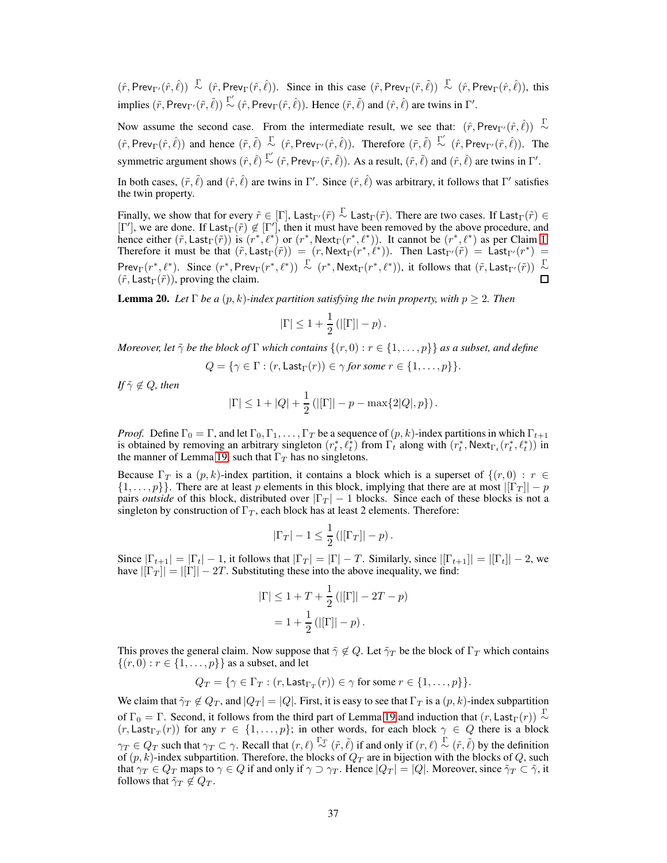$(\hat{r}, \text{Prev}_{\Gamma}(\hat{r}, \hat{\ell})) \overset{\Gamma}{\sim} (\hat{r}, \text{Prev}_{\Gamma}(\hat{r}, \hat{\ell}))$ . Since in this case  $(\tilde{r}, \text{Prev}_{\Gamma}(\tilde{r}, \tilde{\ell})) \overset{\Gamma}{\sim} (\hat{r}, \text{Prev}_{\Gamma}(\hat{r}, \hat{\ell}))$ , this implies  $(\tilde{r}, \text{Prev}_{\Gamma'}(\tilde{r}, \tilde{\ell})) \stackrel{\Gamma'}{\sim} (\hat{r}, \text{Prev}_{\Gamma}(\hat{r}, \hat{\ell}))$ . Hence  $(\tilde{r}, \tilde{\ell})$  and  $(\hat{r}, \hat{\ell})$  are twins in  $\Gamma'$ .

Now assume the second case. From the intermediate result, we see that:  $(\hat{r}, \text{Prev}_{\Gamma'}(\hat{r}, \hat{\ell})) \sim$  $(\hat{r}, \text{Prev}_\Gamma(\hat{r}, \hat{\ell}))$  and hence  $(\tilde{r}, \tilde{\ell}) \sim (\hat{r}, \text{Prev}_{\Gamma'}(\hat{r}, \hat{\ell}))$ . Therefore  $(\tilde{r}, \tilde{\ell}) \sim (\hat{r}, \text{Prev}_{\Gamma'}(\hat{r}, \hat{\ell}))$ . The symmetric argument shows  $(\hat{r}, \hat{\ell}) \stackrel{\Gamma'}{\sim} (\tilde{r}, \text{Prev}_{\Gamma'}(\tilde{r}, \tilde{\ell}))$ . As a result,  $(\tilde{r}, \tilde{\ell})$  and  $(\hat{r}, \hat{\ell})$  are twins in  $\Gamma'$ .

In both cases,  $(\tilde{r}, \tilde{\ell})$  and  $(\hat{r}, \hat{\ell})$  are twins in Γ'. Since  $(\hat{r}, \hat{\ell})$  was arbitrary, it follows that Γ' satisfies the twin property.

Finally, we show that for every  $\tilde{r} \in [\Gamma]$ , Last<sub>Γ'</sub> $(\tilde{r}) \stackrel{\Gamma}{\sim}$  Last<sub>Γ</sub>' $(\tilde{r})$ . There are two cases. If Last<sub>Γ</sub>' $(\tilde{r}) \in [\Gamma']$ , we are done. If Last<sub>Γ</sub>' $(\tilde{r}) \not\in [\Gamma']$ , then it must have been removed by the abov hence either  $(\tilde{r}, \text{Last}_{\Gamma}(\tilde{r}))$  is  $(r^*, \ell^*)$  or  $(r^*, \text{Next}_{\Gamma}(r^*, \ell^*))$ . It cannot be  $(r^*, \ell^*)$  as per Claim [1.](#page-34-0) Therefore it must be that  $(\tilde{r}, \text{Last}_{\Gamma}(\tilde{r})) = (r, \text{Next}_{\Gamma}(r^*, \ell^*))$ . Then  $\text{Last}_{\Gamma'}(\tilde{r}) = \text{Last}_{\Gamma'}(r^*) =$ Prev<sub>Γ</sub>( $r^*, \ell^*$ ). Since  $(r^*, \text{Prev}_\Gamma(r^*, \ell^*)) \overset{\Gamma}{\sim} (r^*, \text{Next}_\Gamma(r^*, \ell^*))$ , it follows that  $(\tilde{r}, \text{Last}_{\Gamma'}(\tilde{r})) \overset{\Gamma}{\sim}$  $(\tilde{r}, \textsf{Last}_{\Gamma}(\tilde{r}))$ , proving the claim.

<span id="page-36-0"></span>**Lemma 20.** *Let*  $\Gamma$  *be a*  $(p, k)$ *-index partition satisfying the twin property, with*  $p \geq 2$ *. Then* 

$$
|\Gamma| \le 1 + \frac{1}{2} (|\Gamma| - p).
$$

*Moreover, let*  $\tilde{\gamma}$  *be the block of*  $\Gamma$  *which contains*  $\{(r, 0) : r \in \{1, \ldots, p\}\}$  *as a subset, and define* 

$$
Q = \{ \gamma \in \Gamma : (r, \text{Last}_{\Gamma}(r)) \in \gamma \text{ for some } r \in \{1, \ldots, p\} \}.
$$

*If*  $\tilde{\gamma} \notin Q$ *, then* 

$$
|\Gamma| \le 1 + |Q| + \frac{1}{2} (|[\Gamma]| - p - \max\{2|Q|, p\}).
$$

*Proof.* Define  $\Gamma_0 = \Gamma$ , and let  $\Gamma_0, \Gamma_1, \ldots, \Gamma_T$  be a sequence of  $(p, k)$ -index partitions in which  $\Gamma_{t+1}$ is obtained by removing an arbitrary singleton  $(r_t^*, \ell_t^*)$  from  $\Gamma_t$  along with  $(r_t^*, \text{Next}_{\Gamma_t}(r_t^*, \ell_t^*))$  in the manner of Lemma [19,](#page-35-0) such that  $\Gamma_T$  has no singletons.

Because  $\Gamma_T$  is a  $(p, k)$ -index partition, it contains a block which is a superset of  $\{(r, 0) : r \in$  $\{1,\ldots,p\}\.$  There are at least p elements in this block, implying that there are at most  $|\Gamma_T| - p$ pairs *outside* of this block, distributed over  $|\Gamma_T| - 1$  blocks. Since each of these blocks is not a singleton by construction of  $\Gamma_T$ , each block has at least 2 elements. Therefore:

$$
|\Gamma_T|-1\leq \frac{1}{2} \left( |[\Gamma_T]| - p \right).
$$

Since  $|\Gamma_{t+1}| = |\Gamma_t| - 1$ , it follows that  $|\Gamma_T| = |\Gamma| - T$ . Similarly, since  $|[\Gamma_{t+1}]| = |[\Gamma_t]| - 2$ , we have  $||\Gamma_T|| = ||\Gamma|| - 2T$ . Substituting these into the above inequality, we find:

$$
|\Gamma| \le 1 + T + \frac{1}{2} (||\Gamma|| - 2T - p)
$$
  
= 1 +  $\frac{1}{2}$  (||\Gamma|| - p).

This proves the general claim. Now suppose that  $\tilde{\gamma} \notin Q$ . Let  $\tilde{\gamma}_T$  be the block of  $\Gamma_T$  which contains  $\{(r, 0) : r \in \{1, ..., p\}\}\$ as a subset, and let

$$
Q_T = \{ \gamma \in \Gamma_T : (r, \text{Last}_{\Gamma_T}(r)) \in \gamma \text{ for some } r \in \{1, \ldots, p\} \}.
$$

We claim that  $\tilde{\gamma}_T \notin Q_T$ , and  $|Q_T| = |Q|$ . First, it is easy to see that  $\Gamma_T$  is a  $(p, k)$ -index subpartition of  $\Gamma_0 = \Gamma$ . Second, it follows from the third part of Lemma [19](#page-35-0) and induction that  $(r, \text{Last}_{\Gamma}(r)) \sim$  $(r, \text{Last}_{\Gamma_T}(r))$  for any  $r \in \{1, \ldots, p\}$ ; in other words, for each block  $\gamma \in Q$  there is a block  $\gamma_T \in Q_T$  such that  $\gamma_T \subset \gamma$ . Recall that  $(r, \ell) \stackrel{\Gamma_T}{\sim} (\tilde{r}, \tilde{\ell})$  if and only if  $(r, \ell) \stackrel{\Gamma}{\sim} (\tilde{r}, \tilde{\ell})$  by the definition of  $(p, k)$ -index subpartition. Therefore, the blocks of  $Q_T$  are in bijection with the blocks of Q, such that  $\gamma_T \in Q_T$  maps to  $\gamma \in Q$  if and only if  $\gamma \supset \gamma_T$ . Hence  $|Q_T| = |Q|$ . Moreover, since  $\tilde{\gamma}_T \subset \tilde{\gamma}$ , it follows that  $\tilde{\gamma}_T \notin Q_T$ .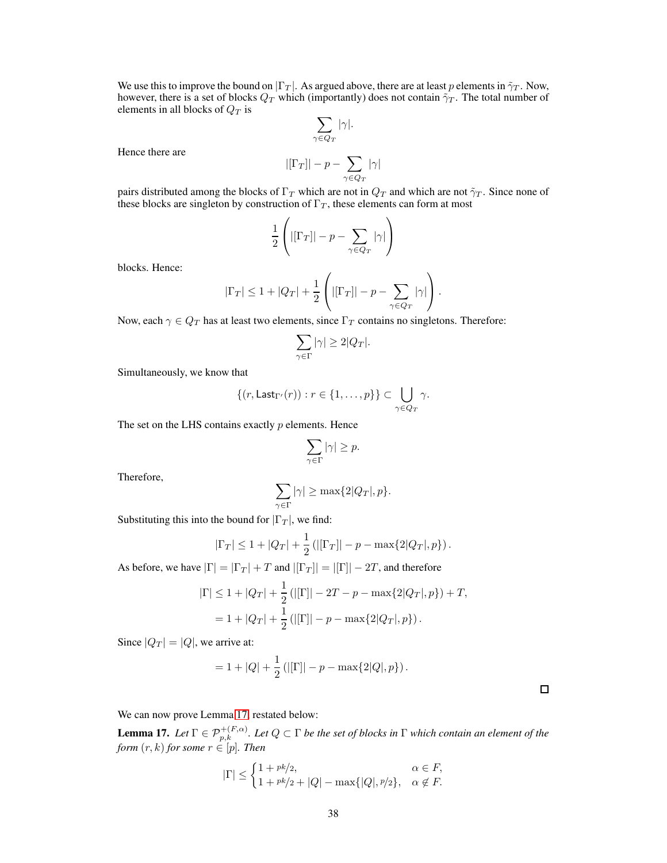We use this to improve the bound on  $|\Gamma_T|$ . As argued above, there are at least p elements in  $\tilde{\gamma}_T$ . Now, however, there is a set of blocks  $Q_T$  which (importantly) does not contain  $\tilde{\gamma}_T$ . The total number of elements in all blocks of  $Q_T$  is

$$
\sum_{\gamma\in Q_T}|\gamma|.
$$

Hence there are

$$
|[\Gamma_T]| - p - \sum_{\gamma \in Q_T} |\gamma|
$$

pairs distributed among the blocks of  $\Gamma_T$  which are not in  $Q_T$  and which are not  $\tilde{\gamma}_T$ . Since none of these blocks are singleton by construction of  $\Gamma_T$ , these elements can form at most

$$
\frac{1}{2}\left(|[\Gamma_T]| - p - \sum_{\gamma \in Q_T}|\gamma|\right)
$$

blocks. Hence:

$$
|\Gamma_T| \le 1 + |Q_T| + \frac{1}{2} \left( |[\Gamma_T]| - p - \sum_{\gamma \in Q_T} |\gamma| \right).
$$

Now, each  $\gamma \in Q_T$  has at least two elements, since  $\Gamma_T$  contains no singletons. Therefore:

$$
\sum_{\gamma\in \Gamma}|\gamma|\geq 2|Q_T|.
$$

Simultaneously, we know that

$$
\{(r,\mathsf{Last}_{\Gamma'}(r)): r \in \{1,\ldots,p\}\} \subset \bigcup_{\gamma \in Q_T} \gamma.
$$

The set on the LHS contains exactly  $p$  elements. Hence

$$
\sum_{\gamma \in \Gamma} |\gamma| \ge p.
$$

Therefore,

$$
\sum_{\gamma \in \Gamma} |\gamma| \ge \max\{2|Q_T|, p\}.
$$

Substituting this into the bound for  $|\Gamma_T|$ , we find:

$$
|\Gamma_T| \le 1 + |Q_T| + \frac{1}{2} (|[\Gamma_T]| - p - \max\{2|Q_T|, p\}).
$$

As before, we have  $|\Gamma| = |\Gamma_T| + T$  and  $|[\Gamma_T]| = |[\Gamma]| - 2T$ , and therefore

$$
\begin{aligned} |\Gamma| &\le 1 + |Q_T| + \frac{1}{2} \left( |[\Gamma]| - 2T - p - \max\{2|Q_T|, p\} \right) + T, \\ &= 1 + |Q_T| + \frac{1}{2} \left( |[\Gamma]| - p - \max\{2|Q_T|, p\} \right). \end{aligned}
$$

Since  $|Q_T| = |Q|$ , we arrive at:

$$
= 1 + |Q| + \frac{1}{2} (|[\Gamma]| - p - \max\{2|Q|, p\}).
$$

We can now prove Lemma [17,](#page-32-0) restated below:

**Lemma 17.** Let  $\Gamma \in \mathcal{P}_{p,k}^{+(F,\alpha)}$ . Let  $Q \subset \Gamma$  be the set of blocks in  $\Gamma$  which contain an element of the *form*  $(r, k)$  *for some*  $r \in [p]$ *. Then* 

$$
|\Gamma| \le \begin{cases} 1 + \frac{pk}{2}, & \alpha \in F, \\ 1 + \frac{pk}{2} + |Q| - \max\{|Q|, \frac{p}{2}\}, & \alpha \notin F. \end{cases}
$$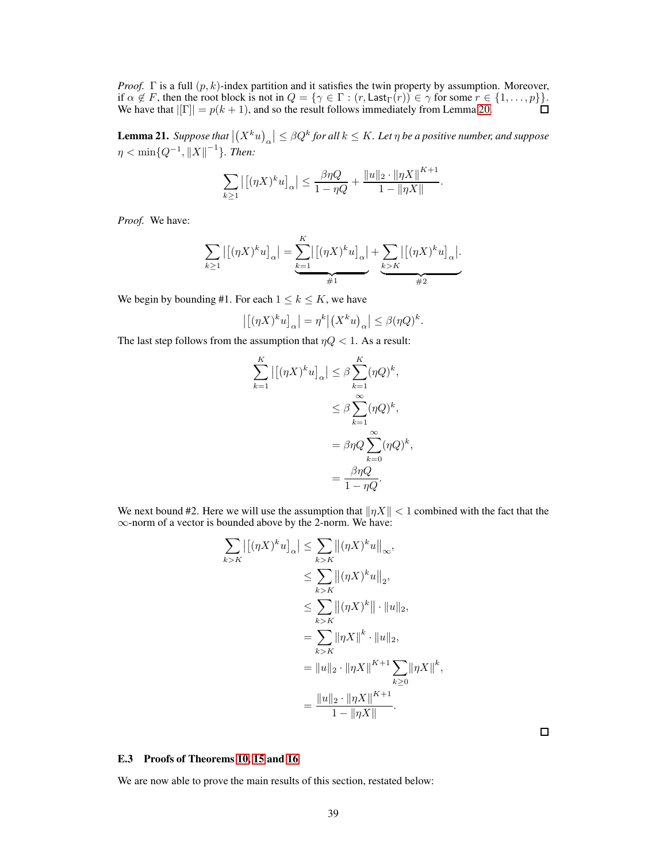*Proof.* Γ is a full  $(p, k)$ -index partition and it satisfies the twin property by assumption. Moreover, if  $\alpha \notin F$ , then the root block is not in  $Q = \{ \gamma \in \Gamma : (r, \text{Last}_{\Gamma}(r)) \in \gamma \text{ for some } r \in \{1, \ldots, p\} \}$ . We have that  $|[\Gamma]| = p(k + 1)$ , and so the result follows immediately from Lemma [20.](#page-36-0)

<span id="page-38-0"></span>**Lemma 21.** Suppose that  $\left|\left(X^k u\right)_\alpha\right| \leq \beta Q^k$  for all  $k \leq K$ . Let  $\eta$  be a positive number, and suppose  $\eta < \min\{Q^{-1}, {\|X\|}^{-1}\}.$  Then:

$$
\sum_{k\geq 1} |[(\eta X)^k u]_{\alpha}| \leq \frac{\beta \eta Q}{1 - \eta Q} + \frac{\|u\|_2 \cdot \|\eta X\|^{K+1}}{1 - \|\eta X\|}
$$

.

*Proof.* We have:

$$
\sum_{k\geq 1} |[(\eta X)^k u]_{\alpha}| = \underbrace{\sum_{k=1}^K |[(\eta X)^k u]_{\alpha}}_{\#1} + \underbrace{\sum_{k\geq K} |[(\eta X)^k u]_{\alpha}}_{\#2}.
$$

We begin by bounding #1. For each  $1 \leq k \leq K$ , we have

$$
\left| \left[ (\eta X)^k u \right]_\alpha \right| = \eta^k \left| \left( X^k u \right)_\alpha \right| \leq \beta(\eta Q)^k.
$$

The last step follows from the assumption that  $\eta Q < 1$ . As a result:

$$
\sum_{k=1}^{K} |[(\eta X)^k u]_{\alpha}| \leq \beta \sum_{k=1}^{K} (\eta Q)^k,
$$
  

$$
\leq \beta \sum_{k=1}^{\infty} (\eta Q)^k,
$$
  

$$
= \beta \eta Q \sum_{k=0}^{\infty} (\eta Q)^k,
$$
  

$$
= \frac{\beta \eta Q}{1 - \eta Q}.
$$

We next bound #2. Here we will use the assumption that  $\|\eta X\| < 1$  combined with the fact that the ∞-norm of a vector is bounded above by the 2-norm. We have:

$$
\sum_{k>K} |[(\eta X)^k u]_{\alpha}| \leq \sum_{k>K} ||(\eta X)^k u||_{\infty},
$$
  
\n
$$
\leq \sum_{k>K} ||(\eta X)^k u||_2,
$$
  
\n
$$
\leq \sum_{k>K} ||(\eta X)^k|| \cdot ||u||_2,
$$
  
\n
$$
= \sum_{k>K} ||\eta X||^k \cdot ||u||_2,
$$
  
\n
$$
= ||u||_2 \cdot ||\eta X||^{K+1} \sum_{k \geq 0} ||\eta X||^k,
$$
  
\n
$$
= \frac{||u||_2 \cdot ||\eta X||^{K+1}}{1 - ||\eta X||}.
$$

 $\Box$ 

## E.3 Proofs of Theorems [10,](#page-7-3) [15](#page-24-0) and [16](#page-24-1)

We are now able to prove the main results of this section, restated below: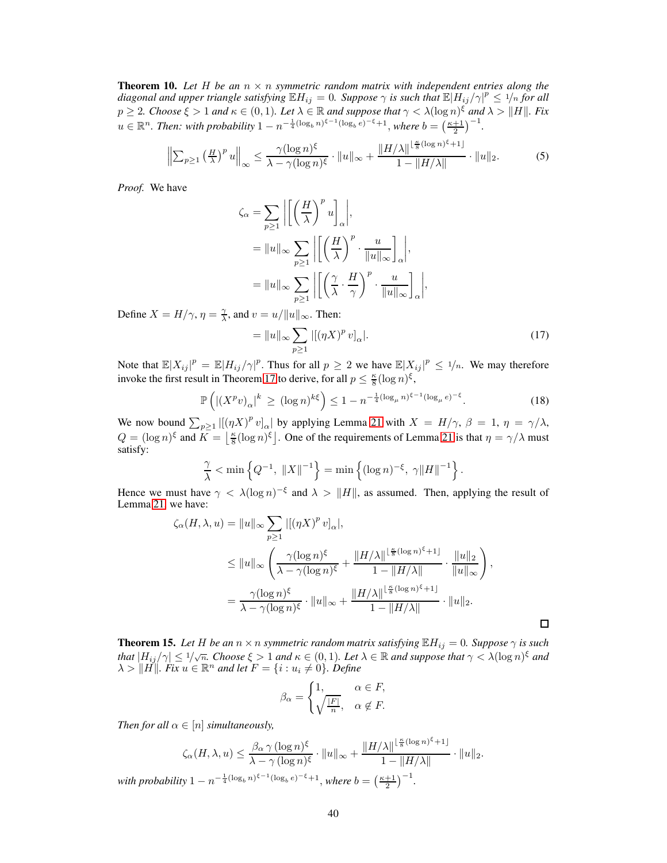**Theorem 10.** Let  $H$  be an  $n \times n$  symmetric random matrix with independent entries along the *diagonal and upper triangle satisfying*  $\mathbb{E}H_{ij} = 0$ . Suppose  $\gamma$  is such that  $\mathbb{E}|H_{ij}/\gamma|^p \le 1/n$  for all  $p \ge 2$ *. Choose*  $\xi > 1$  *and*  $\kappa \in (0,1)$ *. Let*  $\lambda \in \mathbb{R}$  *and suppose that*  $\gamma < \lambda(\log n)^{\xi}$  *and*  $\lambda > ||H||$ *. Fix*  $u \in \mathbb{R}^n$ . Then: with probability  $1 - n^{-\frac{1}{4}(\log_b n)^{\xi - 1}(\log_b e)^{-\xi} + 1}$ , where  $b = \left(\frac{\kappa + 1}{2}\right)^{-1}$ .

$$
\left\| \sum_{p \ge 1} \left( \frac{H}{\lambda} \right)^p u \right\|_{\infty} \le \frac{\gamma (\log n)^{\xi}}{\lambda - \gamma (\log n)^{\xi}} \cdot \|u\|_{\infty} + \frac{\|H/\lambda\|^{\frac{\kappa}{8} (\log n)^{\xi} + 1]}}{1 - \|H/\lambda\|} \cdot \|u\|_{2}.
$$
 (5)

*Proof.* We have

$$
\zeta_{\alpha} = \sum_{p \ge 1} \left| \left[ \left( \frac{H}{\lambda} \right)^p u \right]_{\alpha} \right|,
$$
  
=  $||u||_{\infty} \sum_{p \ge 1} \left| \left[ \left( \frac{H}{\lambda} \right)^p \cdot \frac{u}{||u||_{\infty}} \right]_{\alpha} \right|,$   
=  $||u||_{\infty} \sum_{p \ge 1} \left| \left[ \left( \frac{\gamma}{\lambda} \cdot \frac{H}{\gamma} \right)^p \cdot \frac{u}{||u||_{\infty}} \right]_{\alpha} \right|,$ 

Define  $X = H/\gamma$ ,  $\eta = \frac{\gamma}{\lambda}$ , and  $v = u/||u||_{\infty}$ . Then:

<span id="page-39-1"></span>
$$
= \|u\|_{\infty} \sum_{p\geq 1} |[(\eta X)^p v]_{\alpha}|. \tag{17}
$$

Note that  $\mathbb{E}|X_{ij}|^p = \mathbb{E}|H_{ij}/\gamma|^p$ . Thus for all  $p \geq 2$  we have  $\mathbb{E}|X_{ij}|^p \leq \frac{1}{n}$ . We may therefore invoke the first result in Theorem [17](#page-25-0) to derive, for all  $p \leq \frac{\kappa}{8} (\log n)^{\xi}$ ,

$$
\mathbb{P}\left(\left|\left(X^p v\right)_{\alpha}\right|^k \ge (\log n)^{k\xi}\right) \le 1 - n^{-\frac{1}{4}(\log_\mu n)^{\xi - 1}(\log_\mu e)^{-\xi}}.\tag{18}
$$

We now bound  $\sum_{p\geq 1} |[(\eta X)^p v]_{\alpha}|$  by applying Lemma [21](#page-38-0) with  $X = H/\gamma$ ,  $\beta = 1$ ,  $\eta = \gamma/\lambda$ ,  $Q = (\log n)^{\xi}$  and  $K = \left\lfloor \frac{\kappa}{8} (\log n)^{\xi} \right\rfloor$ . One of the requirements of Lemma [21](#page-38-0) is that  $\eta = \gamma/\lambda$  must satisfy:

$$
\frac{\gamma}{\lambda} < \min\left\{Q^{-1}, \|X\|^{-1}\right\} = \min\left\{(\log n)^{-\xi}, \gamma \|H\|^{-1}\right\}.
$$

Hence we must have  $\gamma < \lambda (\log n)^{-\xi}$  and  $\lambda > ||H||$ , as assumed. Then, applying the result of Lemma [21,](#page-38-0) we have:

$$
\zeta_{\alpha}(H,\lambda,u) = \|u\|_{\infty} \sum_{p\geq 1} |[(\eta X)^p v]_{\alpha}|,
$$
  
\n
$$
\leq \|u\|_{\infty} \left( \frac{\gamma(\log n)^{\xi}}{\lambda - \gamma(\log n)^{\xi}} + \frac{\|H/\lambda\|^{\lfloor \frac{\kappa}{8}(\log n)^{\xi} + 1 \rfloor}}{1 - \|H/\lambda\|} \cdot \frac{\|u\|_{2}}{\|u\|_{\infty}} \right),
$$
  
\n
$$
= \frac{\gamma(\log n)^{\xi}}{\lambda - \gamma(\log n)^{\xi}} \cdot \|u\|_{\infty} + \frac{\|H/\lambda\|^{\lfloor \frac{\kappa}{8}(\log n)^{\xi} + 1 \rfloor}}{1 - \|H/\lambda\|} \cdot \|u\|_{2}.
$$

<span id="page-39-0"></span>**Theorem 15.** Let H be an  $n \times n$  symmetric random matrix satisfying  $\mathbb{E}H_{ij} = 0$ . Suppose  $\gamma$  is such *that*  $|H_{ij}/\gamma| \leq 1/\sqrt{n}$ . Choose  $\xi > 1$  and  $\kappa \in (0, 1)$ . Let  $\lambda \in \mathbb{R}$  and suppose that  $\gamma < \lambda (\log n)^{\xi}$  and  $\lambda > ||\vec{H}||$ *. Fix*  $u \in \mathbb{R}^n$  and let  $F = \{i : u_i \neq 0\}$ *. Define* 

$$
\beta_{\alpha} = \begin{cases} 1, & \alpha \in F, \\ \sqrt{\frac{|F|}{n}}, & \alpha \notin F. \end{cases}
$$

*Then for all*  $\alpha \in [n]$  *simultaneously,* 

$$
\zeta_{\alpha}(H,\lambda,u) \leq \frac{\beta_{\alpha} \gamma (\log n)^{\xi}}{\lambda - \gamma (\log n)^{\xi}} \cdot \|u\|_{\infty} + \frac{\|H/\lambda\|^{\lfloor \frac{\kappa}{8}(\log n)^{\xi} + 1\rfloor}}{1 - \|H/\lambda\|} \cdot \|u\|_{2}.
$$
  
with probability  $1 - n^{-\frac{1}{4}(\log_b n)^{\xi - 1}(\log_b e)^{-\xi} + 1}$ , where  $b = \left(\frac{\kappa + 1}{2}\right)^{-1}$ .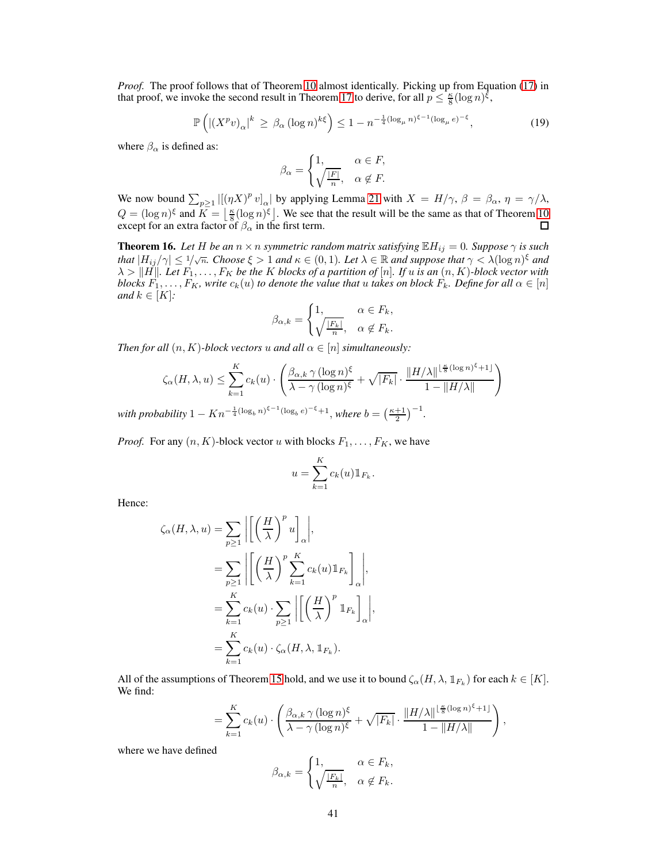*Proof.* The proof follows that of Theorem [10](#page-7-3) almost identically. Picking up from Equation [\(17\)](#page-39-1) in that proof, we invoke the second result in Theorem [17](#page-25-0) to derive, for all  $p \leq \frac{\kappa}{8} (\log n)^{\xi}$ ,

$$
\mathbb{P}\left(\left|\left(X^p v\right)_{\alpha}\right|^k \ge \beta_{\alpha} \left(\log n\right)^{k\xi}\right) \le 1 - n^{-\frac{1}{4}\left(\log_{\mu} n\right)^{\xi - 1}\left(\log_{\mu} e\right)^{-\xi}},\tag{19}
$$

where  $\beta_{\alpha}$  is defined as:

$$
\beta_{\alpha} = \begin{cases} 1, & \alpha \in F, \\ \sqrt{\frac{|F|}{n}}, & \alpha \notin F. \end{cases}
$$

We now bound  $\sum_{p\geq 1} |[(\eta X)^p v]_{\alpha}|$  by applying Lemma [21](#page-38-0) with  $X = H/\gamma$ ,  $\beta = \beta_{\alpha}$ ,  $\eta = \gamma/\lambda$ ,  $Q = (\log n)^{\xi}$  and  $K = \left\lfloor \frac{\kappa}{8} (\log n)^{\xi} \right\rfloor$ . We see that the result will be the same as that of Theorem [10](#page-7-3) except for an extra factor of  $\beta_{\alpha}$  in the first term.

<span id="page-40-0"></span>**Theorem 16.** Let H be an  $n \times n$  symmetric random matrix satisfying  $\mathbb{E}H_{ij} = 0$ . Suppose  $\gamma$  is such *that*  $|H_{ij}/\gamma| \leq 1/\sqrt{n}$ *. Choose*  $\xi > 1$  *and*  $\kappa \in (0, 1)$ *. Let*  $\lambda \in \mathbb{R}$  *and suppose that*  $\gamma < \lambda(\log n)^{\xi}$  *and*<br>*Let*  $\lambda$  is the suppose that  $\gamma < \lambda(\log n)^{\xi}$  and  $\lambda > ||H||$ *. Let*  $F_1, \ldots, F_K$  *be the* K *blocks of a partition of* [n]*. If* u *is an*  $(n, K)$ *-block vector with blocks*  $F_1, \ldots, F_K$ *, write*  $c_k(u)$  *to denote the value that* u *takes on block*  $F_k$ *. Define for all*  $\alpha \in [n]$ *and*  $k \in [K]$ *:* 

$$
\beta_{\alpha,k} = \begin{cases} 1, & \alpha \in F_k, \\ \sqrt{\frac{|F_k|}{n}}, & \alpha \notin F_k. \end{cases}
$$

*Then for all*  $(n, K)$ *-block vectors* u *and all*  $\alpha \in [n]$  *simultaneously:* 

$$
\zeta_{\alpha}(H,\lambda,u) \leq \sum_{k=1}^{K} c_k(u) \cdot \left( \frac{\beta_{\alpha,k} \gamma (\log n)^{\xi}}{\lambda - \gamma (\log n)^{\xi}} + \sqrt{|F_k|} \cdot \frac{\|H/\lambda\|^{\lfloor \frac{\kappa}{8} (\log n)^{\xi} + 1 \rfloor}}{1 - \|H/\lambda\|} \right)
$$

*with probability*  $1 - Kn^{-\frac{1}{4}(\log_b n)^{\xi - 1}(\log_b e)^{-\xi} + 1}$ , *where*  $b = \left(\frac{\kappa + 1}{2}\right)^{-1}$ .

*Proof.* For any  $(n, K)$ -block vector u with blocks  $F_1, \ldots, F_K$ , we have

$$
u = \sum_{k=1}^{K} c_k(u) \mathbb{1}_{F_k}.
$$

Hence:

$$
\zeta_{\alpha}(H,\lambda,u) = \sum_{p\geq 1} \left| \left[ \left( \frac{H}{\lambda} \right)^p u \right]_{\alpha} \right|,
$$
  
\n
$$
= \sum_{p\geq 1} \left| \left[ \left( \frac{H}{\lambda} \right)^p \sum_{k=1}^K c_k(u) \mathbb{1}_{F_k} \right]_{\alpha} \right|,
$$
  
\n
$$
= \sum_{k=1}^K c_k(u) \cdot \sum_{p\geq 1} \left| \left[ \left( \frac{H}{\lambda} \right)^p \mathbb{1}_{F_k} \right]_{\alpha} \right|,
$$
  
\n
$$
= \sum_{k=1}^K c_k(u) \cdot \zeta_{\alpha}(H,\lambda, \mathbb{1}_{F_k}).
$$

All of the assumptions of Theorem [15](#page-24-0) hold, and we use it to bound  $\zeta_{\alpha}(H, \lambda, \mathbb{1}_{F_k})$  for each  $k \in [K]$ . We find:

$$
= \sum_{k=1}^K c_k(u) \cdot \left( \frac{\beta_{\alpha,k} \gamma (\log n)^{\xi}}{\lambda - \gamma (\log n)^{\xi}} + \sqrt{|F_k|} \cdot \frac{\|H/\lambda\|^{\lfloor \frac{\kappa}{8} (\log n)^{\xi} + 1 \rfloor}}{1 - \|H/\lambda\|} \right),
$$

where we have defined

$$
\beta_{\alpha,k} = \begin{cases} 1, & \alpha \in F_k, \\ \sqrt{\frac{|F_k|}{n}}, & \alpha \notin F_k. \end{cases}
$$